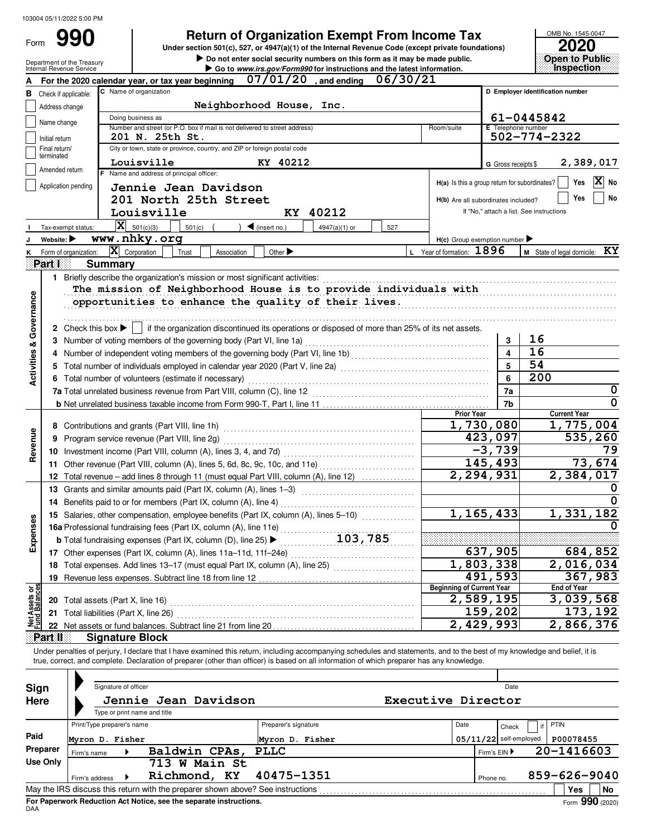Form

# **990 2020 2020 2020 2020 2020 2020 2020 2020 2020 2020 2020 2020 2020 2020 2020 2020 2020 2020 2020 2020 2020 2020 2020 2020 2020 2020 2020 2020 2020 2020 2020**

 $\triangleright$  Do not enter social security numbers on this form as it may be made public. **Under section 501(c), 527, or 4947(a)(1) of the Internal Revenue Code (except private foundations)** OMB No. 1545-0047

|                | ZUZU              |  |  |
|----------------|-------------------|--|--|
| Open to Public |                   |  |  |
|                | <b>Inspection</b> |  |  |

|                                    | Internal Revenue Service    | Department of the Treasury             |                                                      |                                          |                                                                            |             |                                    |       | $\blacktriangleright$ Do not enter social security numbers on this form as it may be made public.<br>Go to www.irs.gov/Form990 for instructions and the latest information.                                                                                                                                              |          |                                     |                         |                                                 | Open to Public<br>Inspection |
|------------------------------------|-----------------------------|----------------------------------------|------------------------------------------------------|------------------------------------------|----------------------------------------------------------------------------|-------------|------------------------------------|-------|--------------------------------------------------------------------------------------------------------------------------------------------------------------------------------------------------------------------------------------------------------------------------------------------------------------------------|----------|-------------------------------------|-------------------------|-------------------------------------------------|------------------------------|
|                                    |                             |                                        |                                                      |                                          | For the 2020 calendar year, or tax year beginning                          |             | $\overline{07/01/20}$ , and ending |       |                                                                                                                                                                                                                                                                                                                          | 06/30/21 |                                     |                         |                                                 |                              |
| в                                  | Check if applicable:        |                                        |                                                      | C Name of organization                   |                                                                            |             |                                    |       |                                                                                                                                                                                                                                                                                                                          |          |                                     |                         | D Employer identification number                |                              |
|                                    | Address change              |                                        |                                                      |                                          |                                                                            |             | Neighborhood House, Inc.           |       |                                                                                                                                                                                                                                                                                                                          |          |                                     |                         |                                                 |                              |
|                                    | Name change                 |                                        |                                                      | Doing business as                        |                                                                            |             |                                    |       |                                                                                                                                                                                                                                                                                                                          |          |                                     |                         | 61-0445842                                      |                              |
|                                    |                             |                                        |                                                      |                                          | Number and street (or P.O. box if mail is not delivered to street address) |             |                                    |       |                                                                                                                                                                                                                                                                                                                          |          | Room/suite                          | E Telephone number      |                                                 |                              |
|                                    | Initial return              |                                        |                                                      | 201 N. 25th St.                          |                                                                            |             |                                    |       |                                                                                                                                                                                                                                                                                                                          |          |                                     |                         | $502 - 774 - 2322$                              |                              |
|                                    | Final return/<br>terminated |                                        |                                                      |                                          | City or town, state or province, country, and ZIP or foreign postal code   |             |                                    |       |                                                                                                                                                                                                                                                                                                                          |          |                                     |                         |                                                 |                              |
|                                    | Amended return              |                                        |                                                      | Louisville                               |                                                                            |             | KY 40212                           |       |                                                                                                                                                                                                                                                                                                                          |          |                                     | G Gross receipts \$     |                                                 | 2,389,017                    |
|                                    |                             |                                        |                                                      | F Name and address of principal officer: |                                                                            |             |                                    |       |                                                                                                                                                                                                                                                                                                                          |          |                                     |                         | $H(a)$ is this a group return for subordinates? | $ X $ No<br>Yes              |
|                                    | Application pending         |                                        |                                                      |                                          | Jennie Jean Davidson                                                       |             |                                    |       |                                                                                                                                                                                                                                                                                                                          |          |                                     |                         |                                                 |                              |
|                                    |                             |                                        |                                                      |                                          | 201 North 25th Street                                                      |             |                                    |       |                                                                                                                                                                                                                                                                                                                          |          | H(b) Are all subordinates included? |                         |                                                 | No<br>Yes                    |
|                                    |                             |                                        |                                                      | Louisville                               |                                                                            |             | KY                                 | 40212 |                                                                                                                                                                                                                                                                                                                          |          |                                     |                         | If "No," attach a list. See instructions        |                              |
|                                    | Tax-exempt status:          |                                        |                                                      | $\mathbf{X}$ 501(c)(3)                   | 501(c)                                                                     |             | $\blacktriangleleft$ (insert no.)  |       | 4947(a)(1) or<br>527                                                                                                                                                                                                                                                                                                     |          |                                     |                         |                                                 |                              |
|                                    | Website:                    |                                        |                                                      | www.nhky.org                             |                                                                            |             |                                    |       |                                                                                                                                                                                                                                                                                                                          |          | $H(c)$ Group exemption number       |                         |                                                 |                              |
|                                    | Form of organization:       |                                        |                                                      | $ \mathbf{X} $ Corporation               | Trust                                                                      | Association | Other $\blacktriangleright$        |       |                                                                                                                                                                                                                                                                                                                          |          | L Year of formation: 1896           |                         | M State of legal domicile:                      | KY                           |
|                                    | Part I                      |                                        | <b>Summary</b>                                       |                                          |                                                                            |             |                                    |       |                                                                                                                                                                                                                                                                                                                          |          |                                     |                         |                                                 |                              |
|                                    |                             |                                        |                                                      |                                          |                                                                            |             |                                    |       | 1 Briefly describe the organization's mission or most significant activities:<br>activities:<br>$\ldots$ $\ldots$ $\ldots$ $\ldots$ $\ldots$ $\ldots$ $\ldots$ $\ldots$ $\ldots$ $\ldots$ $\ldots$ $\ldots$ $\ldots$ $\ldots$ $\ldots$ $\ldots$ $\ldots$ $\ldots$                                                        |          |                                     |                         |                                                 |                              |
|                                    |                             |                                        |                                                      |                                          |                                                                            |             |                                    |       | The mission of Neighborhood House is to provide individuals with                                                                                                                                                                                                                                                         |          |                                     |                         |                                                 |                              |
| <b>Activities &amp; Governance</b> |                             |                                        |                                                      |                                          |                                                                            |             |                                    |       | opportunities to enhance the quality of their lives.                                                                                                                                                                                                                                                                     |          |                                     |                         |                                                 |                              |
|                                    |                             |                                        |                                                      |                                          |                                                                            |             |                                    |       |                                                                                                                                                                                                                                                                                                                          |          |                                     |                         |                                                 |                              |
|                                    |                             | 2 Check this box $\blacktriangleright$ |                                                      |                                          |                                                                            |             |                                    |       | if the organization discontinued its operations or disposed of more than 25% of its net assets.                                                                                                                                                                                                                          |          |                                     |                         |                                                 |                              |
|                                    |                             |                                        |                                                      |                                          | 3 Number of voting members of the governing body (Part VI, line 1a)        |             |                                    |       |                                                                                                                                                                                                                                                                                                                          |          |                                     | 3                       | 16                                              |                              |
|                                    |                             |                                        |                                                      |                                          |                                                                            |             |                                    |       |                                                                                                                                                                                                                                                                                                                          |          |                                     | $\overline{\mathbf{4}}$ | 16                                              |                              |
|                                    |                             |                                        |                                                      |                                          |                                                                            |             |                                    |       | 5 Total number of individuals employed in calendar year 2020 (Part V, line 2a) [10] concreted the content content of the USD of Total and Total and Total and Total and Total and Total and Total and Total and Total and Tota                                                                                           |          |                                     | 5                       | 54                                              |                              |
|                                    |                             |                                        | 6 Total number of volunteers (estimate if necessary) |                                          |                                                                            |             |                                    |       |                                                                                                                                                                                                                                                                                                                          |          |                                     |                         | 200                                             |                              |
|                                    |                             |                                        |                                                      |                                          |                                                                            |             |                                    |       |                                                                                                                                                                                                                                                                                                                          |          |                                     |                         |                                                 | 0                            |
|                                    |                             |                                        |                                                      |                                          |                                                                            |             |                                    |       |                                                                                                                                                                                                                                                                                                                          |          |                                     | 7b                      |                                                 | $\Omega$                     |
|                                    |                             |                                        |                                                      |                                          |                                                                            |             |                                    |       |                                                                                                                                                                                                                                                                                                                          |          | <b>Prior Year</b>                   |                         |                                                 | <b>Current Year</b>          |
|                                    |                             |                                        |                                                      |                                          |                                                                            |             |                                    |       |                                                                                                                                                                                                                                                                                                                          |          | 1,730,080                           |                         | 1,775,004                                       |                              |
| Revenue                            | 9                           |                                        |                                                      |                                          |                                                                            |             |                                    |       |                                                                                                                                                                                                                                                                                                                          |          |                                     | 423,097                 |                                                 | 535,260                      |
|                                    |                             |                                        |                                                      |                                          |                                                                            |             |                                    |       |                                                                                                                                                                                                                                                                                                                          |          |                                     | $-3,739$                |                                                 | 79                           |
|                                    |                             |                                        |                                                      |                                          |                                                                            |             |                                    |       | 11 Other revenue (Part VIII, column (A), lines 5, 6d, 8c, 9c, 10c, and 11e)                                                                                                                                                                                                                                              |          |                                     | 145,493                 |                                                 | 73,674                       |
|                                    |                             |                                        |                                                      |                                          |                                                                            |             |                                    |       | 12 Total revenue - add lines 8 through 11 (must equal Part VIII, column (A), line 12)                                                                                                                                                                                                                                    |          |                                     | 2,294,931               |                                                 | 2,384,017                    |
|                                    |                             |                                        |                                                      |                                          | 13 Grants and similar amounts paid (Part IX, column (A), lines 1-3)        |             |                                    |       |                                                                                                                                                                                                                                                                                                                          |          |                                     |                         |                                                 | 0                            |
|                                    |                             |                                        |                                                      |                                          | 14 Benefits paid to or for members (Part IX, column (A), line 4)           |             |                                    |       |                                                                                                                                                                                                                                                                                                                          |          |                                     |                         |                                                 |                              |
|                                    |                             |                                        |                                                      |                                          |                                                                            |             |                                    |       | 15 Salaries, other compensation, employee benefits (Part IX, column (A), lines 5-10)                                                                                                                                                                                                                                     |          |                                     | 1, 165, 433             |                                                 | 1,331,182                    |
| nses                               |                             |                                        |                                                      |                                          | 16a Professional fundraising fees (Part IX, column (A), line 11e)          |             |                                    |       |                                                                                                                                                                                                                                                                                                                          |          |                                     |                         | 0                                               |                              |
| Exper                              |                             |                                        |                                                      |                                          | <b>b</b> Total fundraising expenses (Part IX, column (D), line 25) >       |             |                                    | .     | 103,785                                                                                                                                                                                                                                                                                                                  |          |                                     |                         |                                                 |                              |
|                                    |                             |                                        |                                                      |                                          |                                                                            |             |                                    |       |                                                                                                                                                                                                                                                                                                                          |          |                                     | 637,905                 |                                                 | 684,852                      |
|                                    |                             |                                        |                                                      |                                          |                                                                            |             |                                    |       | 18 Total expenses. Add lines 13-17 (must equal Part IX, column (A), line 25) [                                                                                                                                                                                                                                           |          |                                     | 1,803,338               |                                                 | 2,016,034                    |
|                                    | 19                          |                                        |                                                      |                                          |                                                                            |             |                                    |       |                                                                                                                                                                                                                                                                                                                          |          |                                     | 491,593                 |                                                 | 367,983                      |
| Net Assets or<br>Fund Balances     |                             |                                        |                                                      |                                          |                                                                            |             |                                    |       |                                                                                                                                                                                                                                                                                                                          |          | <b>Beginning of Current Year</b>    |                         |                                                 | <b>End of Year</b>           |
|                                    |                             |                                        |                                                      |                                          |                                                                            |             |                                    |       |                                                                                                                                                                                                                                                                                                                          |          |                                     | 2,589,195               |                                                 | 3,039,568                    |
|                                    | 21                          |                                        |                                                      | Total liabilities (Part X, line 26)      |                                                                            |             |                                    |       |                                                                                                                                                                                                                                                                                                                          |          |                                     | 159,202                 |                                                 | 173, 192                     |
|                                    |                             |                                        |                                                      |                                          |                                                                            |             |                                    |       |                                                                                                                                                                                                                                                                                                                          |          |                                     | 2,429,993               |                                                 | 2,866,376                    |
|                                    | Part II                     |                                        |                                                      | <b>Signature Block</b>                   |                                                                            |             |                                    |       |                                                                                                                                                                                                                                                                                                                          |          |                                     |                         |                                                 |                              |
|                                    |                             |                                        |                                                      |                                          |                                                                            |             |                                    |       | Under penalties of perjury, I declare that I have examined this return, including accompanying schedules and statements, and to the best of my knowledge and belief, it is<br>true, correct, and complete. Declaration of preparer (other than officer) is based on all information of which preparer has any knowledge. |          |                                     |                         |                                                 |                              |
|                                    |                             |                                        |                                                      |                                          |                                                                            |             |                                    |       |                                                                                                                                                                                                                                                                                                                          |          |                                     |                         |                                                 |                              |
|                                    |                             |                                        | Signature of officer                                 |                                          |                                                                            |             |                                    |       |                                                                                                                                                                                                                                                                                                                          |          |                                     | Date                    |                                                 |                              |
|                                    | Sign                        |                                        |                                                      |                                          |                                                                            |             |                                    |       |                                                                                                                                                                                                                                                                                                                          |          |                                     |                         |                                                 |                              |
|                                    | <b>Here</b>                 |                                        |                                                      |                                          | Jennie Jean Davidson                                                       |             |                                    |       |                                                                                                                                                                                                                                                                                                                          |          | Executive Director                  |                         |                                                 |                              |
|                                    |                             |                                        |                                                      | Type or print name and title             |                                                                            |             |                                    |       |                                                                                                                                                                                                                                                                                                                          |          |                                     |                         |                                                 |                              |
| Paid                               |                             | Print/Type preparer's name             |                                                      |                                          |                                                                            |             | Preparer's signature               |       |                                                                                                                                                                                                                                                                                                                          |          | Date                                | Check                   | PTIN                                            |                              |
|                                    |                             | Myron D. Fisher<br>Myron D. Fisher     |                                                      |                                          |                                                                            |             |                                    |       | $05/11/22$ self-employed                                                                                                                                                                                                                                                                                                 |          | P00078455                           |                         |                                                 |                              |
|                                    | Preparer                    | Firm's name                            |                                                      |                                          | Baldwin CPAs,                                                              |             | <b>PLLC</b>                        |       |                                                                                                                                                                                                                                                                                                                          |          |                                     | Firm's EIN ▶            |                                                 | 20-1416603                   |
|                                    | <b>Use Only</b>             |                                        |                                                      |                                          | 713 W Main St                                                              |             |                                    |       |                                                                                                                                                                                                                                                                                                                          |          |                                     |                         |                                                 |                              |
|                                    |                             | Firm's address                         |                                                      |                                          | Richmond, KY                                                               |             | 40475-1351                         |       |                                                                                                                                                                                                                                                                                                                          |          |                                     | Phone no.               |                                                 | 859-626-9040                 |
|                                    |                             |                                        |                                                      |                                          |                                                                            |             |                                    |       |                                                                                                                                                                                                                                                                                                                          |          |                                     |                         |                                                 | Yes<br>No                    |

| Sign        |                            | Signature of officer |                                                                          |                                                                                 | Date |      |              |                          |              |                            |
|-------------|----------------------------|----------------------|--------------------------------------------------------------------------|---------------------------------------------------------------------------------|------|------|--------------|--------------------------|--------------|----------------------------|
| <b>Here</b> |                            |                      | Jennie Jean Davidson<br>Type or print name and title                     | Executive Director                                                              |      |      |              |                          |              |                            |
|             | Print/Type preparer's name |                      |                                                                          | Preparer's signature                                                            |      | Date |              | Check                    | PTIN         |                            |
| Paid        | Myron D. Fisher            |                      |                                                                          | Myron D. Fisher                                                                 |      |      |              | $05/11/22$ self-employed | P00078455    |                            |
| Preparer    | Firm's name                |                      | Baldwin CPAs,                                                            | <b>PLLC</b>                                                                     |      |      | Firm's EIN ▶ |                          | 20-1416603   |                            |
| Use Only    |                            |                      | 713 W Main St                                                            |                                                                                 |      |      |              |                          |              |                            |
|             | Firm's address             |                      | Richmond, KY                                                             | 40475-1351                                                                      |      |      | Phone no.    |                          | 859-626-9040 |                            |
|             |                            |                      |                                                                          | May the IRS discuss this return with the preparer shown above? See instructions |      |      |              |                          | Yes          | No                         |
|             |                            |                      | <b>For Panerwork Reduction Act Notice, see the senarate instructions</b> |                                                                                 |      |      |              |                          |              | $F_{\text{c}}$ QQ $\Omega$ |

DAA **For Paperwork Reduction Act Notice, see the separate instructions.**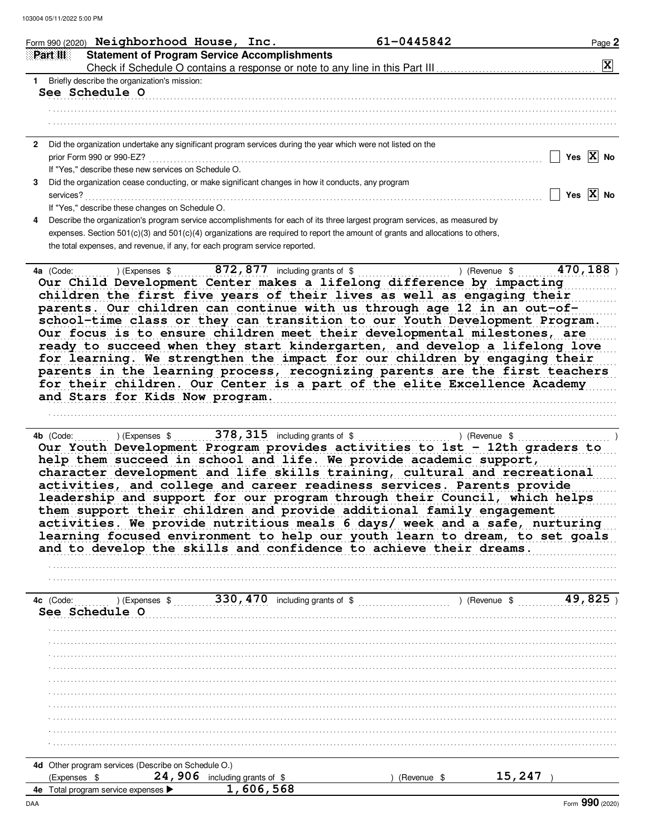|    | Form 990 (2020) Neighborhood House, Inc.<br>61-0445842                                                                             | Page 2                |
|----|------------------------------------------------------------------------------------------------------------------------------------|-----------------------|
|    | Part III<br><b>Statement of Program Service Accomplishments</b>                                                                    |                       |
|    |                                                                                                                                    | $ \mathbf{X} $        |
| 1. | Briefly describe the organization's mission:                                                                                       |                       |
|    | <b>See Schedule O</b>                                                                                                              |                       |
|    |                                                                                                                                    |                       |
|    |                                                                                                                                    |                       |
|    |                                                                                                                                    |                       |
| 2  | Did the organization undertake any significant program services during the year which were not listed on the                       |                       |
|    | prior Form 990 or 990-EZ?                                                                                                          | Yes $\overline{X}$ No |
|    | If "Yes," describe these new services on Schedule O.                                                                               |                       |
| з  | Did the organization cease conducting, or make significant changes in how it conducts, any program                                 |                       |
|    | services?                                                                                                                          | Yes $\overline{X}$ No |
|    | If "Yes," describe these changes on Schedule O.                                                                                    |                       |
| 4  | Describe the organization's program service accomplishments for each of its three largest program services, as measured by         |                       |
|    | expenses. Section $501(c)(3)$ and $501(c)(4)$ organizations are required to report the amount of grants and allocations to others, |                       |
|    | the total expenses, and revenue, if any, for each program service reported.                                                        |                       |
|    |                                                                                                                                    |                       |
|    | ) (Expenses $$872, 877$ including grants of $$$<br>4a (Code:<br>) (Revenue \$                                                      | 470, 188              |
|    | Our Child Development Center makes a lifelong difference by impacting                                                              |                       |
|    | children the first five vears of their lives as well as engaging their                                                             |                       |

as well as gaging thei parents. Our children can continue with us through age 12 in an out-ofschool-time class or they can transition to our Youth Development Program. Our focus is to ensure children meet their developmental milestones, are ready to succeed when they start kindergarten, and develop a lifelong love for learning. We strengthen the impact for our children by engaging their parents in the learning process, recognizing parents are the first teachers for their children. Our Center is a part of the elite Excellence Academy and Stars for Kids Now program.

4b (Code:  $($ ) (Expenses \$ 378, 315 including grants of \$ (Revenue \$ ) Our Youth Development Program provides activities to 1st - 12th graders to help them succeed in school and life. We provide academic support, character development and life skills training, cultural and recreational activities, and college and career readiness services. Parents provide leadership and support for our program through their Council, which helps them support their children and provide additional family engagement activities. We provide nutritious meals 6 days/ week and a safe, nurturing learning focused environment to help our youth learn to dream, to set goals and to develop the skills and confidence to achieve their dreams.

| 4c (Code:<br>See Schedule O                         | (Expenses \$ |                                | 330, 470 including grants of \$ |  |             | ) (Revenue \$ |        | 49,82 |
|-----------------------------------------------------|--------------|--------------------------------|---------------------------------|--|-------------|---------------|--------|-------|
|                                                     |              |                                |                                 |  |             |               |        |       |
|                                                     |              |                                |                                 |  |             |               |        |       |
|                                                     |              |                                |                                 |  |             |               |        |       |
|                                                     |              |                                |                                 |  |             |               |        |       |
|                                                     |              |                                |                                 |  |             |               |        |       |
|                                                     |              |                                |                                 |  |             |               |        |       |
|                                                     |              |                                |                                 |  |             |               |        |       |
|                                                     |              |                                |                                 |  |             |               |        |       |
|                                                     |              |                                |                                 |  |             |               |        |       |
|                                                     |              |                                |                                 |  |             |               |        |       |
| 4d Other program services (Describe on Schedule O.) |              |                                |                                 |  |             |               |        |       |
| $(Express$ \$                                       |              | 24, 906 including grants of \$ |                                 |  | (Revenue \$ |               | 15,247 |       |
| 4e Total program service expenses >                 |              | 1,606,568                      |                                 |  |             |               |        |       |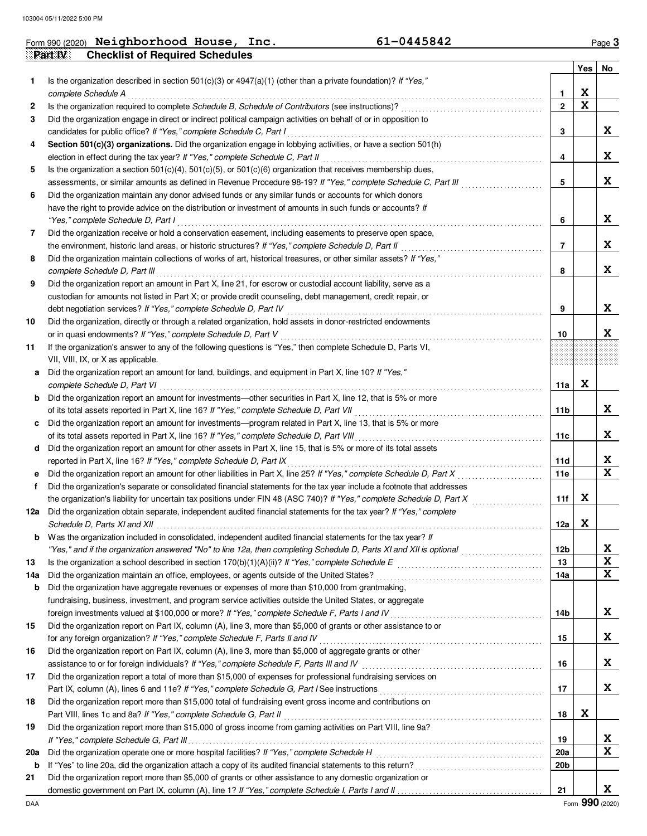|     | <b>Checklist of Required Schedules</b><br>Part IV                                                                                                                                                                                                 |                 |                         |    |
|-----|---------------------------------------------------------------------------------------------------------------------------------------------------------------------------------------------------------------------------------------------------|-----------------|-------------------------|----|
|     |                                                                                                                                                                                                                                                   |                 | Yes                     | No |
| 1.  | Is the organization described in section 501(c)(3) or $4947(a)(1)$ (other than a private foundation)? If "Yes,"                                                                                                                                   |                 |                         |    |
|     | complete Schedule A                                                                                                                                                                                                                               | 1               | X                       |    |
| 2   | Is the organization required to complete Schedule B, Schedule of Contributors (see instructions)?                                                                                                                                                 | $\mathbf{2}$    | $\overline{\mathbf{x}}$ |    |
| 3   | Did the organization engage in direct or indirect political campaign activities on behalf of or in opposition to                                                                                                                                  |                 |                         |    |
|     | candidates for public office? If "Yes," complete Schedule C, Part I                                                                                                                                                                               | 3               |                         | X  |
| 4   | Section 501(c)(3) organizations. Did the organization engage in lobbying activities, or have a section 501(h)                                                                                                                                     |                 |                         |    |
|     | election in effect during the tax year? If "Yes," complete Schedule C, Part II                                                                                                                                                                    | 4               |                         | X  |
| 5   | Is the organization a section $501(c)(4)$ , $501(c)(5)$ , or $501(c)(6)$ organization that receives membership dues,                                                                                                                              |                 |                         |    |
|     | assessments, or similar amounts as defined in Revenue Procedure 98-19? If "Yes," complete Schedule C, Part III                                                                                                                                    | 5               |                         | X  |
| 6   | Did the organization maintain any donor advised funds or any similar funds or accounts for which donors                                                                                                                                           |                 |                         |    |
|     | have the right to provide advice on the distribution or investment of amounts in such funds or accounts? If                                                                                                                                       |                 |                         |    |
|     | "Yes," complete Schedule D, Part I                                                                                                                                                                                                                | 6               |                         | X  |
| 7   | Did the organization receive or hold a conservation easement, including easements to preserve open space,                                                                                                                                         |                 |                         |    |
|     | the environment, historic land areas, or historic structures? If "Yes," complete Schedule D, Part II                                                                                                                                              | 7               |                         | X  |
| 8   | Did the organization maintain collections of works of art, historical treasures, or other similar assets? If "Yes,"                                                                                                                               |                 |                         |    |
|     | complete Schedule D, Part III                                                                                                                                                                                                                     | 8               |                         | X  |
| 9   | Did the organization report an amount in Part X, line 21, for escrow or custodial account liability, serve as a                                                                                                                                   |                 |                         |    |
|     | custodian for amounts not listed in Part X; or provide credit counseling, debt management, credit repair, or                                                                                                                                      |                 |                         |    |
|     | debt negotiation services? If "Yes," complete Schedule D, Part IV                                                                                                                                                                                 | 9               |                         | X  |
| 10  | Did the organization, directly or through a related organization, hold assets in donor-restricted endowments                                                                                                                                      |                 |                         |    |
|     | or in quasi endowments? If "Yes," complete Schedule D, Part V                                                                                                                                                                                     | 10              |                         | X  |
| 11  | If the organization's answer to any of the following questions is "Yes," then complete Schedule D, Parts VI,                                                                                                                                      |                 |                         |    |
|     | VII, VIII, IX, or X as applicable.                                                                                                                                                                                                                |                 |                         |    |
| а   | Did the organization report an amount for land, buildings, and equipment in Part X, line 10? If "Yes,"                                                                                                                                            |                 |                         |    |
|     | complete Schedule D, Part VI                                                                                                                                                                                                                      | 11a             | X                       |    |
| b   | Did the organization report an amount for investments—other securities in Part X, line 12, that is 5% or more                                                                                                                                     |                 |                         |    |
|     | of its total assets reported in Part X, line 16? If "Yes," complete Schedule D, Part VII                                                                                                                                                          | 11b             |                         | X  |
| c   | Did the organization report an amount for investments-program related in Part X, line 13, that is 5% or more                                                                                                                                      |                 |                         |    |
|     | of its total assets reported in Part X, line 16? If "Yes," complete Schedule D, Part VIII                                                                                                                                                         | 11c             |                         | X  |
| d   | Did the organization report an amount for other assets in Part X, line 15, that is 5% or more of its total assets                                                                                                                                 |                 |                         |    |
|     | reported in Part X, line 16? If "Yes," complete Schedule D, Part IX                                                                                                                                                                               | 11d             |                         | X  |
|     | Did the organization report an amount for other liabilities in Part X, line 25? If "Yes," complete Schedule D, Part X                                                                                                                             | 11e             |                         | X  |
| е   |                                                                                                                                                                                                                                                   |                 |                         |    |
| f   | Did the organization's separate or consolidated financial statements for the tax year include a footnote that addresses<br>the organization's liability for uncertain tax positions under FIN 48 (ASC 740)? If "Yes," complete Schedule D, Part X |                 | X                       |    |
|     |                                                                                                                                                                                                                                                   | 11f             |                         |    |
| 12a | Did the organization obtain separate, independent audited financial statements for the tax year? If "Yes," complete                                                                                                                               |                 | X                       |    |
|     | Schedule D, Parts XI and XII                                                                                                                                                                                                                      | 12a             |                         |    |
| b   | Was the organization included in consolidated, independent audited financial statements for the tax year? If                                                                                                                                      |                 |                         |    |
|     |                                                                                                                                                                                                                                                   | 12 <sub>b</sub> |                         | X  |
| 13  |                                                                                                                                                                                                                                                   | 13              |                         | X  |
| 14a | Did the organization maintain an office, employees, or agents outside of the United States?                                                                                                                                                       | 14a             |                         | X  |
| b   | Did the organization have aggregate revenues or expenses of more than \$10,000 from grantmaking,                                                                                                                                                  |                 |                         |    |
|     | fundraising, business, investment, and program service activities outside the United States, or aggregate                                                                                                                                         |                 |                         |    |
|     |                                                                                                                                                                                                                                                   | 14b             |                         | X  |
| 15  | Did the organization report on Part IX, column (A), line 3, more than \$5,000 of grants or other assistance to or                                                                                                                                 |                 |                         |    |
|     | for any foreign organization? If "Yes," complete Schedule F, Parts II and IV                                                                                                                                                                      | 15              |                         | X  |
| 16  | Did the organization report on Part IX, column (A), line 3, more than \$5,000 of aggregate grants or other                                                                                                                                        |                 |                         |    |
|     | assistance to or for foreign individuals? If "Yes," complete Schedule F, Parts III and IV [[[[[[[[[[[[[[[[[[[                                                                                                                                     | 16              |                         | X  |
| 17  | Did the organization report a total of more than \$15,000 of expenses for professional fundraising services on                                                                                                                                    |                 |                         |    |
|     |                                                                                                                                                                                                                                                   | 17              |                         | X. |
| 18  | Did the organization report more than \$15,000 total of fundraising event gross income and contributions on                                                                                                                                       |                 |                         |    |
|     | Part VIII, lines 1c and 8a? If "Yes," complete Schedule G, Part II                                                                                                                                                                                | 18              | X                       |    |
| 19  | Did the organization report more than \$15,000 of gross income from gaming activities on Part VIII, line 9a?                                                                                                                                      |                 |                         |    |
|     |                                                                                                                                                                                                                                                   | 19              |                         | X  |
| 20a | Did the organization operate one or more hospital facilities? If "Yes," complete Schedule H                                                                                                                                                       | 20a             |                         | X  |
| b   |                                                                                                                                                                                                                                                   | 20 <sub>b</sub> |                         |    |
| 21  | Did the organization report more than \$5,000 of grants or other assistance to any domestic organization or                                                                                                                                       |                 |                         |    |
|     |                                                                                                                                                                                                                                                   | 21              |                         | X. |

|  | Form 990 (2020) $Neighbourhood$ House, |  | Inc. | 61-0445842 | $a$ aqe $3$ |
|--|----------------------------------------|--|------|------------|-------------|
|--|----------------------------------------|--|------|------------|-------------|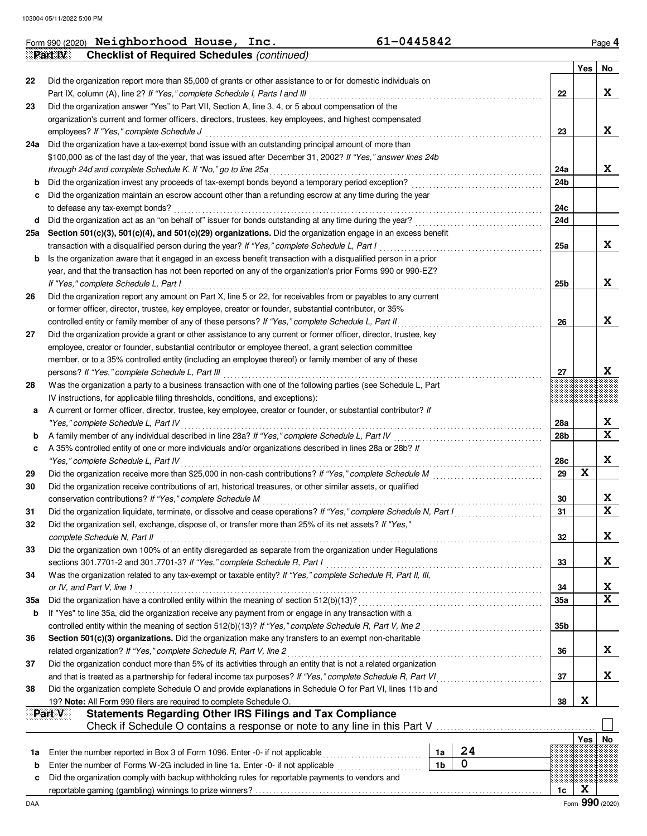|     | <b>Checklist of Required Schedules (continued)</b><br>Part IV                                                                                                                                       |                        |             |                              |
|-----|-----------------------------------------------------------------------------------------------------------------------------------------------------------------------------------------------------|------------------------|-------------|------------------------------|
|     |                                                                                                                                                                                                     |                        | Yes         | No                           |
| 22  | Did the organization report more than \$5,000 of grants or other assistance to or for domestic individuals on<br>Part IX, column (A), line 2? If "Yes," complete Schedule I, Parts I and III        | 22                     |             | X.                           |
| 23  | Did the organization answer "Yes" to Part VII, Section A, line 3, 4, or 5 about compensation of the                                                                                                 |                        |             |                              |
|     | organization's current and former officers, directors, trustees, key employees, and highest compensated                                                                                             |                        |             |                              |
|     | employees? If "Yes," complete Schedule J                                                                                                                                                            | 23                     |             | X.                           |
| 24a | Did the organization have a tax-exempt bond issue with an outstanding principal amount of more than                                                                                                 |                        |             |                              |
|     | \$100,000 as of the last day of the year, that was issued after December 31, 2002? If "Yes," answer lines 24b                                                                                       |                        |             |                              |
|     | through 24d and complete Schedule K. If "No," go to line 25a                                                                                                                                        | 24a                    |             | X                            |
| b   |                                                                                                                                                                                                     | 24b                    |             |                              |
| с   | Did the organization maintain an escrow account other than a refunding escrow at any time during the year                                                                                           |                        |             |                              |
|     | to defease any tax-exempt bonds?                                                                                                                                                                    | 24c                    |             |                              |
| d   | Did the organization act as an "on behalf of" issuer for bonds outstanding at any time during the year?                                                                                             | 24d                    |             |                              |
| 25a | Section 501(c)(3), 501(c)(4), and 501(c)(29) organizations. Did the organization engage in an excess benefit                                                                                        |                        |             |                              |
|     | transaction with a disqualified person during the year? If "Yes," complete Schedule L, Part I                                                                                                       | 25a                    |             | X.                           |
| b   | Is the organization aware that it engaged in an excess benefit transaction with a disqualified person in a prior                                                                                    |                        |             |                              |
|     | year, and that the transaction has not been reported on any of the organization's prior Forms 990 or 990-EZ?                                                                                        |                        |             |                              |
|     | If "Yes," complete Schedule L, Part I                                                                                                                                                               | 25 <sub>b</sub>        |             | X                            |
| 26  | Did the organization report any amount on Part X, line 5 or 22, for receivables from or payables to any current                                                                                     |                        |             |                              |
|     | or former officer, director, trustee, key employee, creator or founder, substantial contributor, or 35%                                                                                             |                        |             |                              |
|     | controlled entity or family member of any of these persons? If "Yes," complete Schedule L, Part II                                                                                                  | 26                     |             | X                            |
| 27  | Did the organization provide a grant or other assistance to any current or former officer, director, trustee, key                                                                                   |                        |             |                              |
|     | employee, creator or founder, substantial contributor or employee thereof, a grant selection committee                                                                                              |                        |             |                              |
|     | member, or to a 35% controlled entity (including an employee thereof) or family member of any of these                                                                                              |                        |             |                              |
|     | persons? If "Yes," complete Schedule L, Part III                                                                                                                                                    | 27                     |             | X                            |
|     | Was the organization a party to a business transaction with one of the following parties (see Schedule L, Part                                                                                      |                        |             |                              |
| 28  |                                                                                                                                                                                                     |                        |             |                              |
|     | IV instructions, for applicable filing thresholds, conditions, and exceptions):<br>A current or former officer, director, trustee, key employee, creator or founder, or substantial contributor? If |                        |             |                              |
| а   |                                                                                                                                                                                                     |                        |             | X                            |
|     | "Yes," complete Schedule L, Part IV                                                                                                                                                                 | 28a<br>28 <sub>b</sub> |             | $\overline{\mathbf{x}}$      |
| b   | A family member of any individual described in line 28a? If "Yes," complete Schedule L, Part IV                                                                                                     |                        |             |                              |
| с   | A 35% controlled entity of one or more individuals and/or organizations described in lines 28a or 28b? If                                                                                           |                        |             | X                            |
|     | "Yes," complete Schedule L, Part IV                                                                                                                                                                 | 28c<br>29              | $\mathbf x$ |                              |
| 29  |                                                                                                                                                                                                     |                        |             |                              |
| 30  | Did the organization receive contributions of art, historical treasures, or other similar assets, or qualified                                                                                      |                        |             |                              |
|     | conservation contributions? If "Yes," complete Schedule M                                                                                                                                           | 30                     |             | X<br>$\overline{\mathbf{x}}$ |
| 31  | Did the organization liquidate, terminate, or dissolve and cease operations? If "Yes," complete Schedule N, Part I                                                                                  | 31                     |             |                              |
| 32  | Did the organization sell, exchange, dispose of, or transfer more than 25% of its net assets? If "Yes,"                                                                                             |                        |             |                              |
|     | complete Schedule N, Part II                                                                                                                                                                        | 32                     |             | X                            |
| 33  | Did the organization own 100% of an entity disregarded as separate from the organization under Regulations                                                                                          |                        |             |                              |
|     | sections 301.7701-2 and 301.7701-3? If "Yes," complete Schedule R, Part I                                                                                                                           | 33                     |             | X                            |
| 34  | Was the organization related to any tax-exempt or taxable entity? If "Yes," complete Schedule R, Part II, III,                                                                                      |                        |             |                              |
|     | or IV, and Part V, line 1                                                                                                                                                                           | 34                     |             | X<br>$\overline{\mathbf{x}}$ |
| 35a |                                                                                                                                                                                                     | 35a                    |             |                              |
| b   | If "Yes" to line 35a, did the organization receive any payment from or engage in any transaction with a                                                                                             |                        |             |                              |
|     | controlled entity within the meaning of section 512(b)(13)? If "Yes," complete Schedule R, Part V, line 2                                                                                           | 35b                    |             |                              |
| 36  | Section 501(c)(3) organizations. Did the organization make any transfers to an exempt non-charitable                                                                                                |                        |             |                              |
|     | related organization? If "Yes," complete Schedule R, Part V, line 2                                                                                                                                 | 36                     |             | X.                           |
| 37  | Did the organization conduct more than 5% of its activities through an entity that is not a related organization                                                                                    |                        |             |                              |
|     | and that is treated as a partnership for federal income tax purposes? If "Yes," complete Schedule R, Part VI                                                                                        | 37                     |             | X.                           |
| 38  | Did the organization complete Schedule O and provide explanations in Schedule O for Part VI, lines 11b and                                                                                          |                        |             |                              |
|     | 19? Note: All Form 990 filers are required to complete Schedule O.                                                                                                                                  | 38                     | X           |                              |
|     | <b>Statements Regarding Other IRS Filings and Tax Compliance</b><br>Part V                                                                                                                          |                        |             |                              |
|     | Check if Schedule O contains a response or note to any line in this Part V                                                                                                                          |                        |             |                              |
|     |                                                                                                                                                                                                     |                        | Yes         | No                           |
| 1a  | 24<br>Enter the number reported in Box 3 of Form 1096. Enter -0- if not applicable<br>1a                                                                                                            |                        |             |                              |
| b   | $\mathbf 0$<br>1 <sub>b</sub><br>Enter the number of Forms W-2G included in line 1a. Enter -0- if not applicable                                                                                    |                        |             |                              |
|     | Did the organization comply with backup withholding rules for reportable payments to vendors and                                                                                                    |                        |             |                              |
| c   |                                                                                                                                                                                                     | 1c                     | X           |                              |

**Neighborhood House, Inc. 61-0445842**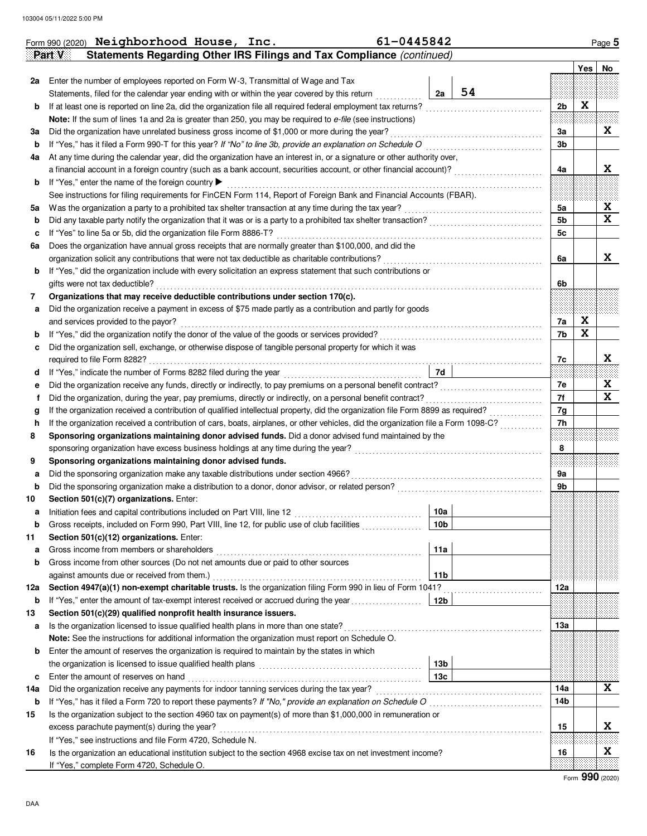|         | Form 990 (2020) Neighborhood House, Inc.<br>61-0445842<br>Statements Regarding Other IRS Filings and Tax Compliance (continued)<br>Part V                                                         |                 |    |                |            | Page 5                  |
|---------|---------------------------------------------------------------------------------------------------------------------------------------------------------------------------------------------------|-----------------|----|----------------|------------|-------------------------|
|         |                                                                                                                                                                                                   |                 |    |                | <b>Yes</b> | No                      |
| 2a      | Enter the number of employees reported on Form W-3, Transmittal of Wage and Tax                                                                                                                   |                 |    |                |            |                         |
|         | Statements, filed for the calendar year ending with or within the year covered by this return                                                                                                     | 2a              | 54 |                |            |                         |
| b       | If at least one is reported on line 2a, did the organization file all required federal employment tax returns?                                                                                    |                 |    | 2 <sub>b</sub> | X          |                         |
|         | Note: If the sum of lines 1a and 2a is greater than 250, you may be required to e-file (see instructions)                                                                                         |                 |    |                |            |                         |
| За      | Did the organization have unrelated business gross income of \$1,000 or more during the year?                                                                                                     |                 |    | Зa             |            | X                       |
| b       | If "Yes," has it filed a Form 990-T for this year? If "No" to line 3b, provide an explanation on Schedule O                                                                                       |                 |    | 3b             |            |                         |
| 4a      | At any time during the calendar year, did the organization have an interest in, or a signature or other authority over,                                                                           |                 |    |                |            |                         |
|         |                                                                                                                                                                                                   |                 |    | 4a             |            | X                       |
| b       | If "Yes," enter the name of the foreign country ▶<br>See instructions for filing requirements for FinCEN Form 114, Report of Foreign Bank and Financial Accounts (FBAR).                          |                 |    |                |            |                         |
|         |                                                                                                                                                                                                   |                 |    | 5a             |            | X                       |
| 5a<br>b | Did any taxable party notify the organization that it was or is a party to a prohibited tax shelter transaction?                                                                                  |                 |    | 5b             |            | $\overline{\mathbf{x}}$ |
| c       | If "Yes" to line 5a or 5b, did the organization file Form 8886-T?                                                                                                                                 |                 |    | 5c             |            |                         |
| 6a      | Does the organization have annual gross receipts that are normally greater than \$100,000, and did the                                                                                            |                 |    |                |            |                         |
|         | organization solicit any contributions that were not tax deductible as charitable contributions?                                                                                                  |                 |    | 6a             |            | X                       |
| b       | If "Yes," did the organization include with every solicitation an express statement that such contributions or                                                                                    |                 |    |                |            |                         |
|         | gifts were not tax deductible?                                                                                                                                                                    |                 |    | 6b             |            |                         |
| 7       | Organizations that may receive deductible contributions under section 170(c).                                                                                                                     |                 |    |                |            |                         |
| а       | Did the organization receive a payment in excess of \$75 made partly as a contribution and partly for goods                                                                                       |                 |    |                |            |                         |
|         | and services provided to the payor?                                                                                                                                                               |                 |    | 7a             | X          |                         |
| b       |                                                                                                                                                                                                   |                 |    | 7b             | X          |                         |
| c       | Did the organization sell, exchange, or otherwise dispose of tangible personal property for which it was                                                                                          |                 |    |                |            |                         |
|         | required to file Form 8282?                                                                                                                                                                       |                 |    | 7c             |            | X                       |
| d       | If "Yes," indicate the number of Forms 8282 filed during the year<br>[[[[[[[[[[[[[[[[[[[]]]]]]]]                                                                                                  | 7d              |    |                |            |                         |
| е       |                                                                                                                                                                                                   |                 |    | 7e             |            | X                       |
| f       |                                                                                                                                                                                                   |                 |    | 7f             |            | $\mathbf x$             |
| g       | If the organization received a contribution of qualified intellectual property, did the organization file Form 8899 as required?                                                                  |                 |    | 7g             |            |                         |
| h       | If the organization received a contribution of cars, boats, airplanes, or other vehicles, did the organization file a Form 1098-C?                                                                |                 |    | 7h             |            |                         |
| 8       | Sponsoring organizations maintaining donor advised funds. Did a donor advised fund maintained by the                                                                                              |                 |    |                |            |                         |
|         |                                                                                                                                                                                                   |                 |    | 8              |            |                         |
| 9       | Sponsoring organizations maintaining donor advised funds.                                                                                                                                         |                 |    |                |            |                         |
| а       | Did the sponsoring organization make any taxable distributions under section 4966?                                                                                                                |                 |    | <b>9a</b>      |            |                         |
| b       |                                                                                                                                                                                                   |                 |    | 9b             |            |                         |
| 10      | Section 501(c)(7) organizations. Enter:                                                                                                                                                           |                 |    |                |            |                         |
| a       |                                                                                                                                                                                                   | 10a             |    |                |            |                         |
| b       | Gross receipts, included on Form 990, Part VIII, line 12, for public use of club facilities                                                                                                       | 10 <sub>b</sub> |    |                |            |                         |
| 11      | Section 501(c)(12) organizations. Enter:                                                                                                                                                          |                 |    |                |            |                         |
| а       | Gross income from members or shareholders                                                                                                                                                         | 11a             |    |                |            |                         |
| b       | Gross income from other sources (Do not net amounts due or paid to other sources                                                                                                                  |                 |    |                |            |                         |
|         | against amounts due or received from them.)                                                                                                                                                       | 11b             |    |                |            |                         |
| 12a     | Section 4947(a)(1) non-exempt charitable trusts. Is the organization filing Form 990 in lieu of Form 1041?                                                                                        |                 |    | 12a            |            |                         |
| b       | If "Yes," enter the amount of tax-exempt interest received or accrued during the year                                                                                                             | 12b             |    |                |            |                         |
| 13      | Section 501(c)(29) qualified nonprofit health insurance issuers.                                                                                                                                  |                 |    |                |            |                         |
| а       | Is the organization licensed to issue qualified health plans in more than one state?                                                                                                              |                 |    | 13а            |            |                         |
|         | Note: See the instructions for additional information the organization must report on Schedule O.<br>Enter the amount of reserves the organization is required to maintain by the states in which |                 |    |                |            |                         |
| b       |                                                                                                                                                                                                   | 13b             |    |                |            |                         |
| c       | Enter the amount of reserves on hand                                                                                                                                                              | 13с             |    |                |            |                         |
| 14а     |                                                                                                                                                                                                   |                 |    | 14a            |            | X                       |
| b       | If "Yes," has it filed a Form 720 to report these payments? If "No," provide an explanation on Schedule O                                                                                         |                 |    | 14b            |            |                         |
| 15      | Is the organization subject to the section 4960 tax on payment(s) of more than \$1,000,000 in remuneration or                                                                                     |                 |    |                |            |                         |
|         | excess parachute payment(s) during the year?                                                                                                                                                      |                 |    | 15             |            | X                       |
|         | If "Yes," see instructions and file Form 4720, Schedule N.                                                                                                                                        |                 |    |                |            |                         |
| 16      | Is the organization an educational institution subject to the section 4968 excise tax on net investment income?                                                                                   |                 |    | 16             |            | X                       |
|         | If "Yes," complete Form 4720, Schedule O.                                                                                                                                                         |                 |    |                |            |                         |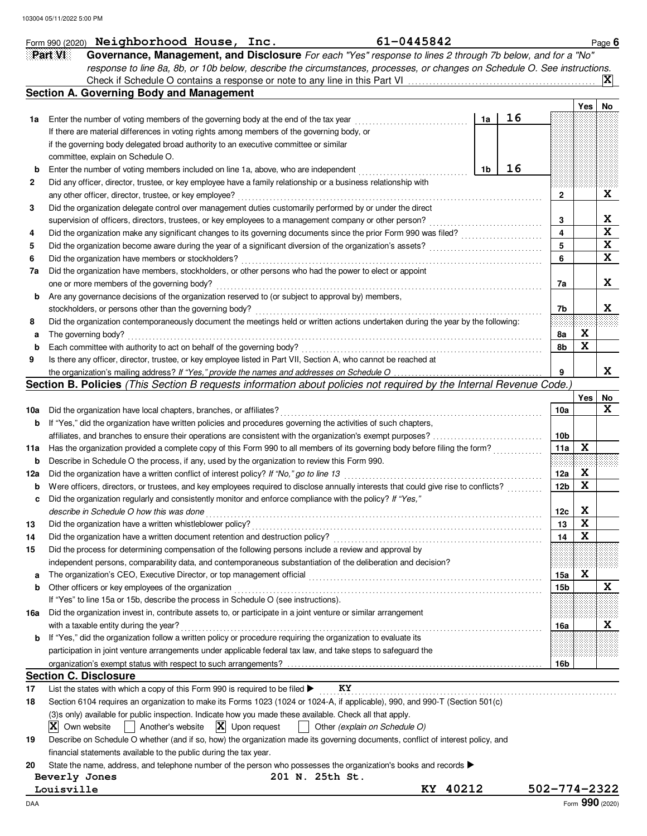|             | 61-0445842<br>Form 990 (2020) Neighborhood House, Inc.                                                                                                                                                                       |    |    |              |     | Page 6  |
|-------------|------------------------------------------------------------------------------------------------------------------------------------------------------------------------------------------------------------------------------|----|----|--------------|-----|---------|
|             | Part VI<br>Governance, Management, and Disclosure For each "Yes" response to lines 2 through 7b below, and for a "No"                                                                                                        |    |    |              |     |         |
|             | response to line 8a, 8b, or 10b below, describe the circumstances, processes, or changes on Schedule O. See instructions.                                                                                                    |    |    |              |     |         |
|             | Check if Schedule O contains a response or note to any line in this Part VI                                                                                                                                                  |    |    |              |     | IХ      |
|             | <b>Section A. Governing Body and Management</b>                                                                                                                                                                              |    |    |              |     |         |
|             |                                                                                                                                                                                                                              |    |    |              | Yes | No      |
| 1a          | Enter the number of voting members of the governing body at the end of the tax year                                                                                                                                          | 1a | 16 |              |     |         |
|             | If there are material differences in voting rights among members of the governing body, or                                                                                                                                   |    |    |              |     |         |
|             | if the governing body delegated broad authority to an executive committee or similar                                                                                                                                         |    |    |              |     |         |
|             | committee, explain on Schedule O.                                                                                                                                                                                            |    |    |              |     |         |
| b           | Enter the number of voting members included on line 1a, above, who are independent                                                                                                                                           | 1b | 16 |              |     |         |
| 2           | Did any officer, director, trustee, or key employee have a family relationship or a business relationship with                                                                                                               |    |    |              |     |         |
|             | any other officer, director, trustee, or key employee?                                                                                                                                                                       |    |    | $\mathbf{2}$ |     | X       |
| 3           | Did the organization delegate control over management duties customarily performed by or under the direct                                                                                                                    |    |    |              |     |         |
|             | supervision of officers, directors, trustees, or key employees to a management company or other person?                                                                                                                      |    |    | 3            |     | X       |
| 4           | Did the organization make any significant changes to its governing documents since the prior Form 990 was filed?                                                                                                             |    |    | 4            |     | X<br>X  |
| 5           | Did the organization become aware during the year of a significant diversion of the organization's assets?                                                                                                                   |    |    | 5            |     |         |
| 6           | Did the organization have members or stockholders?                                                                                                                                                                           |    |    | 6            |     | X       |
| 7a          | Did the organization have members, stockholders, or other persons who had the power to elect or appoint                                                                                                                      |    |    |              |     |         |
|             | one or more members of the governing body?                                                                                                                                                                                   |    |    | 7a           |     | X       |
| b           | Are any governance decisions of the organization reserved to (or subject to approval by) members,                                                                                                                            |    |    |              |     |         |
|             | stockholders, or persons other than the governing body?                                                                                                                                                                      |    |    | 7b           |     | X       |
| 8           | Did the organization contemporaneously document the meetings held or written actions undertaken during the year by the following:                                                                                            |    |    |              |     |         |
| а           | The governing body?                                                                                                                                                                                                          |    |    | 8a           | X   |         |
| b           | Each committee with authority to act on behalf of the governing body?                                                                                                                                                        |    |    | 8b           | X   |         |
| 9           | Is there any officer, director, trustee, or key employee listed in Part VII, Section A, who cannot be reached at                                                                                                             |    |    |              |     | X       |
|             | the organization's mailing address? If "Yes," provide the names and addresses on Schedule O<br>Section B. Policies (This Section B requests information about policies not required by the Internal Revenue Code.)           |    |    | 9            |     |         |
|             |                                                                                                                                                                                                                              |    |    |              |     |         |
|             |                                                                                                                                                                                                                              |    |    | 10a          | Yes | No<br>X |
| 10a         | Did the organization have local chapters, branches, or affiliates?                                                                                                                                                           |    |    |              |     |         |
| b           | If "Yes," did the organization have written policies and procedures governing the activities of such chapters,                                                                                                               |    |    |              |     |         |
|             | affiliates, and branches to ensure their operations are consistent with the organization's exempt purposes?                                                                                                                  |    |    | 10b<br>11a   | X   |         |
| 11a         | Has the organization provided a complete copy of this Form 990 to all members of its governing body before filing the form?<br>Describe in Schedule O the process, if any, used by the organization to review this Form 990. |    |    |              |     |         |
| b           | Did the organization have a written conflict of interest policy? If "No," go to line 13                                                                                                                                      |    |    | 12a          | X   |         |
| 12a         | Were officers, directors, or trustees, and key employees required to disclose annually interests that could give rise to conflicts?                                                                                          |    |    | 12b          | X   |         |
| $\mathbf b$ | Did the organization regularly and consistently monitor and enforce compliance with the policy? If "Yes,"                                                                                                                    |    |    |              |     |         |
| c           | describe in Schedule O how this was done                                                                                                                                                                                     |    |    |              | X   |         |
| 13          | Did the organization have a written whistleblower policy?                                                                                                                                                                    |    |    | 12c<br>13    | X   |         |
| 14          | Did the organization have a written document retention and destruction policy?                                                                                                                                               |    |    | 14           | X   |         |
| 15          | Did the process for determining compensation of the following persons include a review and approval by                                                                                                                       |    |    |              |     |         |
|             | independent persons, comparability data, and contemporaneous substantiation of the deliberation and decision?                                                                                                                |    |    |              |     |         |
| а           | The organization's CEO, Executive Director, or top management official                                                                                                                                                       |    |    | 15a          | X   |         |
| b           | Other officers or key employees of the organization                                                                                                                                                                          |    |    | 15b          |     | X       |
|             | If "Yes" to line 15a or 15b, describe the process in Schedule O (see instructions).                                                                                                                                          |    |    |              |     |         |
| 16a         | Did the organization invest in, contribute assets to, or participate in a joint venture or similar arrangement                                                                                                               |    |    |              |     |         |
|             | with a taxable entity during the year?                                                                                                                                                                                       |    |    | 16a          |     | X.      |
| b           | If "Yes," did the organization follow a written policy or procedure requiring the organization to evaluate its                                                                                                               |    |    |              |     |         |
|             | participation in joint venture arrangements under applicable federal tax law, and take steps to safeguard the                                                                                                                |    |    |              |     |         |
|             |                                                                                                                                                                                                                              |    |    | 16b          |     |         |
|             | <b>Section C. Disclosure</b>                                                                                                                                                                                                 |    |    |              |     |         |
| 17          | KY<br>List the states with which a copy of this Form 990 is required to be filed $\blacktriangleright$                                                                                                                       |    |    |              |     |         |
| 18          | Section 6104 requires an organization to make its Forms 1023 (1024 or 1024-A, if applicable), 990, and 990-T (Section 501(c)                                                                                                 |    |    |              |     |         |
|             | (3)s only) available for public inspection. Indicate how you made these available. Check all that apply.                                                                                                                     |    |    |              |     |         |
|             | $\mathbf{X}$ Upon request<br>$ \mathbf{X} $ Own website<br>Another's website<br>Other (explain on Schedule O)                                                                                                                |    |    |              |     |         |
| 19          | Describe on Schedule O whether (and if so, how) the organization made its governing documents, conflict of interest policy, and                                                                                              |    |    |              |     |         |
|             | financial statements available to the public during the tax year.                                                                                                                                                            |    |    |              |     |         |
| 20          | State the name, address, and telephone number of the person who possesses the organization's books and records                                                                                                               |    |    |              |     |         |
|             | Beverly Jones<br>201 N. 25th St.                                                                                                                                                                                             |    |    |              |     |         |
|             | KY 40212<br>Louisville                                                                                                                                                                                                       |    |    | 502-774-2322 |     |         |
|             |                                                                                                                                                                                                                              |    |    |              |     |         |

DAA Form **990** (2020)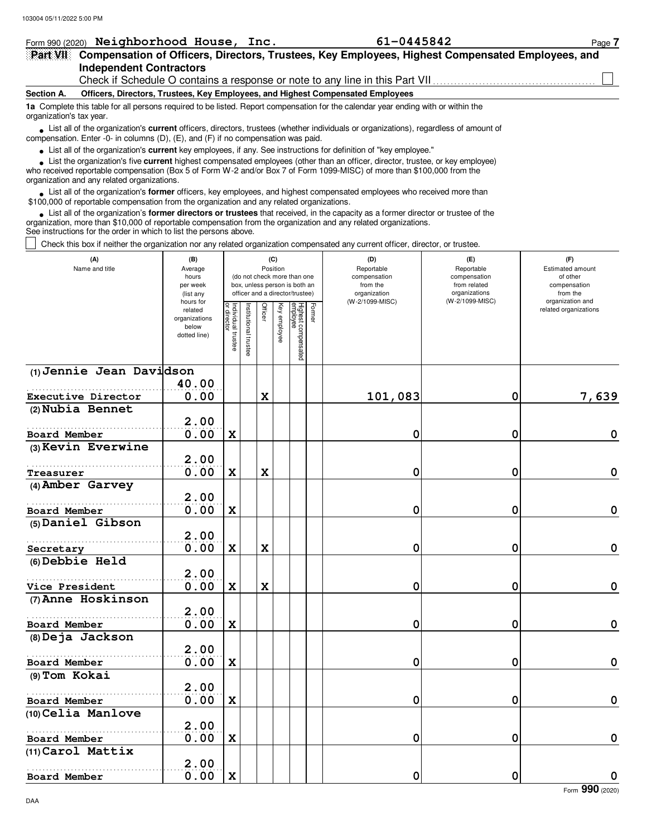| 103004 05/11/2022 5:00 PM                                                                                                                                                                                                                                                                                                     |                                                                |                                   |                       |             |                 |                                                                                                 |        |                                                                                 |                                               |                                           |
|-------------------------------------------------------------------------------------------------------------------------------------------------------------------------------------------------------------------------------------------------------------------------------------------------------------------------------|----------------------------------------------------------------|-----------------------------------|-----------------------|-------------|-----------------|-------------------------------------------------------------------------------------------------|--------|---------------------------------------------------------------------------------|-----------------------------------------------|-------------------------------------------|
| Form 990 (2020) Neighborhood House, Inc.                                                                                                                                                                                                                                                                                      |                                                                |                                   |                       |             |                 |                                                                                                 |        | 61-0445842                                                                      |                                               | Page 7                                    |
| Part VII Compensation of Officers, Directors, Trustees, Key Employees, Highest Compensated Employees, and                                                                                                                                                                                                                     |                                                                |                                   |                       |             |                 |                                                                                                 |        |                                                                                 |                                               |                                           |
| <b>Independent Contractors</b>                                                                                                                                                                                                                                                                                                |                                                                |                                   |                       |             |                 |                                                                                                 |        |                                                                                 |                                               |                                           |
|                                                                                                                                                                                                                                                                                                                               |                                                                |                                   |                       |             |                 |                                                                                                 |        | Check if Schedule O contains a response or note to any line in this Part VII    |                                               |                                           |
| Section A.                                                                                                                                                                                                                                                                                                                    |                                                                |                                   |                       |             |                 |                                                                                                 |        | Officers, Directors, Trustees, Key Employees, and Highest Compensated Employees |                                               |                                           |
| 1a Complete this table for all persons required to be listed. Report compensation for the calendar year ending with or within the<br>organization's tax year.                                                                                                                                                                 |                                                                |                                   |                       |             |                 |                                                                                                 |        |                                                                                 |                                               |                                           |
| List all of the organization's <b>current</b> officers, directors, trustees (whether individuals or organizations), regardless of amount of<br>compensation. Enter -0- in columns (D), (E), and (F) if no compensation was paid.                                                                                              |                                                                |                                   |                       |             |                 |                                                                                                 |        |                                                                                 |                                               |                                           |
| • List all of the organization's current key employees, if any. See instructions for definition of "key employee."                                                                                                                                                                                                            |                                                                |                                   |                       |             |                 |                                                                                                 |        |                                                                                 |                                               |                                           |
| • List the organization's five current highest compensated employees (other than an officer, director, trustee, or key employee)<br>who received reportable compensation (Box 5 of Form W-2 and/or Box 7 of Form 1099-MISC) of more than \$100,000 from the<br>organization and any related organizations.                    |                                                                |                                   |                       |             |                 |                                                                                                 |        |                                                                                 |                                               |                                           |
| • List all of the organization's <b>former</b> officers, key employees, and highest compensated employees who received more than<br>\$100,000 of reportable compensation from the organization and any related organizations.                                                                                                 |                                                                |                                   |                       |             |                 |                                                                                                 |        |                                                                                 |                                               |                                           |
| • List all of the organization's former directors or trustees that received, in the capacity as a former director or trustee of the<br>organization, more than \$10,000 of reportable compensation from the organization and any related organizations.<br>See instructions for the order in which to list the persons above. |                                                                |                                   |                       |             |                 |                                                                                                 |        |                                                                                 |                                               |                                           |
| Check this box if neither the organization nor any related organization compensated any current officer, director, or trustee.                                                                                                                                                                                                |                                                                |                                   |                       |             |                 |                                                                                                 |        |                                                                                 |                                               |                                           |
| (A)<br>Name and title                                                                                                                                                                                                                                                                                                         | (B)<br>Average                                                 |                                   |                       |             | (C)<br>Position |                                                                                                 |        | (D)<br>Reportable                                                               | (E)<br>Reportable                             | (F)<br><b>Estimated amount</b>            |
|                                                                                                                                                                                                                                                                                                                               | hours<br>per week<br>(list any                                 |                                   |                       |             |                 | (do not check more than one<br>box, unless person is both an<br>officer and a director/trustee) |        | compensation<br>from the<br>organization                                        | compensation<br>from related<br>organizations | of other<br>compensation<br>from the      |
|                                                                                                                                                                                                                                                                                                                               | hours for<br>related<br>organizations<br>below<br>dotted line) | Individual trustee<br>or director | Institutional trustee | Officer     | Key employee    | Highest compensated<br>employee                                                                 | Former | (W-2/1099-MISC)                                                                 | (W-2/1099-MISC)                               | organization and<br>related organizations |
| (1) Jennie Jean Davidson                                                                                                                                                                                                                                                                                                      |                                                                |                                   |                       |             |                 |                                                                                                 |        |                                                                                 |                                               |                                           |
|                                                                                                                                                                                                                                                                                                                               | 40.00                                                          |                                   |                       |             |                 |                                                                                                 |        |                                                                                 |                                               |                                           |
| Executive Director                                                                                                                                                                                                                                                                                                            | 0.00                                                           |                                   |                       | $\mathbf x$ |                 |                                                                                                 |        | 101,083                                                                         | 0                                             | 7,639                                     |
| (2) Nubia Bennet                                                                                                                                                                                                                                                                                                              |                                                                |                                   |                       |             |                 |                                                                                                 |        |                                                                                 |                                               |                                           |
|                                                                                                                                                                                                                                                                                                                               | 2.00                                                           |                                   |                       |             |                 |                                                                                                 |        |                                                                                 |                                               |                                           |
| Board Member                                                                                                                                                                                                                                                                                                                  | 0.00                                                           | $\mathbf x$                       |                       |             |                 |                                                                                                 |        | 0                                                                               | 0                                             | 0                                         |
| $(3)$ Kevin Everwine                                                                                                                                                                                                                                                                                                          | 2.00                                                           |                                   |                       |             |                 |                                                                                                 |        |                                                                                 |                                               |                                           |
|                                                                                                                                                                                                                                                                                                                               | 0.00                                                           | $\mathbf x$                       |                       | X           |                 |                                                                                                 |        | 0                                                                               | 0                                             | 0                                         |
| Treasurer<br>(4) Amber Garvey                                                                                                                                                                                                                                                                                                 |                                                                |                                   |                       |             |                 |                                                                                                 |        |                                                                                 |                                               |                                           |
|                                                                                                                                                                                                                                                                                                                               | 2.00                                                           |                                   |                       |             |                 |                                                                                                 |        |                                                                                 |                                               |                                           |
| Board Member                                                                                                                                                                                                                                                                                                                  | 0.00                                                           | $\mathbf x$                       |                       |             |                 |                                                                                                 |        | 0                                                                               | 0                                             | 0                                         |
| (5) Daniel Gibson                                                                                                                                                                                                                                                                                                             |                                                                |                                   |                       |             |                 |                                                                                                 |        |                                                                                 |                                               |                                           |
|                                                                                                                                                                                                                                                                                                                               | 2.00                                                           |                                   |                       |             |                 |                                                                                                 |        |                                                                                 |                                               |                                           |

|                     | 2.00 |   |          |   |                |
|---------------------|------|---|----------|---|----------------|
| <b>Board Member</b> | 0.00 | X | 0        | 0 | 0              |
| (8) Deja Jackson    |      |   |          |   |                |
|                     | 2.00 |   |          |   |                |
| Board Member        | 0.00 | X | $\Omega$ | 0 | 0              |
| (9) Tom Kokai       |      |   |          |   |                |
|                     | 2.00 |   |          |   |                |
| Board Member        | 0.00 | X | 0        | 0 | 0              |
| (10) Celia Manlove  |      |   |          |   |                |
|                     | 2.00 |   |          |   |                |
| Board Member        | 0.00 | X | $\Omega$ | 0 | 0              |
| (11) Carol Mattix   |      |   |          |   |                |
|                     | 2.00 |   |          |   |                |
| Board Member        | 0.00 | X | 0        | 0 | 0              |
|                     |      |   |          |   | Form 990 (2020 |

0.00 X X 1 X 0

0.00 X X 1 X 0

**(6)**

**(7) Anne Hoskinson**

**Debbie Held**

. . . . . . . . . . . . . . . . . . . . . . . . . . . . . . . . . . . . . . . . . . . . . . . . . . . . . . . **Secretary**

. . . . . . . . . . . . . . . . . . . . . . . . . . . . . . . . . . . . . . . . . . . . . . . . . . . . . . . **Vice President**

**2.00**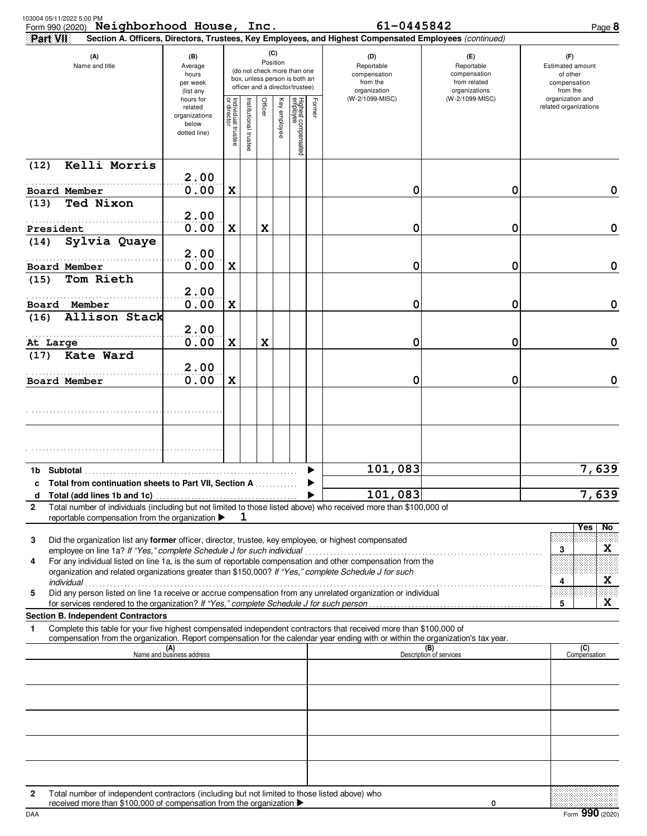| 103004 05/11/2022 5:00 PM<br>Part VII | Form 990 (2020) Neighborhood House, Inc.                                                                                                                              |                                                                |                                   |                                                                                                                    |         |              |                                 |        | 61-0445842<br>Section A. Officers, Directors, Trustees, Key Employees, and Highest Compensated Employees (continued)                                                                                                                                   |                                                                    | Page 8                                                          |
|---------------------------------------|-----------------------------------------------------------------------------------------------------------------------------------------------------------------------|----------------------------------------------------------------|-----------------------------------|--------------------------------------------------------------------------------------------------------------------|---------|--------------|---------------------------------|--------|--------------------------------------------------------------------------------------------------------------------------------------------------------------------------------------------------------------------------------------------------------|--------------------------------------------------------------------|-----------------------------------------------------------------|
|                                       | (A)<br>(B)<br>Name and title<br>Average<br>hours<br>per week<br>(list any                                                                                             |                                                                |                                   | (C)<br>Position<br>(do not check more than one<br>box, unless person is both an<br>officer and a director/trustee) |         |              |                                 |        | (D)<br>Reportable<br>compensation<br>from the<br>organization                                                                                                                                                                                          | (E)<br>Reportable<br>compensation<br>from related<br>organizations | (F)<br>Estimated amount<br>of other<br>compensation<br>from the |
|                                       |                                                                                                                                                                       | hours for<br>related<br>organizations<br>below<br>dotted line) | Individual trustee<br>or director | Institutional trustee                                                                                              | Officer | Key employee | Highest compensated<br>employee | Former | (W-2/1099-MISC)                                                                                                                                                                                                                                        | (W-2/1099-MISC)                                                    | organization and<br>related organizations                       |
| (12)                                  | Kelli Morris                                                                                                                                                          | 2.00                                                           |                                   |                                                                                                                    |         |              |                                 |        |                                                                                                                                                                                                                                                        |                                                                    |                                                                 |
| Board Member                          |                                                                                                                                                                       | 0.00                                                           | X                                 |                                                                                                                    |         |              |                                 |        | 0                                                                                                                                                                                                                                                      | 0                                                                  | 0                                                               |
| (13)                                  | Ted Nixon                                                                                                                                                             | 2.00                                                           |                                   |                                                                                                                    |         |              |                                 |        |                                                                                                                                                                                                                                                        |                                                                    |                                                                 |
| President<br>(14)                     | Sylvia Quaye                                                                                                                                                          | 0.00                                                           | $\mathbf x$                       |                                                                                                                    | X       |              |                                 |        | 0                                                                                                                                                                                                                                                      | 0                                                                  | 0                                                               |
| Board Member                          |                                                                                                                                                                       | 2.00<br>0.00                                                   | $\mathbf x$                       |                                                                                                                    |         |              |                                 |        | 0                                                                                                                                                                                                                                                      | 0                                                                  | 0                                                               |
| (15)                                  | Tom Rieth                                                                                                                                                             |                                                                |                                   |                                                                                                                    |         |              |                                 |        |                                                                                                                                                                                                                                                        |                                                                    |                                                                 |
| Board Member                          |                                                                                                                                                                       | 2.00<br>0.00                                                   | $\mathbf x$                       |                                                                                                                    |         |              |                                 |        | 0                                                                                                                                                                                                                                                      | 0                                                                  | 0                                                               |
| (16)                                  | Allison Stack                                                                                                                                                         | 2.00                                                           |                                   |                                                                                                                    |         |              |                                 |        |                                                                                                                                                                                                                                                        |                                                                    |                                                                 |
| At Large                              |                                                                                                                                                                       | 0.00                                                           | $\mathbf x$                       |                                                                                                                    | X       |              |                                 |        | 0                                                                                                                                                                                                                                                      | 0                                                                  | 0                                                               |
| (17)                                  | Kate Ward                                                                                                                                                             | 2.00                                                           |                                   |                                                                                                                    |         |              |                                 |        |                                                                                                                                                                                                                                                        |                                                                    |                                                                 |
| Board Member                          |                                                                                                                                                                       | 0.00                                                           | $\mathbf x$                       |                                                                                                                    |         |              |                                 |        | 0                                                                                                                                                                                                                                                      | 0                                                                  | 0                                                               |
|                                       |                                                                                                                                                                       |                                                                |                                   |                                                                                                                    |         |              |                                 |        |                                                                                                                                                                                                                                                        |                                                                    |                                                                 |
|                                       |                                                                                                                                                                       |                                                                |                                   |                                                                                                                    |         |              |                                 |        |                                                                                                                                                                                                                                                        |                                                                    |                                                                 |
|                                       |                                                                                                                                                                       |                                                                |                                   |                                                                                                                    |         |              |                                 |        |                                                                                                                                                                                                                                                        |                                                                    |                                                                 |
|                                       | c. Total from continuation sheets to Part VII. Section A                                                                                                              |                                                                |                                   |                                                                                                                    |         |              |                                 |        | 101,083                                                                                                                                                                                                                                                |                                                                    | 7,639                                                           |
| d                                     |                                                                                                                                                                       |                                                                |                                   |                                                                                                                    |         |              |                                 |        | 101,083                                                                                                                                                                                                                                                |                                                                    | $\overline{7}$ , 639                                            |
| 2                                     | reportable compensation from the organization ▶                                                                                                                       |                                                                |                                   |                                                                                                                    |         |              |                                 |        | Total number of individuals (including but not limited to those listed above) who received more than \$100,000 of                                                                                                                                      |                                                                    |                                                                 |
| 3                                     |                                                                                                                                                                       |                                                                |                                   |                                                                                                                    |         |              |                                 |        | Did the organization list any former officer, director, trustee, key employee, or highest compensated                                                                                                                                                  |                                                                    | No<br>Yes                                                       |
| 4                                     | employee on line 1a? If "Yes," complete Schedule J for such individual                                                                                                |                                                                |                                   |                                                                                                                    |         |              |                                 |        | For any individual listed on line 1a, is the sum of reportable compensation and other compensation from the<br>organization and related organizations greater than \$150,000? If "Yes," complete Schedule J for such                                   |                                                                    | X<br>3                                                          |
| 5                                     |                                                                                                                                                                       |                                                                |                                   |                                                                                                                    |         |              |                                 |        | Did any person listed on line 1a receive or accrue compensation from any unrelated organization or individual                                                                                                                                          |                                                                    | X<br>4<br>X                                                     |
|                                       | <b>Section B. Independent Contractors</b>                                                                                                                             |                                                                |                                   |                                                                                                                    |         |              |                                 |        |                                                                                                                                                                                                                                                        |                                                                    | 5                                                               |
| 1                                     |                                                                                                                                                                       |                                                                |                                   |                                                                                                                    |         |              |                                 |        | Complete this table for your five highest compensated independent contractors that received more than \$100,000 of<br>compensation from the organization. Report compensation for the calendar year ending with or within the organization's tax year. |                                                                    |                                                                 |
|                                       |                                                                                                                                                                       | $\overline{\mathsf{Man}}$ (A)<br>Name and business address     |                                   |                                                                                                                    |         |              |                                 |        |                                                                                                                                                                                                                                                        | (B)<br>Description of services                                     | (C)<br>Compensation                                             |
|                                       |                                                                                                                                                                       |                                                                |                                   |                                                                                                                    |         |              |                                 |        |                                                                                                                                                                                                                                                        |                                                                    |                                                                 |
|                                       |                                                                                                                                                                       |                                                                |                                   |                                                                                                                    |         |              |                                 |        |                                                                                                                                                                                                                                                        |                                                                    |                                                                 |
|                                       |                                                                                                                                                                       |                                                                |                                   |                                                                                                                    |         |              |                                 |        |                                                                                                                                                                                                                                                        |                                                                    |                                                                 |
|                                       |                                                                                                                                                                       |                                                                |                                   |                                                                                                                    |         |              |                                 |        |                                                                                                                                                                                                                                                        |                                                                    |                                                                 |
|                                       |                                                                                                                                                                       |                                                                |                                   |                                                                                                                    |         |              |                                 |        |                                                                                                                                                                                                                                                        |                                                                    |                                                                 |
| $\mathbf{2}$                          | Total number of independent contractors (including but not limited to those listed above) who<br>received more than \$100,000 of compensation from the organization ▶ |                                                                |                                   |                                                                                                                    |         |              |                                 |        |                                                                                                                                                                                                                                                        | 0                                                                  |                                                                 |
| DAA                                   |                                                                                                                                                                       |                                                                |                                   |                                                                                                                    |         |              |                                 |        |                                                                                                                                                                                                                                                        |                                                                    | Form 990 (2020)                                                 |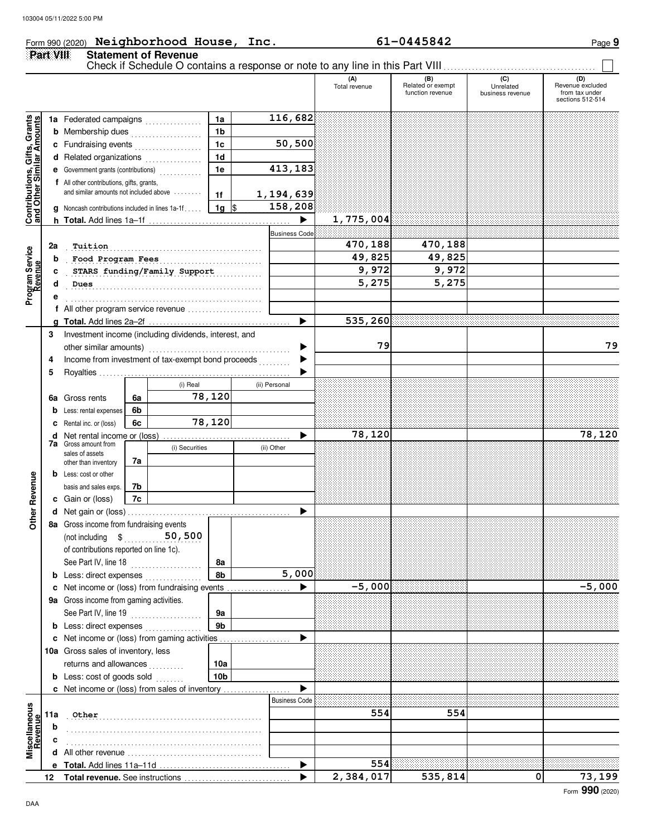### Form 990 (2020) Page **9 Neighborhood House, Inc. 61-0445842**

|                                                                  | Part VIII |                                                                |    | <b>Statement of Revenue</b>           |                 |               |                       | Check if Schedule O contains a response or note to any line in this Part VIII |                                              |                                      |                                                               |
|------------------------------------------------------------------|-----------|----------------------------------------------------------------|----|---------------------------------------|-----------------|---------------|-----------------------|-------------------------------------------------------------------------------|----------------------------------------------|--------------------------------------|---------------------------------------------------------------|
|                                                                  |           |                                                                |    |                                       |                 |               |                       | (A)<br>Total revenue                                                          | (B)<br>Related or exempt<br>function revenue | (C)<br>Unrelated<br>business revenue | (D)<br>Revenue excluded<br>from tax under<br>sections 512-514 |
|                                                                  |           | 1a Federated campaigns                                         |    |                                       | 1a              | 116,682       |                       |                                                                               |                                              |                                      |                                                               |
| <b>Contributions, Gifts, Grants</b><br>and Other Similar Amounts |           | <b>b</b> Membership dues                                       |    |                                       | 1 <sub>b</sub>  |               |                       |                                                                               |                                              |                                      |                                                               |
|                                                                  |           | 1 <sub>c</sub><br>c Fundraising events                         |    |                                       |                 |               | 50,500                |                                                                               |                                              |                                      |                                                               |
|                                                                  |           | d Related organizations                                        |    |                                       | 1 <sub>d</sub>  |               |                       |                                                                               |                                              |                                      |                                                               |
|                                                                  |           | e Government grants (contributions)                            |    |                                       | 1e              | 413,183       |                       |                                                                               |                                              |                                      |                                                               |
|                                                                  |           | f All other contributions, gifts, grants,                      |    |                                       |                 |               |                       |                                                                               |                                              |                                      |                                                               |
|                                                                  |           | and similar amounts not included above                         |    |                                       | 1f              | 1, 194, 639   |                       |                                                                               |                                              |                                      |                                                               |
|                                                                  |           | <b>g</b> Noncash contributions included in lines 1a-1f         |    |                                       | $1g$ \$         | 158,208       |                       |                                                                               |                                              |                                      |                                                               |
|                                                                  |           |                                                                |    |                                       |                 |               | $\blacktriangleright$ | 1,775,004                                                                     |                                              |                                      |                                                               |
|                                                                  |           |                                                                |    |                                       |                 |               | <b>Business Code</b>  |                                                                               |                                              |                                      |                                                               |
|                                                                  | 2a        | Tuition                                                        |    |                                       |                 |               |                       | 470,188                                                                       | 470,188                                      |                                      |                                                               |
|                                                                  | b         | Food Program Fees                                              |    |                                       |                 |               |                       | 49,825                                                                        | 49,825                                       |                                      |                                                               |
|                                                                  | c         |                                                                |    | STARS funding/Family Support          |                 |               |                       | 9,972                                                                         | 9,972                                        |                                      |                                                               |
| Program Service<br>Revenue                                       | d         | Dues                                                           |    |                                       |                 |               |                       | 5,275                                                                         | 5,275                                        |                                      |                                                               |
|                                                                  |           |                                                                |    |                                       |                 |               |                       |                                                                               |                                              |                                      |                                                               |
|                                                                  |           | f All other program service revenue                            |    |                                       |                 |               | ▶                     | 535,260                                                                       |                                              |                                      |                                                               |
|                                                                  | 3         | Investment income (including dividends, interest, and          |    |                                       |                 |               |                       |                                                                               |                                              |                                      |                                                               |
|                                                                  |           |                                                                |    |                                       |                 |               | ▶                     | 79                                                                            |                                              |                                      | 79                                                            |
|                                                                  | 4         | Income from investment of tax-exempt bond proceeds             |    |                                       |                 |               |                       |                                                                               |                                              |                                      |                                                               |
|                                                                  | 5         |                                                                |    |                                       |                 |               |                       |                                                                               |                                              |                                      |                                                               |
|                                                                  |           |                                                                |    | (i) Real                              |                 | (ii) Personal |                       |                                                                               |                                              |                                      |                                                               |
|                                                                  |           | <b>6a</b> Gross rents                                          | 6a |                                       | 78,120          |               |                       |                                                                               |                                              |                                      |                                                               |
|                                                                  | b         | Less: rental expenses                                          | 6b |                                       |                 |               |                       |                                                                               |                                              |                                      |                                                               |
|                                                                  | c         | Rental inc. or (loss)                                          | 6c |                                       | 78,120          |               |                       |                                                                               |                                              |                                      |                                                               |
|                                                                  | d         |                                                                |    |                                       |                 |               |                       | 78,120                                                                        |                                              |                                      | 78,120                                                        |
|                                                                  |           | <b>7a</b> Gross amount from<br>sales of assets                 |    | (i) Securities                        |                 | (ii) Other    |                       |                                                                               |                                              |                                      |                                                               |
|                                                                  |           | other than inventory                                           | 7а |                                       |                 |               |                       |                                                                               |                                              |                                      |                                                               |
|                                                                  |           | <b>b</b> Less: cost or other                                   |    |                                       |                 |               |                       |                                                                               |                                              |                                      |                                                               |
|                                                                  |           | basis and sales exps.                                          | 7b |                                       |                 |               |                       |                                                                               |                                              |                                      |                                                               |
|                                                                  |           | c Gain or (loss)                                               | 7c |                                       |                 |               |                       |                                                                               |                                              |                                      |                                                               |
| ther Revenue                                                     |           |                                                                |    |                                       |                 |               |                       |                                                                               |                                              |                                      |                                                               |
|                                                                  |           | 8a Gross income from fundraising events                        |    |                                       |                 |               |                       |                                                                               |                                              |                                      |                                                               |
|                                                                  |           | (not including \$                                              |    | 50,500                                |                 |               |                       |                                                                               |                                              |                                      |                                                               |
|                                                                  |           | of contributions reported on line 1c).<br>See Part IV, line 18 |    |                                       |                 |               |                       |                                                                               |                                              |                                      |                                                               |
|                                                                  |           | <b>b</b> Less: direct expenses                                 |    | <u> 1999 - Johann Stoff, amerikan</u> | 8а<br>8b        |               | 5,000                 |                                                                               |                                              |                                      |                                                               |
|                                                                  |           | c Net income or (loss) from fundraising events                 |    |                                       |                 |               |                       | $-5,000$                                                                      |                                              |                                      | $-5,000$                                                      |
|                                                                  |           | 9a Gross income from gaming activities.                        |    |                                       |                 |               |                       |                                                                               |                                              |                                      |                                                               |
|                                                                  |           | See Part IV, line 19                                           |    | .                                     | 9а              |               |                       |                                                                               |                                              |                                      |                                                               |
|                                                                  |           | <b>b</b> Less: direct expenses                                 |    |                                       | 9 <sub>b</sub>  |               |                       |                                                                               |                                              |                                      |                                                               |
|                                                                  |           | c Net income or (loss) from gaming activities                  |    |                                       |                 |               |                       |                                                                               |                                              |                                      |                                                               |
|                                                                  |           | 10a Gross sales of inventory, less                             |    |                                       |                 |               |                       |                                                                               |                                              |                                      |                                                               |
|                                                                  |           | returns and allowances                                         |    | .                                     | 10a             |               |                       |                                                                               |                                              |                                      |                                                               |
|                                                                  |           | <b>b</b> Less: cost of goods sold                              |    |                                       | 10 <sub>b</sub> |               |                       |                                                                               |                                              |                                      |                                                               |
|                                                                  |           | c Net income or (loss) from sales of inventory                 |    |                                       |                 |               |                       |                                                                               |                                              |                                      |                                                               |
|                                                                  |           |                                                                |    |                                       |                 |               | <b>Business Code</b>  |                                                                               |                                              |                                      |                                                               |
| Miscellaneous<br>Revenue                                         | 11a       | Other                                                          |    |                                       |                 |               |                       | 554                                                                           | 554                                          |                                      |                                                               |
| evenue                                                           | b         |                                                                |    |                                       |                 |               |                       |                                                                               |                                              |                                      |                                                               |
|                                                                  |           |                                                                |    |                                       |                 |               |                       |                                                                               |                                              |                                      |                                                               |
|                                                                  | d         |                                                                |    |                                       |                 |               |                       |                                                                               |                                              |                                      |                                                               |
|                                                                  |           |                                                                |    |                                       |                 |               |                       | 554                                                                           |                                              |                                      |                                                               |
|                                                                  |           |                                                                |    |                                       |                 |               |                       | 2,384,017                                                                     | 535,814                                      | $\mathbf 0$                          | 73,199                                                        |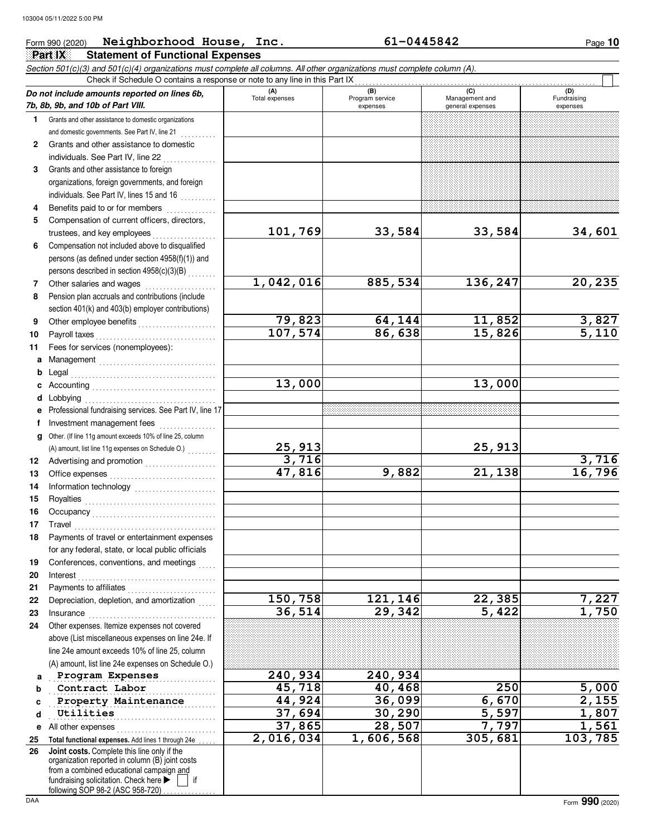#### **Part IX Statement of Functional Expenses** Form 990 (2020) Page **10 Neighborhood House, Inc. 61-0445842** Section 501(c)(3) and 501(c)(4) organizations must complete all columns. All other organizations must complete column (A). **Do not include amounts reported on lines 6b, 7b, 8b, 9b, and 10b of Part VIII. 1 2 3 4 5 6 7 8 9 10 11 a** Management . . . . . . . . . . . . . . . . . . . . . . . . . . . . . . . . . **b** Legal . . . . . . . . . . . . . . . . . . . . . . . . . . . . . . . . . . . . . . . . . **c** Accounting . . . . . . . . . . . . . . . . . . . . . . . . . . . . . . . . . . . **d** Lobbying . . . . . . . . . . . . . . . . . . . . . . . . . . . . . . . . . . . . . **e f g** Other. (If line 11g amount exceeds 10% of line 25, column **12 13 14 15 16 17 18 19 20 21 22 23 24 a b c d e** All other expenses . . . . . . . . . . . . . . . . . . . . . . . . . . . . **25 26** Grants and other assistance to domestic organizations and domestic governments. See Part IV, line 21 **.** . . . . . . . . . Grants and other assistance to domestic individuals. See Part IV, line 22 . . . . . . . . . . . . . . Grants and other assistance to foreign organizations, foreign governments, and foreign individuals. See Part IV, lines 15 and 16 Benefits paid to or for members . . . . . . . . . . . . . . . . Compensation of current officers, directors, trustees, and key employees .................. Compensation not included above to disqualified persons (as defined under section 4958(f)(1)) and persons described in section  $4958(c)(3)(B)$  . . . . . . . Other salaries and wages .................... Pension plan accruals and contributions (include section 401(k) and 403(b) employer contributions) Other employee benefits . . . . . . . . . . . . . . . . . . . . . . Payroll taxes . . . . . . . . . . . . . . . . . . . . . . . . . . . . . . . . . . Fees for services (nonemployees): Professional fundraising services. See Part IV, line 17 Investment management fees ................ Advertising and promotion . . . . . . . . . . . . . . . . . . . . Office expenses . . . . . . . . . . . . . . . . . . . . . . . . . . . . . . Information technology ........................ Royalties . . . . . . . . . . . . . . . . . . . . . . . . . . . . . . . . . . . . . Occupancy . . . . . . . . . . . . . . . . . . . . . . . . . . . . . . . . . . . Travel . . . . . . . . . . . . . . . . . . . . . . . . . . . . . . . . . . . . . . . . Payments of travel or entertainment expenses for any federal, state, or local public officials Conferences, conventions, and meetings Interest . . . . . . . . . . . . . . . . . . . . . . . . . . . . . . . . . . . . . . . Payments to affiliates . . . . . . . . . . . . . . . . . . . . . . . . . Depreciation, depletion, and amortization Insurance . . . . . . . . . . . . . . . . . . . . . . . . . . . . . . . . . . . . Other expenses. Itemize expenses not covered above (List miscellaneous expenses on line 24e. If line 24e amount exceeds 10% of line 25, column (A) amount, list line 24e expenses on Schedule O.) Total functional expenses. Add lines 1 through 24e . fundraising solicitation. Check here  $\blacktriangleright$   $\parallel$  if organization reported in column (B) joint costs from a combined educational campaign and (A) (B) (C) (C) (C) Total expenses<br>
expenses<br>
Program service<br>
Program service<br>  $\frac{1}{2}$ <br>  $\frac{1}{2}$ <br>  $\frac{1}{2}$ <br>  $\frac{1}{2}$ <br>  $\frac{1}{2}$ <br>  $\frac{1}{2}$ <br>  $\frac{1}{2}$ <br>  $\frac{1}{2}$ <br>  $\frac{1}{2}$ <br>  $\frac{1}{2}$ <br>  $\frac{1}{2}$ <br>  $\frac{1}{2}$ <br>  $\frac{1}{2}$ <br>  $\frac{1}{2}$ <br>  $\frac{1}{2}$ general expenses Fundraising expenses . . . . . . . . . . . . . . . . . . . . . . . . . . . . . . . . . . . . . . . . . . . . . . . **Program Expenses 240,934 240,934 Contract Labor 45,718 40,468 250 5,000 Property Maintenance 44,924** 36,099 6,670 2,155 **Utilities 1, 807** 1,807 37,694 30,290 5,597 1,807 Check if Schedule O contains a response or note to any line in this Part IX **Joint costs.** Complete this line only if the (A) amount, list line 11g expenses on Schedule O.)  $\ldots \ldots$ **101,769 33,584 33,584 34,601 1,042,016 885,534 136,247 20,235 79,823 64,144 11,852 3,827 107,574 86,638 15,826 5,110 13,000 13,000 25,913 25,913 3,716 3,716 47,816 9,882 21,138 16,796 150,758 121,146 22,385 7,227 36,514 29,342 5,422 1,750 37,865 28,507 7,797 1,561 2,016,034 1,606,568 305,681 103,785**

following SOP 98-2 (ASC 958-720)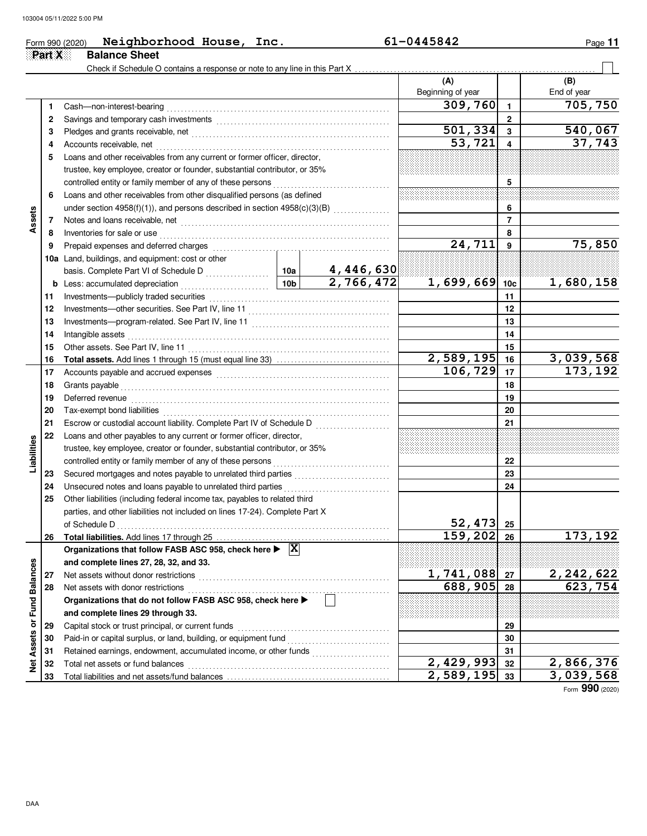|                      |        | Neighborhood House, Inc.<br>Form 990 (2020)                                                | 61-0445842<br>Page 11 |                |                          |                         |                             |
|----------------------|--------|--------------------------------------------------------------------------------------------|-----------------------|----------------|--------------------------|-------------------------|-----------------------------|
|                      | Part X | <b>Balance Sheet</b>                                                                       |                       |                |                          |                         |                             |
|                      |        |                                                                                            |                       |                |                          |                         |                             |
|                      |        |                                                                                            |                       |                | (A)<br>Beginning of year |                         | (B)<br>End of year          |
|                      | 1      | Cash-non-interest-bearing                                                                  |                       |                | 309,760                  | $\mathbf{1}$            | 705,750                     |
|                      | 2      |                                                                                            |                       |                |                          | $\overline{2}$          |                             |
|                      | 3      |                                                                                            |                       |                | 501, 334                 | $\overline{\mathbf{3}}$ | 540,067                     |
|                      | 4      | Accounts receivable, net                                                                   |                       |                | 53,721                   |                         | 37,743                      |
|                      | 5      | Loans and other receivables from any current or former officer, director,                  |                       |                |                          |                         |                             |
|                      |        | trustee, key employee, creator or founder, substantial contributor, or 35%                 |                       |                |                          |                         |                             |
|                      |        | controlled entity or family member of any of these persons                                 |                       | 5              |                          |                         |                             |
|                      | 6      | Loans and other receivables from other disqualified persons (as defined                    |                       |                |                          |                         |                             |
|                      |        | under section 4958(f)(1)), and persons described in section 4958(c)(3)(B)                  |                       |                |                          | 6                       |                             |
| Assets               | 7      | Notes and loans receivable, net                                                            |                       | $\overline{7}$ |                          |                         |                             |
|                      | 8      | Inventories for sale or use                                                                |                       |                |                          | 8                       |                             |
|                      | 9      | Prepaid expenses and deferred charges                                                      | 24,711                | 9              | 75,850                   |                         |                             |
|                      |        | 10a Land, buildings, and equipment: cost or other                                          |                       |                |                          |                         |                             |
|                      |        |                                                                                            |                       | 4,446,630      |                          |                         |                             |
|                      | b      | Less: accumulated depreciation                                                             | 10 <sub>b</sub>       | 2,766,472      | $1,699,669$ 10c          |                         | 1,680,158                   |
|                      | 11     | Investments-publicly traded securities                                                     |                       | 11             |                          |                         |                             |
|                      | 12     |                                                                                            |                       | 12             |                          |                         |                             |
|                      | 13     |                                                                                            |                       | 13             |                          |                         |                             |
|                      | 14     | Intangible assets                                                                          |                       | 14             |                          |                         |                             |
|                      | 15     | Other assets. See Part IV, line 11                                                         |                       | 15             |                          |                         |                             |
|                      | 16     |                                                                                            |                       |                | 2,589,195                | 16                      | 3,039,568                   |
|                      | 17     |                                                                                            |                       |                | 106,729                  | 17                      | 173, 192                    |
|                      | 18     | Grants payable                                                                             |                       | 18             |                          |                         |                             |
|                      | 19     | Deferred revenue                                                                           |                       |                |                          | 19                      |                             |
|                      | 20     | Tax-exempt bond liabilities                                                                |                       |                |                          | 20                      |                             |
|                      | 21     | Escrow or custodial account liability. Complete Part IV of Schedule D                      |                       |                |                          | 21                      |                             |
|                      | 22     | Loans and other payables to any current or former officer, director,                       |                       |                |                          |                         |                             |
|                      |        | trustee, key employee, creator or founder, substantial contributor, or 35%                 |                       |                |                          |                         |                             |
| Liabilities          |        | controlled entity or family member of any of these persons                                 |                       |                |                          | 22                      |                             |
|                      | 23     |                                                                                            |                       |                |                          | 23                      |                             |
|                      | 24     | Unsecured notes and loans payable to unrelated third parties                               |                       |                |                          | 24                      |                             |
|                      | 25     | Other liabilities (including federal income tax, payables to related third                 |                       |                |                          |                         |                             |
|                      |        | parties, and other liabilities not included on lines 17-24). Complete Part X               |                       |                |                          |                         |                             |
|                      |        | of Schedule D                                                                              |                       |                | 52,473                   | 25                      |                             |
|                      | 26     |                                                                                            |                       |                | 159,202                  | 26                      | 173, 192                    |
|                      |        | Organizations that follow FASB ASC 958, check here $\blacktriangleright \; [\overline{X}]$ |                       |                |                          |                         |                             |
|                      |        | and complete lines 27, 28, 32, and 33.                                                     |                       |                |                          |                         |                             |
|                      | 27     | Net assets without donor restrictions                                                      |                       |                | 1,741,088                | 27                      | $\frac{2,242,622}{623,754}$ |
|                      | 28     | Net assets with donor restrictions                                                         |                       |                | 688,905                  | 28                      |                             |
|                      |        | Organizations that do not follow FASB ASC 958, check here >                                |                       |                |                          |                         |                             |
| <b>Fund Balances</b> |        | and complete lines 29 through 33.                                                          |                       |                |                          |                         |                             |
|                      | 29     | Capital stock or trust principal, or current funds                                         |                       | 29             |                          |                         |                             |
|                      | 30     | Paid-in or capital surplus, or land, building, or equipment fund                           |                       |                |                          | 30                      |                             |
| Assets or            | 31     | Retained earnings, endowment, accumulated income, or other funds                           |                       |                |                          | 31                      |                             |
| ğ                    | 32     | Total net assets or fund balances                                                          |                       |                | $\overline{2,429,993}$   | 32                      | 2,866,376                   |
|                      | 33     |                                                                                            |                       |                | 2,589,195                | 33                      | 3,039,568                   |

Form **990** (2020)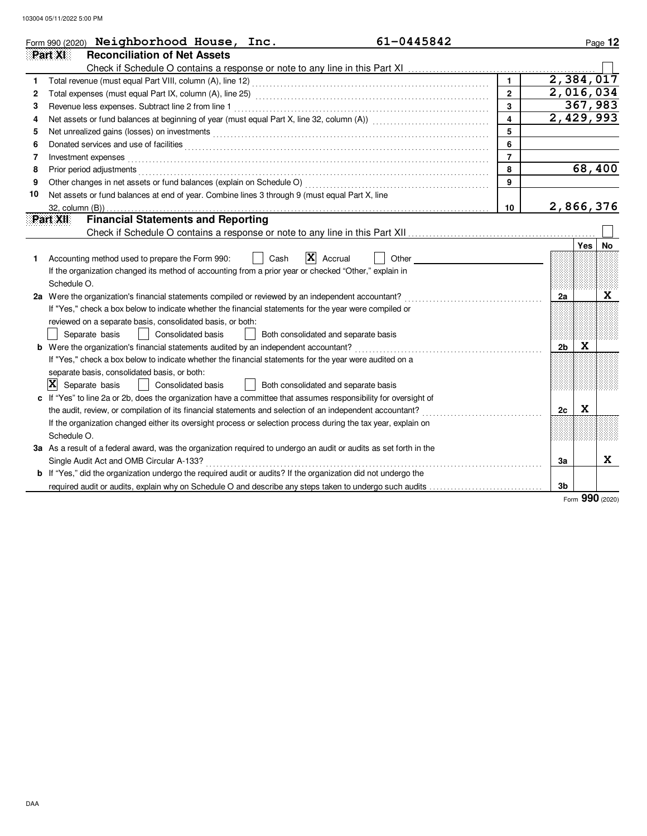|    | 61-0445842<br>Form 990 (2020) Neighborhood House, Inc.                                                                                                                                                                         |                         | Page 12                |
|----|--------------------------------------------------------------------------------------------------------------------------------------------------------------------------------------------------------------------------------|-------------------------|------------------------|
|    | Part XI<br><b>Reconciliation of Net Assets</b>                                                                                                                                                                                 |                         |                        |
|    |                                                                                                                                                                                                                                |                         |                        |
|    |                                                                                                                                                                                                                                | $\mathbf{1}$            | 2,384,017              |
| 2  |                                                                                                                                                                                                                                | $\overline{2}$          | $\sqrt{2}$ , 016, 034  |
| 3  | Revenue less expenses. Subtract line 2 from line 1                                                                                                                                                                             | 3                       | 367,983                |
| 4  |                                                                                                                                                                                                                                | $\overline{\mathbf{4}}$ | $\overline{2,429,993}$ |
| 5  |                                                                                                                                                                                                                                | 5                       |                        |
| 6  |                                                                                                                                                                                                                                | 6                       |                        |
| 7  | Investment expenses with the contract of the contract of the contract of the contract of the contract of the contract of the contract of the contract of the contract of the contract of the contract of the contract of the c | $\overline{7}$          |                        |
| 8  | Prior period adjustments experience and and an experience of the contract of the contract of the contract of the contract of the contract of the contract of the contract of the contract of the contract of the contract of t | 8                       | 68,400                 |
| 9  |                                                                                                                                                                                                                                | 9                       |                        |
| 10 | Net assets or fund balances at end of year. Combine lines 3 through 9 (must equal Part X, line                                                                                                                                 |                         |                        |
|    |                                                                                                                                                                                                                                | 10                      | 2,866,376              |
|    | <b>Financial Statements and Reporting</b><br>Part XII                                                                                                                                                                          |                         |                        |
|    |                                                                                                                                                                                                                                |                         |                        |
|    |                                                                                                                                                                                                                                |                         | Yes<br>No.             |
| 1  | $ \mathbf{X} $ Accrual<br>Other<br>Accounting method used to prepare the Form 990:<br>Cash                                                                                                                                     |                         |                        |
|    | If the organization changed its method of accounting from a prior year or checked "Other," explain in                                                                                                                          |                         |                        |
|    | Schedule O.                                                                                                                                                                                                                    |                         |                        |
|    | 2a Were the organization's financial statements compiled or reviewed by an independent accountant?                                                                                                                             |                         | x<br>2a                |
|    | If "Yes," check a box below to indicate whether the financial statements for the year were compiled or                                                                                                                         |                         |                        |
|    | reviewed on a separate basis, consolidated basis, or both:                                                                                                                                                                     |                         |                        |
|    | Consolidated basis<br>Separate basis<br>Both consolidated and separate basis                                                                                                                                                   |                         |                        |
|    | <b>b</b> Were the organization's financial statements audited by an independent accountant?                                                                                                                                    |                         | X<br>2 <sub>b</sub>    |
|    | If "Yes," check a box below to indicate whether the financial statements for the year were audited on a                                                                                                                        |                         |                        |
|    | separate basis, consolidated basis, or both:                                                                                                                                                                                   |                         |                        |
|    | X<br>Separate basis<br>Consolidated basis<br>Both consolidated and separate basis                                                                                                                                              |                         |                        |
|    | c If "Yes" to line 2a or 2b, does the organization have a committee that assumes responsibility for oversight of                                                                                                               |                         |                        |
|    | the audit, review, or compilation of its financial statements and selection of an independent accountant?                                                                                                                      |                         | X<br>2c                |
|    | If the organization changed either its oversight process or selection process during the tax year, explain on                                                                                                                  |                         |                        |
|    | Schedule O.                                                                                                                                                                                                                    |                         |                        |
|    | 3a As a result of a federal award, was the organization required to undergo an audit or audits as set forth in the                                                                                                             |                         |                        |
|    | Single Audit Act and OMB Circular A-133?                                                                                                                                                                                       |                         | X<br>3a                |
|    | <b>b</b> If "Yes," did the organization undergo the required audit or audits? If the organization did not undergo the                                                                                                          |                         |                        |
|    | required audit or audits, explain why on Schedule O and describe any steps taken to undergo such audits                                                                                                                        |                         | 3 <sub>b</sub>         |

Form **990** (2020)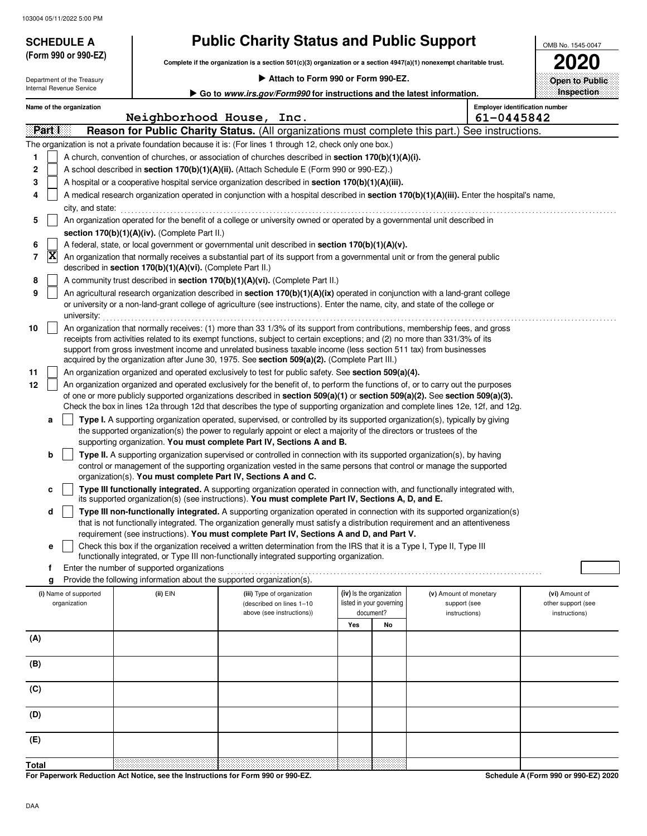**(Form 990 or 990-EZ)**

# **SCHEDULE A Public Charity Status and Public Support**

**Complete if the organization is a section 501(c)(3) organization or a section 4947(a)(1) nonexempt charitable trust.**

|  |  |  | Attach to Form 990 or Form 990-EZ. |
|--|--|--|------------------------------------|
|  |  |  |                                    |

OMB No. 1545-0047 **2020 Open to Public**

|       |              | Department of the Treasury |                                                            | $\blacktriangleright$ Attach to Form 990 or Form 990-EZ.                                                                                                                                                                                                                                                                                                                                                                                                                         |     |                          |                                                                                                                                            | Open to Public     |
|-------|--------------|----------------------------|------------------------------------------------------------|----------------------------------------------------------------------------------------------------------------------------------------------------------------------------------------------------------------------------------------------------------------------------------------------------------------------------------------------------------------------------------------------------------------------------------------------------------------------------------|-----|--------------------------|--------------------------------------------------------------------------------------------------------------------------------------------|--------------------|
|       |              | Internal Revenue Service   |                                                            | Go to <i>www.irs.gov/Form990</i> for instructions and the latest information.                                                                                                                                                                                                                                                                                                                                                                                                    |     |                          |                                                                                                                                            | Inspection         |
|       |              | Name of the organization   |                                                            |                                                                                                                                                                                                                                                                                                                                                                                                                                                                                  |     |                          | <b>Employer identification number</b>                                                                                                      |                    |
|       |              |                            |                                                            | Neighborhood House, Inc.                                                                                                                                                                                                                                                                                                                                                                                                                                                         |     |                          | 61-0445842                                                                                                                                 |                    |
|       | Part I       |                            |                                                            |                                                                                                                                                                                                                                                                                                                                                                                                                                                                                  |     |                          | Reason for Public Charity Status. (All organizations must complete this part.) See instructions.                                           |                    |
|       |              |                            |                                                            | The organization is not a private foundation because it is: (For lines 1 through 12, check only one box.)                                                                                                                                                                                                                                                                                                                                                                        |     |                          |                                                                                                                                            |                    |
| 1     |              |                            |                                                            | A church, convention of churches, or association of churches described in <b>section 170(b)(1)(A)(i).</b>                                                                                                                                                                                                                                                                                                                                                                        |     |                          |                                                                                                                                            |                    |
| 2     |              |                            |                                                            | A school described in section 170(b)(1)(A)(ii). (Attach Schedule E (Form 990 or 990-EZ).)                                                                                                                                                                                                                                                                                                                                                                                        |     |                          |                                                                                                                                            |                    |
| 3     |              |                            |                                                            | A hospital or a cooperative hospital service organization described in section 170(b)(1)(A)(iii).                                                                                                                                                                                                                                                                                                                                                                                |     |                          |                                                                                                                                            |                    |
| 4     |              |                            |                                                            |                                                                                                                                                                                                                                                                                                                                                                                                                                                                                  |     |                          | A medical research organization operated in conjunction with a hospital described in section 170(b)(1)(A)(iii). Enter the hospital's name, |                    |
|       |              | city, and state:           |                                                            |                                                                                                                                                                                                                                                                                                                                                                                                                                                                                  |     |                          |                                                                                                                                            |                    |
| 5     |              |                            |                                                            | An organization operated for the benefit of a college or university owned or operated by a governmental unit described in                                                                                                                                                                                                                                                                                                                                                        |     |                          |                                                                                                                                            |                    |
|       |              |                            | section 170(b)(1)(A)(iv). (Complete Part II.)              |                                                                                                                                                                                                                                                                                                                                                                                                                                                                                  |     |                          |                                                                                                                                            |                    |
| 6     |              |                            |                                                            | A federal, state, or local government or governmental unit described in section 170(b)(1)(A)(v).                                                                                                                                                                                                                                                                                                                                                                                 |     |                          |                                                                                                                                            |                    |
| 7     | $\mathbf{x}$ |                            | described in section 170(b)(1)(A)(vi). (Complete Part II.) | An organization that normally receives a substantial part of its support from a governmental unit or from the general public                                                                                                                                                                                                                                                                                                                                                     |     |                          |                                                                                                                                            |                    |
| 8     |              |                            |                                                            | A community trust described in section 170(b)(1)(A)(vi). (Complete Part II.)                                                                                                                                                                                                                                                                                                                                                                                                     |     |                          |                                                                                                                                            |                    |
| 9     |              |                            |                                                            | An agricultural research organization described in section 170(b)(1)(A)(ix) operated in conjunction with a land-grant college                                                                                                                                                                                                                                                                                                                                                    |     |                          |                                                                                                                                            |                    |
|       |              | university:                |                                                            | or university or a non-land-grant college of agriculture (see instructions). Enter the name, city, and state of the college or                                                                                                                                                                                                                                                                                                                                                   |     |                          |                                                                                                                                            |                    |
| 10    |              |                            |                                                            | An organization that normally receives: (1) more than 33 1/3% of its support from contributions, membership fees, and gross<br>receipts from activities related to its exempt functions, subject to certain exceptions; and (2) no more than 331/3% of its<br>support from gross investment income and unrelated business taxable income (less section 511 tax) from businesses<br>acquired by the organization after June 30, 1975. See section 509(a)(2). (Complete Part III.) |     |                          |                                                                                                                                            |                    |
| 11    |              |                            |                                                            | An organization organized and operated exclusively to test for public safety. See section 509(a)(4).                                                                                                                                                                                                                                                                                                                                                                             |     |                          |                                                                                                                                            |                    |
| 12    |              |                            |                                                            | An organization organized and operated exclusively for the benefit of, to perform the functions of, or to carry out the purposes                                                                                                                                                                                                                                                                                                                                                 |     |                          |                                                                                                                                            |                    |
|       |              |                            |                                                            | of one or more publicly supported organizations described in section 509(a)(1) or section 509(a)(2). See section 509(a)(3).                                                                                                                                                                                                                                                                                                                                                      |     |                          | Check the box in lines 12a through 12d that describes the type of supporting organization and complete lines 12e, 12f, and 12g.            |                    |
|       | a            |                            |                                                            | Type I. A supporting organization operated, supervised, or controlled by its supported organization(s), typically by giving                                                                                                                                                                                                                                                                                                                                                      |     |                          |                                                                                                                                            |                    |
|       |              |                            |                                                            | the supported organization(s) the power to regularly appoint or elect a majority of the directors or trustees of the                                                                                                                                                                                                                                                                                                                                                             |     |                          |                                                                                                                                            |                    |
|       |              |                            |                                                            | supporting organization. You must complete Part IV, Sections A and B.                                                                                                                                                                                                                                                                                                                                                                                                            |     |                          |                                                                                                                                            |                    |
|       | b            |                            |                                                            | Type II. A supporting organization supervised or controlled in connection with its supported organization(s), by having                                                                                                                                                                                                                                                                                                                                                          |     |                          |                                                                                                                                            |                    |
|       |              |                            |                                                            | control or management of the supporting organization vested in the same persons that control or manage the supported<br>organization(s). You must complete Part IV, Sections A and C.                                                                                                                                                                                                                                                                                            |     |                          |                                                                                                                                            |                    |
|       | c            |                            |                                                            | Type III functionally integrated. A supporting organization operated in connection with, and functionally integrated with,<br>its supported organization(s) (see instructions). You must complete Part IV, Sections A, D, and E.                                                                                                                                                                                                                                                 |     |                          |                                                                                                                                            |                    |
|       | d            |                            |                                                            | Type III non-functionally integrated. A supporting organization operated in connection with its supported organization(s)                                                                                                                                                                                                                                                                                                                                                        |     |                          |                                                                                                                                            |                    |
|       |              |                            |                                                            | that is not functionally integrated. The organization generally must satisfy a distribution requirement and an attentiveness                                                                                                                                                                                                                                                                                                                                                     |     |                          |                                                                                                                                            |                    |
|       |              |                            |                                                            | requirement (see instructions). You must complete Part IV, Sections A and D, and Part V.                                                                                                                                                                                                                                                                                                                                                                                         |     |                          |                                                                                                                                            |                    |
|       | е            |                            |                                                            | Check this box if the organization received a written determination from the IRS that it is a Type I, Type II, Type III                                                                                                                                                                                                                                                                                                                                                          |     |                          |                                                                                                                                            |                    |
|       | f            |                            | Enter the number of supported organizations                | functionally integrated, or Type III non-functionally integrated supporting organization.                                                                                                                                                                                                                                                                                                                                                                                        |     |                          |                                                                                                                                            |                    |
|       | g            |                            |                                                            | Provide the following information about the supported organization(s).                                                                                                                                                                                                                                                                                                                                                                                                           |     |                          |                                                                                                                                            |                    |
|       |              | (i) Name of supported      | (ii) EIN                                                   | (iii) Type of organization                                                                                                                                                                                                                                                                                                                                                                                                                                                       |     | (iv) Is the organization | (v) Amount of monetary                                                                                                                     | (vi) Amount of     |
|       |              | organization               |                                                            | (described on lines 1-10                                                                                                                                                                                                                                                                                                                                                                                                                                                         |     | listed in your governing | support (see                                                                                                                               | other support (see |
|       |              |                            |                                                            | above (see instructions))                                                                                                                                                                                                                                                                                                                                                                                                                                                        |     | document?                | instructions)                                                                                                                              | instructions)      |
|       |              |                            |                                                            |                                                                                                                                                                                                                                                                                                                                                                                                                                                                                  | Yes | No                       |                                                                                                                                            |                    |
| (A)   |              |                            |                                                            |                                                                                                                                                                                                                                                                                                                                                                                                                                                                                  |     |                          |                                                                                                                                            |                    |
| (B)   |              |                            |                                                            |                                                                                                                                                                                                                                                                                                                                                                                                                                                                                  |     |                          |                                                                                                                                            |                    |
| (C)   |              |                            |                                                            |                                                                                                                                                                                                                                                                                                                                                                                                                                                                                  |     |                          |                                                                                                                                            |                    |
| (D)   |              |                            |                                                            |                                                                                                                                                                                                                                                                                                                                                                                                                                                                                  |     |                          |                                                                                                                                            |                    |
| (E)   |              |                            |                                                            |                                                                                                                                                                                                                                                                                                                                                                                                                                                                                  |     |                          |                                                                                                                                            |                    |
|       |              |                            |                                                            |                                                                                                                                                                                                                                                                                                                                                                                                                                                                                  |     |                          |                                                                                                                                            |                    |
| Total |              |                            |                                                            |                                                                                                                                                                                                                                                                                                                                                                                                                                                                                  |     |                          |                                                                                                                                            |                    |

**For Paperwork Reduction Act Notice, see the Instructions for Form 990 or 990-EZ.**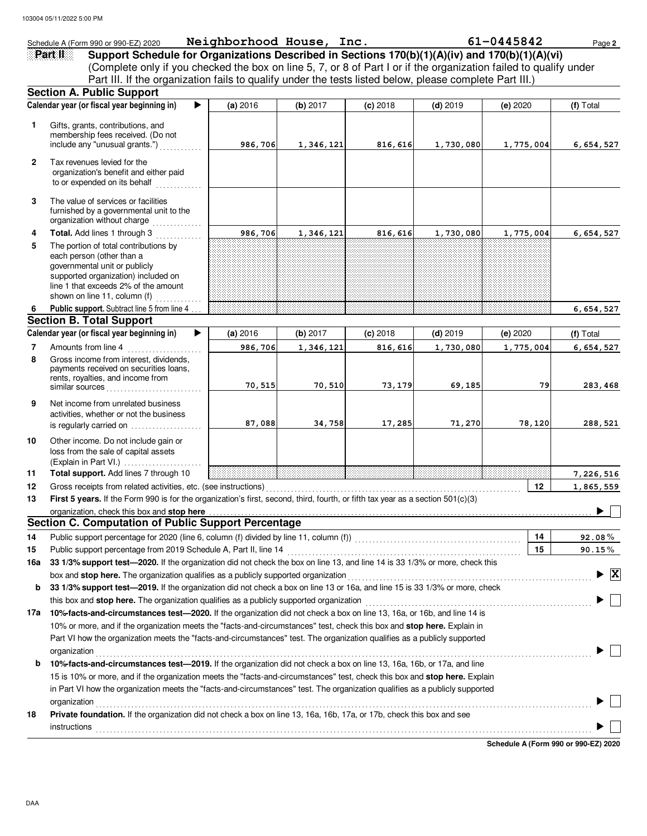|              | Schedule A (Form 990 or 990-EZ) 2020                                                                                                                                                                                                                 | Neighborhood House, Inc. |           |            |            | 61-0445842 | Page 2                               |
|--------------|------------------------------------------------------------------------------------------------------------------------------------------------------------------------------------------------------------------------------------------------------|--------------------------|-----------|------------|------------|------------|--------------------------------------|
|              | Support Schedule for Organizations Described in Sections 170(b)(1)(A)(iv) and 170(b)(1)(A)(vi)<br>Part II                                                                                                                                            |                          |           |            |            |            |                                      |
|              | (Complete only if you checked the box on line 5, 7, or 8 of Part I or if the organization failed to qualify under                                                                                                                                    |                          |           |            |            |            |                                      |
|              | Part III. If the organization fails to qualify under the tests listed below, please complete Part III.)                                                                                                                                              |                          |           |            |            |            |                                      |
|              | <b>Section A. Public Support</b>                                                                                                                                                                                                                     |                          |           |            |            |            |                                      |
|              | Calendar year (or fiscal year beginning in)                                                                                                                                                                                                          | (a) 2016                 | (b) 2017  | $(c)$ 2018 | $(d)$ 2019 | (e) 2020   | (f) Total                            |
| 1            | Gifts, grants, contributions, and                                                                                                                                                                                                                    |                          |           |            |            |            |                                      |
|              | membership fees received. (Do not                                                                                                                                                                                                                    |                          |           |            |            |            |                                      |
|              | include any "unusual grants.")                                                                                                                                                                                                                       | 986,706                  | 1,346,121 | 816,616    | 1,730,080  | 1,775,004  | 6, 654, 527                          |
| $\mathbf{2}$ | Tax revenues levied for the<br>organization's benefit and either paid<br>to or expended on its behalf                                                                                                                                                |                          |           |            |            |            |                                      |
| 3            | The value of services or facilities<br>furnished by a governmental unit to the<br>organization without charge<br>.                                                                                                                                   |                          |           |            |            |            |                                      |
| 4            | Total. Add lines 1 through 3                                                                                                                                                                                                                         | 986,706                  | 1,346,121 | 816,616    | 1,730,080  | 1,775,004  | 6,654,527                            |
| 5            | The portion of total contributions by<br>each person (other than a<br>governmental unit or publicly<br>supported organization) included on<br>line 1 that exceeds 2% of the amount<br>shown on line 11, column (f)                                   |                          |           |            |            |            |                                      |
| 6            | Public support. Subtract line 5 from line 4<br><b>Section B. Total Support</b>                                                                                                                                                                       |                          |           |            |            |            | 6,654,527                            |
|              | Calendar year (or fiscal year beginning in)                                                                                                                                                                                                          | (a) 2016                 | (b) 2017  | $(c)$ 2018 | $(d)$ 2019 | (e) 2020   | (f) Total                            |
| 7            | Amounts from line 4                                                                                                                                                                                                                                  | 986,706                  | 1,346,121 | 816,616    | 1,730,080  | 1,775,004  | 6,654,527                            |
| 8            | Gross income from interest, dividends,<br>payments received on securities loans,<br>rents, royalties, and income from<br>similar sources                                                                                                             | 70,515                   | 70,510    | 73,179     | 69,185     | 79         | 283,468                              |
| 9            | Net income from unrelated business<br>activities, whether or not the business                                                                                                                                                                        | 87,088                   | 34,758    | 17,285     | 71,270     | 78,120     | 288,521                              |
| 10           | is regularly carried on<br>Other income. Do not include gain or<br>loss from the sale of capital assets                                                                                                                                              |                          |           |            |            |            |                                      |
| 11           | $(Explain in Part VI.)$<br>Total support. Add lines 7 through 10                                                                                                                                                                                     |                          |           |            |            |            | 7,226,516                            |
| 12           | Gross receipts from related activities, etc. (see instructions)                                                                                                                                                                                      |                          |           |            |            | 12         | 1,865,559                            |
| 13           | First 5 years. If the Form 990 is for the organization's first, second, third, fourth, or fifth tax year as a section 501(c)(3)                                                                                                                      |                          |           |            |            |            |                                      |
|              | organization, check this box and stop here                                                                                                                                                                                                           |                          |           |            |            |            | $\blacksquare$                       |
|              | <b>Section C. Computation of Public Support Percentage</b>                                                                                                                                                                                           |                          |           |            |            |            |                                      |
| 14           | Public support percentage for 2020 (line 6, column (f) divided by line 11, column (f)) [[[[[[[[[[[[[[[[[[[[[[                                                                                                                                        |                          |           |            |            | 14         | $92.08\%$                            |
| 15           | Public support percentage from 2019 Schedule A, Part II, line 14                                                                                                                                                                                     |                          |           |            |            | 15         | $90.15\%$                            |
| 16a          | 33 1/3% support test-2020. If the organization did not check the box on line 13, and line 14 is 33 1/3% or more, check this                                                                                                                          |                          |           |            |            |            |                                      |
|              | box and stop here. The organization qualifies as a publicly supported organization                                                                                                                                                                   |                          |           |            |            |            | $\blacktriangleright$ $\overline{X}$ |
| b            | 33 1/3% support test-2019. If the organization did not check a box on line 13 or 16a, and line 15 is 33 1/3% or more, check                                                                                                                          |                          |           |            |            |            |                                      |
|              | this box and stop here. The organization qualifies as a publicly supported organization                                                                                                                                                              |                          |           |            |            |            |                                      |
| 17a          | 10% facts-and-circumstances test-2020. If the organization did not check a box on line 13, 16a, or 16b, and line 14 is                                                                                                                               |                          |           |            |            |            |                                      |
|              | 10% or more, and if the organization meets the "facts-and-circumstances" test, check this box and stop here. Explain in<br>Part VI how the organization meets the "facts-and-circumstances" test. The organization qualifies as a publicly supported |                          |           |            |            |            |                                      |
|              | organization                                                                                                                                                                                                                                         |                          |           |            |            |            |                                      |
| b            | 10% facts-and-circumstances test-2019. If the organization did not check a box on line 13, 16a, 16b, or 17a, and line<br>15 is 10% or more, and if the organization meets the "facts-and-circumstances" test, check this box and stop here. Explain  |                          |           |            |            |            |                                      |
|              | in Part VI how the organization meets the "facts-and-circumstances" test. The organization qualifies as a publicly supported                                                                                                                         |                          |           |            |            |            |                                      |
|              | organization                                                                                                                                                                                                                                         |                          |           |            |            |            |                                      |
| 18           | Private foundation. If the organization did not check a box on line 13, 16a, 16b, 17a, or 17b, check this box and see<br>instructions                                                                                                                |                          |           |            |            |            |                                      |
|              |                                                                                                                                                                                                                                                      |                          |           |            |            |            |                                      |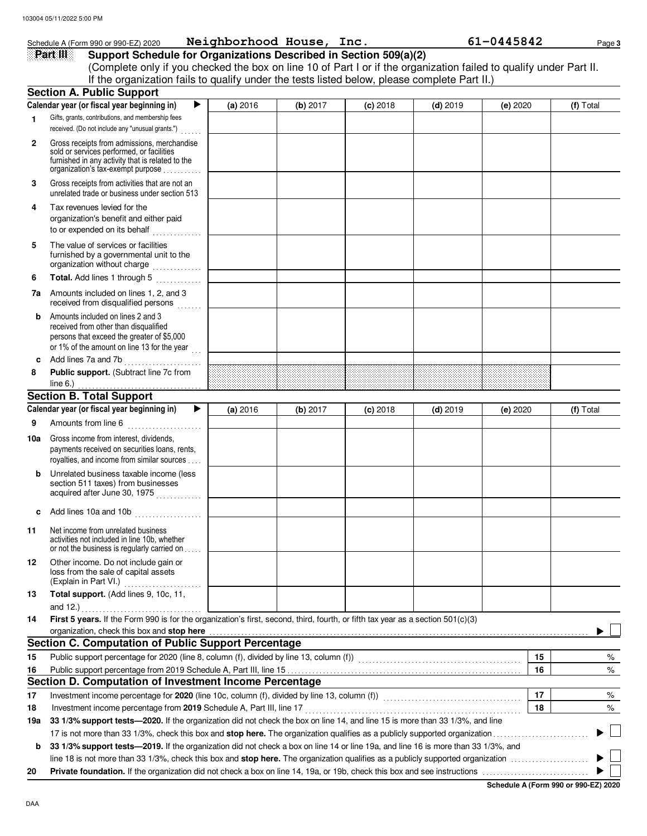|                | Schedule A (Form 990 or 990-EZ) 2020                                                                                                                                              | Neighborhood House, Inc. |          |            |            | 61-0445842 | Page 3    |
|----------------|-----------------------------------------------------------------------------------------------------------------------------------------------------------------------------------|--------------------------|----------|------------|------------|------------|-----------|
|                | Support Schedule for Organizations Described in Section 509(a)(2)<br>Part III                                                                                                     |                          |          |            |            |            |           |
|                | (Complete only if you checked the box on line 10 of Part I or if the organization failed to qualify under Part II.                                                                |                          |          |            |            |            |           |
|                | If the organization fails to qualify under the tests listed below, please complete Part II.)                                                                                      |                          |          |            |            |            |           |
|                | <b>Section A. Public Support</b>                                                                                                                                                  |                          |          |            |            |            |           |
|                | Calendar year (or fiscal year beginning in)<br>▶                                                                                                                                  | (a) 2016                 | (b) 2017 | $(c)$ 2018 | $(d)$ 2019 | (e) 2020   | (f) Total |
| 1.             | Gifts, grants, contributions, and membership fees<br>received. (Do not include any "unusual grants.")                                                                             |                          |          |            |            |            |           |
| $\overline{2}$ | Gross receipts from admissions, merchandise<br>sold or services performed, or facilities<br>furnished in any activity that is related to the<br>organization's tax-exempt purpose |                          |          |            |            |            |           |
| 3              | Gross receipts from activities that are not an<br>unrelated trade or business under section 513                                                                                   |                          |          |            |            |            |           |
| 4              | Tax revenues levied for the<br>organization's benefit and either paid<br>to or expended on its behalf<br>.                                                                        |                          |          |            |            |            |           |
| 5              | The value of services or facilities<br>furnished by a governmental unit to the                                                                                                    |                          |          |            |            |            |           |
| 6              | Total. Add lines 1 through 5                                                                                                                                                      |                          |          |            |            |            |           |
| 7а             | Amounts included on lines 1, 2, and 3<br>received from disqualified persons                                                                                                       |                          |          |            |            |            |           |
| b              | Amounts included on lines 2 and 3<br>received from other than disqualified<br>persons that exceed the greater of \$5,000<br>or 1% of the amount on line 13 for the year           |                          |          |            |            |            |           |
| c              | Add lines 7a and 7b                                                                                                                                                               |                          |          |            |            |            |           |
| 8              | Public support. (Subtract line 7c from                                                                                                                                            |                          |          |            |            |            |           |
|                | line $6.$ )                                                                                                                                                                       |                          |          |            |            |            |           |
|                | <b>Section B. Total Support</b><br>Calendar year (or fiscal year beginning in)<br>▶                                                                                               |                          |          |            |            |            |           |
|                |                                                                                                                                                                                   | (a) 2016                 | (b) 2017 | $(c)$ 2018 | $(d)$ 2019 | (e) 2020   | (f) Total |
| 9              | Amounts from line 6                                                                                                                                                               |                          |          |            |            |            |           |
| 10a            | Gross income from interest, dividends,<br>payments received on securities loans, rents,<br>royalties, and income from similar sources                                             |                          |          |            |            |            |           |
| b              | Unrelated business taxable income (less<br>section 511 taxes) from businesses<br>acquired after June 30, 1975                                                                     |                          |          |            |            |            |           |
| c              | Add lines 10a and 10b                                                                                                                                                             |                          |          |            |            |            |           |
| 11             | Net income from unrelated business<br>activities not included in line 10b, whether<br>or not the business is regularly carried on                                                 |                          |          |            |            |            |           |
| 12             | Other income. Do not include gain or<br>loss from the sale of capital assets                                                                                                      |                          |          |            |            |            |           |
| 13             | Total support. (Add lines 9, 10c, 11,<br>and 12.)                                                                                                                                 |                          |          |            |            |            |           |
| 14             | First 5 years. If the Form 990 is for the organization's first, second, third, fourth, or fifth tax year as a section 501(c)(3)<br>organization, check this box and stop here     |                          |          |            |            |            |           |
|                | <b>Section C. Computation of Public Support Percentage</b>                                                                                                                        |                          |          |            |            |            |           |
| 15             | Public support percentage for 2020 (line 8, column (f), divided by line 13, column (f)) [[[[[[[[[[[[[[[[[[[[[                                                                     |                          |          |            |            | 15         | %         |
| 16             |                                                                                                                                                                                   |                          |          |            |            | 16         | $\%$      |
|                | Section D. Computation of Investment Income Percentage                                                                                                                            |                          |          |            |            |            |           |
| 17             |                                                                                                                                                                                   |                          |          |            |            | 17         | %         |
| 18             |                                                                                                                                                                                   |                          |          |            |            | 18         | $\%$      |
| 19a            | 33 1/3% support tests-2020. If the organization did not check the box on line 14, and line 15 is more than 33 1/3%, and line                                                      |                          |          |            |            |            |           |
|                |                                                                                                                                                                                   |                          |          |            |            |            |           |
| b              | 33 1/3% support tests-2019. If the organization did not check a box on line 14 or line 19a, and line 16 is more than 33 1/3%, and                                                 |                          |          |            |            |            |           |
|                |                                                                                                                                                                                   |                          |          |            |            |            |           |
| 20             |                                                                                                                                                                                   |                          |          |            |            |            |           |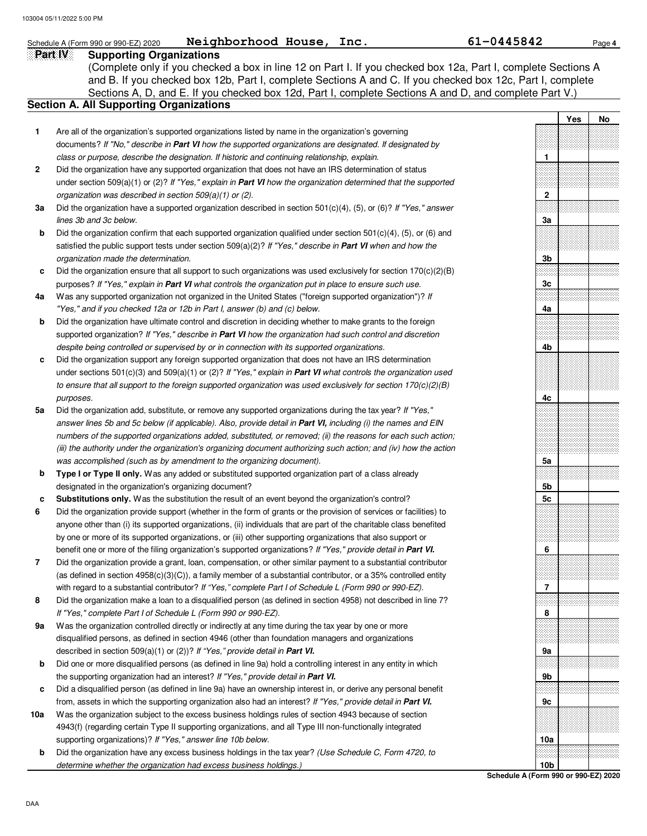### **Part IV Supporting Organizations** Sections A, D, and E. If you checked box 12d, Part I, complete Sections A and D, and complete Part V.) Schedule A (Form 990 or 990-EZ) 2020 **Neighborhood House, Inc.** 61-0445842 Page 4 **Section A. All Supporting Organizations** (Complete only if you checked a box in line 12 on Part I. If you checked box 12a, Part I, complete Sections A and B. If you checked box 12b, Part I, complete Sections A and C. If you checked box 12c, Part I, complete Are all of the organization's supported organizations listed by name in the organization's governing documents? If "No," describe in **Part VI** how the supported organizations are designated. If designated by class or purpose, describe the designation. If historic and continuing relationship, explain. Did the organization have any supported organization that does not have an IRS determination of status under section 509(a)(1) or (2)? If "Yes," explain in **Part VI** how the organization determined that the supported organization was described in section 509(a)(1) or (2). **1 2 3a b c 4a b c 5a b c 6 7 8 9a b c 10a b** Did the organization have a supported organization described in section 501(c)(4), (5), or (6)? If "Yes," answer lines 3b and 3c below. Did the organization confirm that each supported organization qualified under section 501(c)(4), (5), or (6) and satisfied the public support tests under section 509(a)(2)? If "Yes," describe in **Part VI** when and how the organization made the determination. Did the organization ensure that all support to such organizations was used exclusively for section  $170(c)(2)(B)$ purposes? If "Yes," explain in **Part VI** what controls the organization put in place to ensure such use. Was any supported organization not organized in the United States ("foreign supported organization")? If "Yes," and if you checked 12a or 12b in Part I, answer (b) and (c) below. Did the organization have ultimate control and discretion in deciding whether to make grants to the foreign supported organization? If "Yes," describe in **Part VI** how the organization had such control and discretion despite being controlled or supervised by or in connection with its supported organizations. Did the organization support any foreign supported organization that does not have an IRS determination under sections 501(c)(3) and 509(a)(1) or (2)? If "Yes," explain in **Part VI** what controls the organization used to ensure that all support to the foreign supported organization was used exclusively for section 170(c)(2)(B) purposes. Did the organization add, substitute, or remove any supported organizations during the tax year? If "Yes," answer lines 5b and 5c below (if applicable). Also, provide detail in **Part VI,** including (i) the names and EIN numbers of the supported organizations added, substituted, or removed; (ii) the reasons for each such action; (iii) the authority under the organization's organizing document authorizing such action; and (iv) how the action was accomplished (such as by amendment to the organizing document). **Type I or Type II only.** Was any added or substituted supported organization part of a class already designated in the organization's organizing document? **Substitutions only.** Was the substitution the result of an event beyond the organization's control? Did the organization provide support (whether in the form of grants or the provision of services or facilities) to anyone other than (i) its supported organizations, (ii) individuals that are part of the charitable class benefited by one or more of its supported organizations, or (iii) other supporting organizations that also support or benefit one or more of the filing organization's supported organizations? If "Yes," provide detail in **Part VI.** Did the organization provide a grant, loan, compensation, or other similar payment to a substantial contributor (as defined in section 4958(c)(3)(C)), a family member of a substantial contributor, or a 35% controlled entity with regard to a substantial contributor? If "Yes," complete Part I of Schedule L (Form 990 or 990-EZ). Did the organization make a loan to a disqualified person (as defined in section 4958) not described in line 7? If "Yes," complete Part I of Schedule L (Form 990 or 990-EZ). Was the organization controlled directly or indirectly at any time during the tax year by one or more disqualified persons, as defined in section 4946 (other than foundation managers and organizations described in section 509(a)(1) or (2))? If "Yes," provide detail in **Part VI.** Did one or more disqualified persons (as defined in line 9a) hold a controlling interest in any entity in which the supporting organization had an interest? If "Yes," provide detail in **Part VI.** Did a disqualified person (as defined in line 9a) have an ownership interest in, or derive any personal benefit from, assets in which the supporting organization also had an interest? If "Yes," provide detail in **Part VI.** Was the organization subject to the excess business holdings rules of section 4943 because of section 4943(f) (regarding certain Type II supporting organizations, and all Type III non-functionally integrated supporting organizations)? If "Yes," answer line 10b below. Did the organization have any excess business holdings in the tax year? (Use Schedule C, Form 4720, to **Yes No 1 2 3a 3b 3c 4a 4b 4c 5a 5b 5c 6 7 8 9a 9b 9c 10a**

**Schedule A (Form 990 or 990-EZ) 2020 10b**

determine whether the organization had excess business holdings.)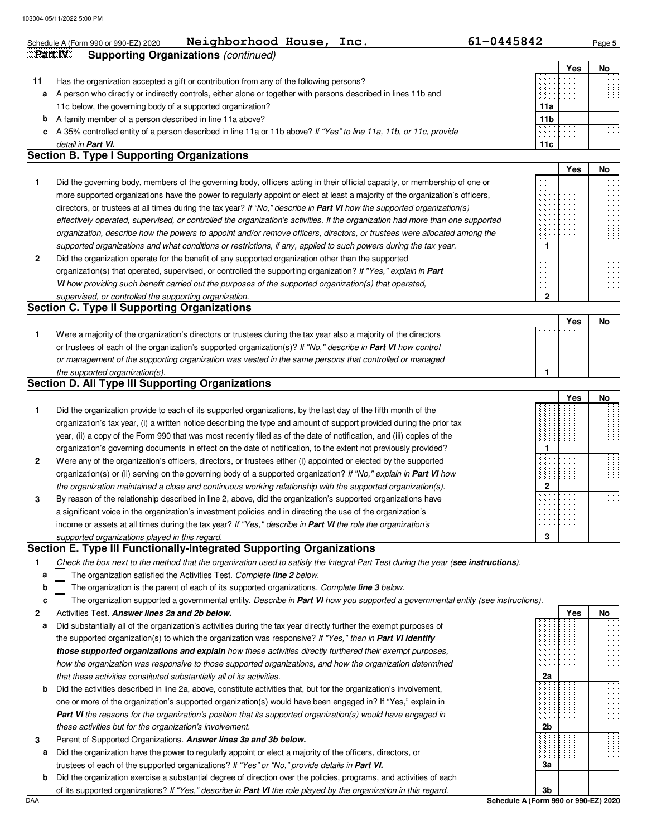|    | Neighborhood House, Inc.<br>Schedule A (Form 990 or 990-EZ) 2020                                                                                                                                                              | 61-0445842      |     | Page 5 |
|----|-------------------------------------------------------------------------------------------------------------------------------------------------------------------------------------------------------------------------------|-----------------|-----|--------|
|    | <b>Supporting Organizations (continued)</b><br>Part IV                                                                                                                                                                        |                 |     |        |
|    |                                                                                                                                                                                                                               |                 | Yes | No     |
| 11 | Has the organization accepted a gift or contribution from any of the following persons?                                                                                                                                       |                 |     |        |
| а  | A person who directly or indirectly controls, either alone or together with persons described in lines 11b and                                                                                                                |                 |     |        |
|    | 11c below, the governing body of a supported organization?                                                                                                                                                                    | 11a             |     |        |
| b  | A family member of a person described in line 11a above?                                                                                                                                                                      | 11 <sub>b</sub> |     |        |
| c  | A 35% controlled entity of a person described in line 11a or 11b above? If "Yes" to line 11a, 11b, or 11c, provide                                                                                                            |                 |     |        |
|    | detail in Part VI.                                                                                                                                                                                                            | 11c             |     |        |
|    | <b>Section B. Type I Supporting Organizations</b>                                                                                                                                                                             |                 |     |        |
|    |                                                                                                                                                                                                                               |                 | Yes | No     |
|    |                                                                                                                                                                                                                               |                 |     |        |
| 1  | Did the governing body, members of the governing body, officers acting in their official capacity, or membership of one or                                                                                                    |                 |     |        |
|    | more supported organizations have the power to regularly appoint or elect at least a majority of the organization's officers,                                                                                                 |                 |     |        |
|    | directors, or trustees at all times during the tax year? If "No," describe in Part VI how the supported organization(s)                                                                                                       |                 |     |        |
|    | effectively operated, supervised, or controlled the organization's activities. If the organization had more than one supported                                                                                                |                 |     |        |
|    | organization, describe how the powers to appoint and/or remove officers, directors, or trustees were allocated among the                                                                                                      |                 |     |        |
|    | supported organizations and what conditions or restrictions, if any, applied to such powers during the tax year.                                                                                                              | $\mathbf{1}$    |     |        |
| 2  | Did the organization operate for the benefit of any supported organization other than the supported                                                                                                                           |                 |     |        |
|    | organization(s) that operated, supervised, or controlled the supporting organization? If "Yes," explain in Part                                                                                                               |                 |     |        |
|    | VI how providing such benefit carried out the purposes of the supported organization(s) that operated,                                                                                                                        |                 |     |        |
|    | supervised, or controlled the supporting organization.                                                                                                                                                                        | $\mathbf 2$     |     |        |
|    | <b>Section C. Type II Supporting Organizations</b>                                                                                                                                                                            |                 |     |        |
|    |                                                                                                                                                                                                                               |                 | Yes | No     |
| 1  | Were a majority of the organization's directors or trustees during the tax year also a majority of the directors                                                                                                              |                 |     |        |
|    | or trustees of each of the organization's supported organization(s)? If "No," describe in Part VI how control                                                                                                                 |                 |     |        |
|    | or management of the supporting organization was vested in the same persons that controlled or managed                                                                                                                        |                 |     |        |
|    | the supported organization(s).                                                                                                                                                                                                | $\mathbf{1}$    |     |        |
|    | <b>Section D. All Type III Supporting Organizations</b>                                                                                                                                                                       |                 |     |        |
|    |                                                                                                                                                                                                                               |                 | Yes | No     |
| 1  | Did the organization provide to each of its supported organizations, by the last day of the fifth month of the                                                                                                                |                 |     |        |
|    | organization's tax year, (i) a written notice describing the type and amount of support provided during the prior tax                                                                                                         |                 |     |        |
|    | year, (ii) a copy of the Form 990 that was most recently filed as of the date of notification, and (iii) copies of the                                                                                                        |                 |     |        |
|    | organization's governing documents in effect on the date of notification, to the extent not previously provided?                                                                                                              | 1               |     |        |
| 2  | Were any of the organization's officers, directors, or trustees either (i) appointed or elected by the supported                                                                                                              |                 |     |        |
|    | organization(s) or (ii) serving on the governing body of a supported organization? If "No," explain in Part VI how                                                                                                            |                 |     |        |
|    | the organization maintained a close and continuous working relationship with the supported organization(s).                                                                                                                   | $\mathbf{2}$    |     |        |
|    |                                                                                                                                                                                                                               |                 |     |        |
| 3  | By reason of the relationship described in line 2, above, did the organization's supported organizations have<br>a significant voice in the organization's investment policies and in directing the use of the organization's |                 |     |        |
|    |                                                                                                                                                                                                                               |                 |     |        |
|    | income or assets at all times during the tax year? If "Yes," describe in <b>Part VI</b> the role the organization's                                                                                                           |                 |     |        |
|    | supported organizations played in this regard.                                                                                                                                                                                | 3               |     |        |
|    | Section E. Type III Functionally-Integrated Supporting Organizations                                                                                                                                                          |                 |     |        |
| 1  | Check the box next to the method that the organization used to satisfy the Integral Part Test during the year (see instructions).                                                                                             |                 |     |        |
| a  | The organization satisfied the Activities Test. Complete line 2 below.                                                                                                                                                        |                 |     |        |
| b  | The organization is the parent of each of its supported organizations. Complete line 3 below.                                                                                                                                 |                 |     |        |
| c  | The organization supported a governmental entity. Describe in Part VI how you supported a governmental entity (see instructions).                                                                                             |                 |     |        |
| 2  | Activities Test. Answer lines 2a and 2b below.                                                                                                                                                                                |                 | Yes | No     |
| а  | Did substantially all of the organization's activities during the tax year directly further the exempt purposes of                                                                                                            |                 |     |        |
|    | the supported organization(s) to which the organization was responsive? If "Yes," then in Part VI identify                                                                                                                    |                 |     |        |
|    | those supported organizations and explain how these activities directly furthered their exempt purposes,                                                                                                                      |                 |     |        |
|    | how the organization was responsive to those supported organizations, and how the organization determined                                                                                                                     |                 |     |        |
|    | that these activities constituted substantially all of its activities.                                                                                                                                                        | 2a              |     |        |
| b  | Did the activities described in line 2a, above, constitute activities that, but for the organization's involvement,                                                                                                           |                 |     |        |
|    | one or more of the organization's supported organization(s) would have been engaged in? If "Yes," explain in                                                                                                                  |                 |     |        |
|    | <b>Part VI</b> the reasons for the organization's position that its supported organization(s) would have engaged in                                                                                                           |                 |     |        |
|    | these activities but for the organization's involvement.                                                                                                                                                                      | 2b              |     |        |
| 3  | Parent of Supported Organizations. Answer lines 3a and 3b below.                                                                                                                                                              |                 |     |        |
| a  | Did the organization have the power to regularly appoint or elect a majority of the officers, directors, or                                                                                                                   |                 |     |        |
|    | trustees of each of the supported organizations? If "Yes" or "No," provide details in Part VI.                                                                                                                                | За              |     |        |
| b  | Did the organization exercise a substantial degree of direction over the policies, programs, and activities of each                                                                                                           |                 |     |        |
|    | of its supported organizations? If "Yes," describe in Part VI the role played by the organization in this regard.                                                                                                             | 3 <sub>b</sub>  |     |        |
|    |                                                                                                                                                                                                                               |                 |     |        |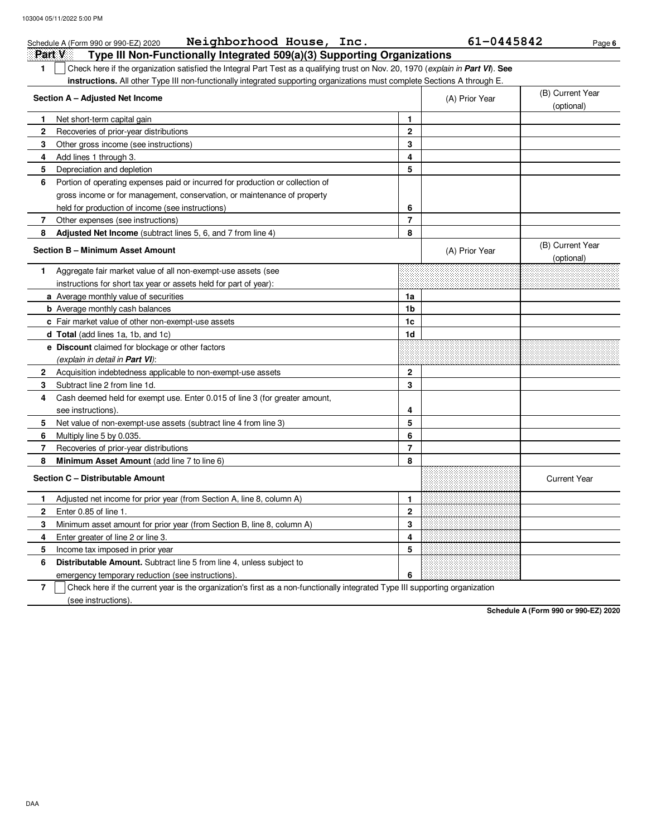|              | Neighborhood House, Inc.<br>Schedule A (Form 990 or 990-EZ) 2020                                                                 |                | 61-0445842     | Page 6                         |
|--------------|----------------------------------------------------------------------------------------------------------------------------------|----------------|----------------|--------------------------------|
|              | Part V<br>Type III Non-Functionally Integrated 509(a)(3) Supporting Organizations                                                |                |                |                                |
| 1            | Check here if the organization satisfied the Integral Part Test as a qualifying trust on Nov. 20, 1970 (explain in Part VI). See |                |                |                                |
|              | instructions. All other Type III non-functionally integrated supporting organizations must complete Sections A through E.        |                |                |                                |
|              | Section A - Adjusted Net Income                                                                                                  |                | (A) Prior Year | (B) Current Year               |
|              |                                                                                                                                  |                |                | (optional)                     |
| 1.           | Net short-term capital gain                                                                                                      | $\mathbf{1}$   |                |                                |
| $\mathbf{2}$ | Recoveries of prior-year distributions                                                                                           | $\overline{2}$ |                |                                |
| 3            | Other gross income (see instructions)                                                                                            | 3              |                |                                |
| 4            | Add lines 1 through 3.                                                                                                           | 4              |                |                                |
| 5            | Depreciation and depletion                                                                                                       | 5              |                |                                |
| 6            | Portion of operating expenses paid or incurred for production or collection of                                                   |                |                |                                |
|              | gross income or for management, conservation, or maintenance of property                                                         |                |                |                                |
|              | held for production of income (see instructions)                                                                                 | 6              |                |                                |
| 7            | Other expenses (see instructions)                                                                                                | $\overline{7}$ |                |                                |
| 8            | <b>Adjusted Net Income</b> (subtract lines 5, 6, and 7 from line 4)                                                              | 8              |                |                                |
|              | Section B - Minimum Asset Amount                                                                                                 |                | (A) Prior Year | (B) Current Year<br>(optional) |
| 1.           | Aggregate fair market value of all non-exempt-use assets (see                                                                    |                |                |                                |
|              | instructions for short tax year or assets held for part of year):                                                                |                |                |                                |
|              | a Average monthly value of securities                                                                                            | 1a             |                |                                |
|              | <b>b</b> Average monthly cash balances                                                                                           | 1b             |                |                                |
|              | c Fair market value of other non-exempt-use assets                                                                               | 1c             |                |                                |
|              | d Total (add lines 1a, 1b, and 1c)                                                                                               | 1d             |                |                                |
|              | <b>e</b> Discount claimed for blockage or other factors                                                                          |                |                |                                |
|              | (explain in detail in <b>Part VI</b> ):                                                                                          |                |                |                                |
| $\mathbf{2}$ | Acquisition indebtedness applicable to non-exempt-use assets                                                                     | $\overline{2}$ |                |                                |
| 3            | Subtract line 2 from line 1d.                                                                                                    | 3              |                |                                |
| 4            | Cash deemed held for exempt use. Enter 0.015 of line 3 (for greater amount,                                                      |                |                |                                |
|              | see instructions)                                                                                                                | 4              |                |                                |
| 5            | Net value of non-exempt-use assets (subtract line 4 from line 3)                                                                 | 5              |                |                                |
| 6            | Multiply line 5 by 0.035.                                                                                                        | 6              |                |                                |
| 7            | Recoveries of prior-year distributions                                                                                           | $\overline{7}$ |                |                                |
| 8            | Minimum Asset Amount (add line 7 to line 6)                                                                                      | 8              |                |                                |
|              | Section C - Distributable Amount                                                                                                 |                |                | <b>Current Year</b>            |
| 1.           | Adjusted net income for prior year (from Section A, line 8, column A)                                                            | 1              |                |                                |
| 2            | Enter 0.85 of line 1.                                                                                                            | $\mathbf 2$    |                |                                |
| 3            | Minimum asset amount for prior year (from Section B, line 8, column A)                                                           | 3              |                |                                |
| 4            | Enter greater of line 2 or line 3.                                                                                               | 4              |                |                                |
| 5            | Income tax imposed in prior year                                                                                                 | 5              |                |                                |
| 6            | <b>Distributable Amount.</b> Subtract line 5 from line 4, unless subject to                                                      |                |                |                                |
|              | emergency temporary reduction (see instructions).                                                                                | 6              |                |                                |
|              |                                                                                                                                  |                |                |                                |

**7** Check here if the current year is the organization's first as a non-functionally integrated Type III supporting organization (see instructions).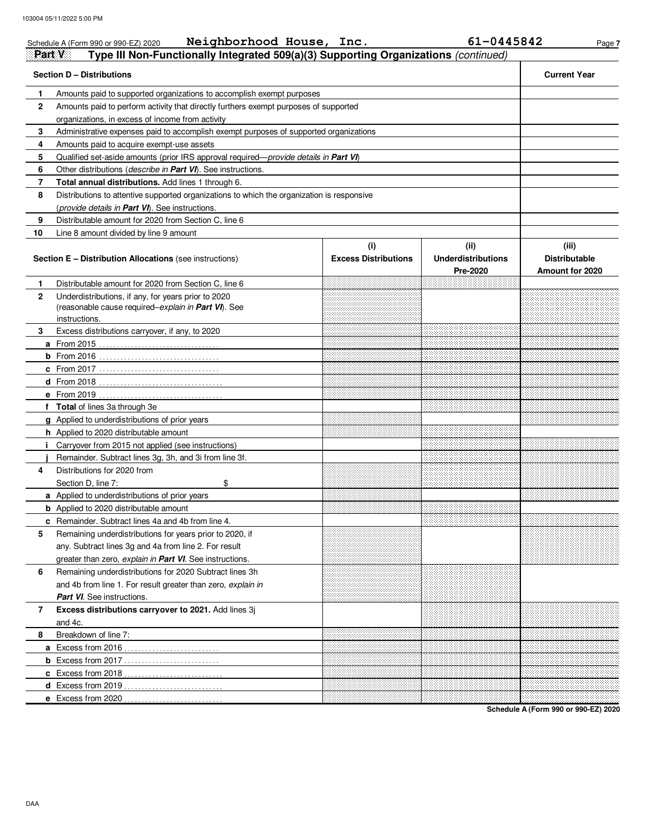|              | Neighborhood House, Inc.<br>Schedule A (Form 990 or 990-EZ) 2020                              |                                    | 61-0445842                                    | Page 7                                           |
|--------------|-----------------------------------------------------------------------------------------------|------------------------------------|-----------------------------------------------|--------------------------------------------------|
| Part V       | Type III Non-Functionally Integrated 509(a)(3) Supporting Organizations (continued)           |                                    |                                               |                                                  |
|              | <b>Section D - Distributions</b>                                                              |                                    |                                               | <b>Current Year</b>                              |
| 1.           | Amounts paid to supported organizations to accomplish exempt purposes                         |                                    |                                               |                                                  |
| $\mathbf{2}$ | Amounts paid to perform activity that directly furthers exempt purposes of supported          |                                    |                                               |                                                  |
|              | organizations, in excess of income from activity                                              |                                    |                                               |                                                  |
| 3            | Administrative expenses paid to accomplish exempt purposes of supported organizations         |                                    |                                               |                                                  |
| 4            | Amounts paid to acquire exempt-use assets                                                     |                                    |                                               |                                                  |
| 5            | Qualified set-aside amounts (prior IRS approval required— <i>provide details in Part VI</i> ) |                                    |                                               |                                                  |
| 6            | Other distributions (describe in Part VI). See instructions.                                  |                                    |                                               |                                                  |
| 7            | Total annual distributions. Add lines 1 through 6.                                            |                                    |                                               |                                                  |
| 8            | Distributions to attentive supported organizations to which the organization is responsive    |                                    |                                               |                                                  |
|              | (provide details in Part VI). See instructions.                                               |                                    |                                               |                                                  |
| 9            | Distributable amount for 2020 from Section C, line 6                                          |                                    |                                               |                                                  |
| 10           | Line 8 amount divided by line 9 amount                                                        |                                    |                                               |                                                  |
|              | <b>Section E - Distribution Allocations (see instructions)</b>                                | (i)<br><b>Excess Distributions</b> | (ii)<br><b>Underdistributions</b><br>Pre-2020 | (iii)<br><b>Distributable</b><br>Amount for 2020 |
| 1.           | Distributable amount for 2020 from Section C, line 6                                          |                                    |                                               |                                                  |
| $\mathbf{2}$ | Underdistributions, if any, for years prior to 2020                                           |                                    |                                               |                                                  |
|              | (reasonable cause required-explain in Part VI). See                                           |                                    |                                               |                                                  |
|              | instructions.                                                                                 |                                    |                                               |                                                  |
| 3            | Excess distributions carryover, if any, to 2020                                               |                                    |                                               |                                                  |
|              |                                                                                               |                                    |                                               |                                                  |
|              |                                                                                               |                                    |                                               |                                                  |
|              |                                                                                               |                                    |                                               |                                                  |
|              |                                                                                               |                                    |                                               |                                                  |
|              |                                                                                               |                                    |                                               |                                                  |
|              | f Total of lines 3a through 3e                                                                |                                    |                                               |                                                  |
|              | g Applied to underdistributions of prior years                                                |                                    |                                               |                                                  |
|              | h Applied to 2020 distributable amount                                                        |                                    |                                               |                                                  |
|              | <i>i</i> Carryover from 2015 not applied (see instructions)                                   |                                    |                                               |                                                  |
|              | Remainder. Subtract lines 3g, 3h, and 3i from line 3f.                                        |                                    |                                               |                                                  |
| 4            | Distributions for 2020 from                                                                   |                                    |                                               |                                                  |
|              | Section D, line 7:<br>\$                                                                      |                                    |                                               |                                                  |
|              | a Applied to underdistributions of prior years                                                |                                    |                                               |                                                  |
|              | <b>b</b> Applied to 2020 distributable amount                                                 |                                    |                                               |                                                  |
|              | <b>c</b> Remainder. Subtract lines 4a and 4b from line 4.                                     |                                    |                                               |                                                  |
| 5            | Remaining underdistributions for years prior to 2020, if                                      |                                    |                                               |                                                  |
|              | any. Subtract lines 3g and 4a from line 2. For result                                         |                                    |                                               |                                                  |
|              | greater than zero, explain in Part VI. See instructions.                                      |                                    |                                               |                                                  |
| 6            | Remaining underdistributions for 2020 Subtract lines 3h                                       |                                    |                                               |                                                  |
|              | and 4b from line 1. For result greater than zero, explain in                                  |                                    |                                               |                                                  |
|              | <b>Part VI.</b> See instructions.                                                             |                                    |                                               |                                                  |
| 7            | Excess distributions carryover to 2021. Add lines 3j                                          |                                    |                                               |                                                  |
|              | and 4c.                                                                                       |                                    |                                               |                                                  |
| 8            | Breakdown of line 7:                                                                          |                                    |                                               |                                                  |
|              |                                                                                               |                                    |                                               |                                                  |
|              |                                                                                               |                                    |                                               |                                                  |
|              |                                                                                               |                                    |                                               |                                                  |
|              |                                                                                               |                                    |                                               |                                                  |
|              |                                                                                               |                                    |                                               |                                                  |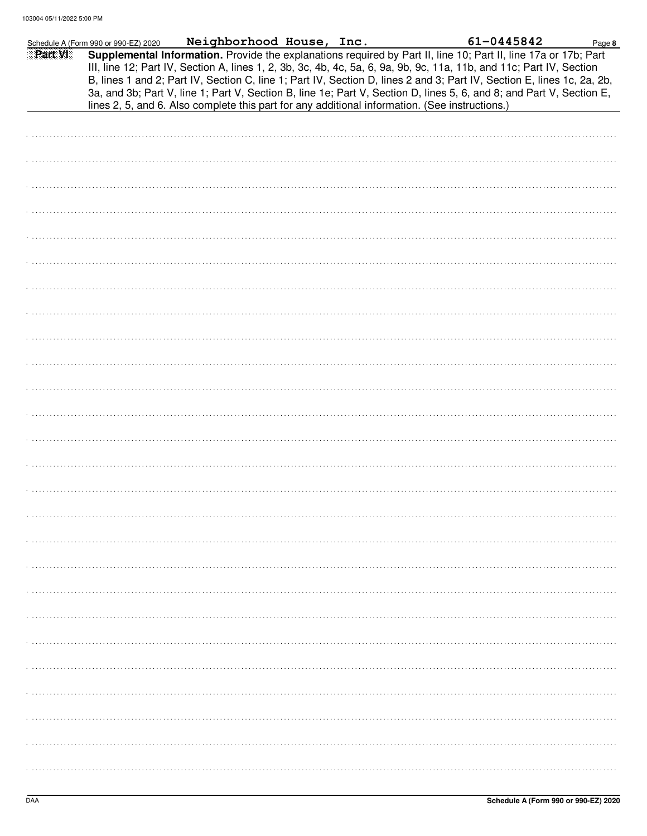|         | Schedule A (Form 990 or 990-EZ) 2020 | Neighborhood House, Inc.                                                                                                                                                                                                                                                                                                                                                                                                                                                                                                                                                                    |  | 61-0445842 | Page 8 |
|---------|--------------------------------------|---------------------------------------------------------------------------------------------------------------------------------------------------------------------------------------------------------------------------------------------------------------------------------------------------------------------------------------------------------------------------------------------------------------------------------------------------------------------------------------------------------------------------------------------------------------------------------------------|--|------------|--------|
| Part VI |                                      | Supplemental Information. Provide the explanations required by Part II, line 10; Part II, line 17a or 17b; Part<br>III, line 12; Part IV, Section A, lines 1, 2, 3b, 3c, 4b, 4c, 5a, 6, 9a, 9b, 9c, 11a, 11b, and 11c; Part IV, Section<br>B, lines 1 and 2; Part IV, Section C, line 1; Part IV, Section D, lines 2 and 3; Part IV, Section E, lines 1c, 2a, 2b,<br>3a, and 3b; Part V, line 1; Part V, Section B, line 1e; Part V, Section D, lines 5, 6, and 8; and Part V, Section E,<br>lines 2, 5, and 6. Also complete this part for any additional information. (See instructions.) |  |            |        |
|         |                                      |                                                                                                                                                                                                                                                                                                                                                                                                                                                                                                                                                                                             |  |            |        |
|         |                                      |                                                                                                                                                                                                                                                                                                                                                                                                                                                                                                                                                                                             |  |            |        |
|         |                                      |                                                                                                                                                                                                                                                                                                                                                                                                                                                                                                                                                                                             |  |            |        |
|         |                                      |                                                                                                                                                                                                                                                                                                                                                                                                                                                                                                                                                                                             |  |            |        |
|         |                                      |                                                                                                                                                                                                                                                                                                                                                                                                                                                                                                                                                                                             |  |            |        |
|         |                                      |                                                                                                                                                                                                                                                                                                                                                                                                                                                                                                                                                                                             |  |            |        |
|         |                                      |                                                                                                                                                                                                                                                                                                                                                                                                                                                                                                                                                                                             |  |            |        |
|         |                                      |                                                                                                                                                                                                                                                                                                                                                                                                                                                                                                                                                                                             |  |            |        |
|         |                                      |                                                                                                                                                                                                                                                                                                                                                                                                                                                                                                                                                                                             |  |            |        |
|         |                                      |                                                                                                                                                                                                                                                                                                                                                                                                                                                                                                                                                                                             |  |            |        |
|         |                                      |                                                                                                                                                                                                                                                                                                                                                                                                                                                                                                                                                                                             |  |            |        |
|         |                                      |                                                                                                                                                                                                                                                                                                                                                                                                                                                                                                                                                                                             |  |            |        |
|         |                                      |                                                                                                                                                                                                                                                                                                                                                                                                                                                                                                                                                                                             |  |            |        |
|         |                                      |                                                                                                                                                                                                                                                                                                                                                                                                                                                                                                                                                                                             |  |            |        |
|         |                                      |                                                                                                                                                                                                                                                                                                                                                                                                                                                                                                                                                                                             |  |            |        |
|         |                                      |                                                                                                                                                                                                                                                                                                                                                                                                                                                                                                                                                                                             |  |            |        |
|         |                                      |                                                                                                                                                                                                                                                                                                                                                                                                                                                                                                                                                                                             |  |            |        |
|         |                                      |                                                                                                                                                                                                                                                                                                                                                                                                                                                                                                                                                                                             |  |            |        |
|         |                                      |                                                                                                                                                                                                                                                                                                                                                                                                                                                                                                                                                                                             |  |            |        |
|         |                                      |                                                                                                                                                                                                                                                                                                                                                                                                                                                                                                                                                                                             |  |            |        |
|         |                                      |                                                                                                                                                                                                                                                                                                                                                                                                                                                                                                                                                                                             |  |            |        |
|         |                                      |                                                                                                                                                                                                                                                                                                                                                                                                                                                                                                                                                                                             |  |            |        |
|         |                                      |                                                                                                                                                                                                                                                                                                                                                                                                                                                                                                                                                                                             |  |            |        |
|         |                                      |                                                                                                                                                                                                                                                                                                                                                                                                                                                                                                                                                                                             |  |            |        |
|         |                                      |                                                                                                                                                                                                                                                                                                                                                                                                                                                                                                                                                                                             |  |            |        |
|         |                                      |                                                                                                                                                                                                                                                                                                                                                                                                                                                                                                                                                                                             |  |            |        |
|         |                                      |                                                                                                                                                                                                                                                                                                                                                                                                                                                                                                                                                                                             |  |            |        |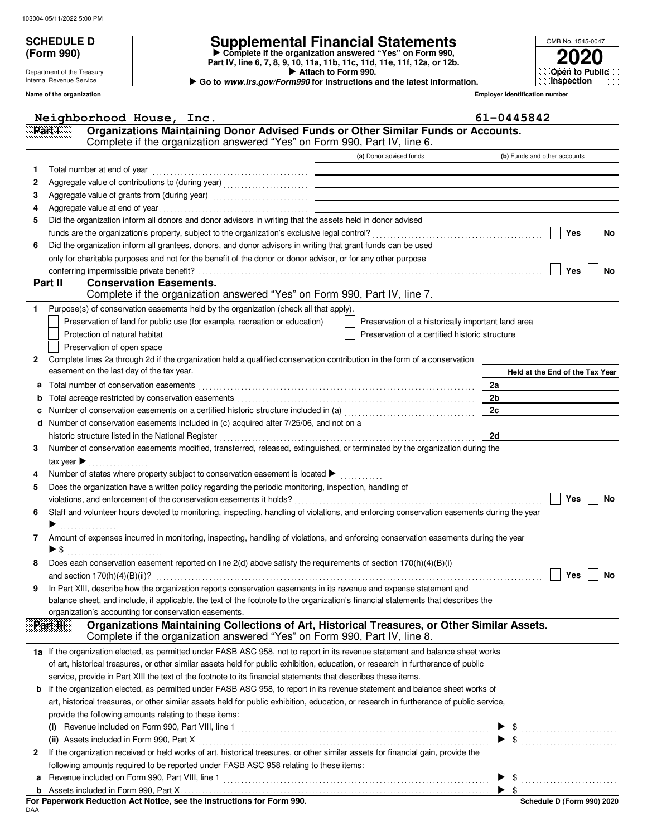Department of the Treasury Internal Revenue Service

**(Form 990)**

## **SCHEDULE D Supplemental Financial Statements**

 **Attach to Form 990. Part IV, line 6, 7, 8, 9, 10, 11a, 11b, 11c, 11d, 11e, 11f, 12a, or 12b. Complete if the organization answered "Yes" on Form 990, Go to www.irs.gov/Form990 for instructions and the latest information.**

**Inspection**

**2020 Open to Public**

OMB No. 1545-0047

|    | Name of the organization       |                                                                                                                                           |                                                    |                | <b>Employer identification number</b> |
|----|--------------------------------|-------------------------------------------------------------------------------------------------------------------------------------------|----------------------------------------------------|----------------|---------------------------------------|
|    |                                | Neighborhood House, Inc.                                                                                                                  |                                                    |                | 61-0445842                            |
|    | Part I                         | Organizations Maintaining Donor Advised Funds or Other Similar Funds or Accounts.                                                         |                                                    |                |                                       |
|    |                                | Complete if the organization answered "Yes" on Form 990, Part IV, line 6.                                                                 |                                                    |                |                                       |
|    |                                |                                                                                                                                           | (a) Donor advised funds                            |                | (b) Funds and other accounts          |
| 1  |                                | Total number at end of year                                                                                                               |                                                    |                |                                       |
| 2  |                                | Aggregate value of contributions to (during year)                                                                                         |                                                    |                |                                       |
| 3  |                                | Aggregate value of grants from (during year)                                                                                              |                                                    |                |                                       |
| 4  |                                |                                                                                                                                           |                                                    |                |                                       |
| 5  |                                | Did the organization inform all donors and donor advisors in writing that the assets held in donor advised                                |                                                    |                |                                       |
|    |                                |                                                                                                                                           |                                                    |                | Yes<br>No                             |
| 6  |                                | Did the organization inform all grantees, donors, and donor advisors in writing that grant funds can be used                              |                                                    |                |                                       |
|    |                                | only for charitable purposes and not for the benefit of the donor or donor advisor, or for any other purpose                              |                                                    |                |                                       |
|    |                                | conferring impermissible private benefit?                                                                                                 |                                                    |                | Yes<br>No                             |
|    | Part II                        | <b>Conservation Easements.</b><br>Complete if the organization answered "Yes" on Form 990, Part IV, line 7.                               |                                                    |                |                                       |
| 1. |                                | Purpose(s) of conservation easements held by the organization (check all that apply).                                                     |                                                    |                |                                       |
|    |                                | Preservation of land for public use (for example, recreation or education)                                                                | Preservation of a historically important land area |                |                                       |
|    |                                | Protection of natural habitat                                                                                                             | Preservation of a certified historic structure     |                |                                       |
|    |                                | Preservation of open space                                                                                                                |                                                    |                |                                       |
| 2  |                                | Complete lines 2a through 2d if the organization held a qualified conservation contribution in the form of a conservation                 |                                                    |                |                                       |
|    |                                | easement on the last day of the tax year.                                                                                                 |                                                    |                | Held at the End of the Tax Year       |
| а  |                                | Total number of conservation easements                                                                                                    |                                                    | 2a             |                                       |
| b  |                                |                                                                                                                                           |                                                    | 2 <sub>b</sub> |                                       |
| c  |                                | Number of conservation easements on a certified historic structure included in (a) [[[[[[[[[[[[[[[[[[[[[[[[[]]]]]]]                       |                                                    | 2c             |                                       |
|    |                                | d Number of conservation easements included in (c) acquired after 7/25/06, and not on a                                                   |                                                    |                |                                       |
|    |                                | historic structure listed in the National Register                                                                                        |                                                    | 2d             |                                       |
| 3  |                                | Number of conservation easements modified, transferred, released, extinguished, or terminated by the organization during the              |                                                    |                |                                       |
|    | tax year $\blacktriangleright$ |                                                                                                                                           |                                                    |                |                                       |
| 4  |                                | Number of states where property subject to conservation easement is located ▶                                                             |                                                    |                |                                       |
| 5  |                                | Does the organization have a written policy regarding the periodic monitoring, inspection, handling of                                    |                                                    |                |                                       |
|    |                                |                                                                                                                                           |                                                    |                | Yes<br>No                             |
| 6  |                                | Staff and volunteer hours devoted to monitoring, inspecting, handling of violations, and enforcing conservation easements during the year |                                                    |                |                                       |
| 7  |                                | Amount of expenses incurred in monitoring, inspecting, handling of violations, and enforcing conservation easements during the year       |                                                    |                |                                       |
|    | $\blacktriangleright$ \$       |                                                                                                                                           |                                                    |                |                                       |
|    |                                | Does each conservation easement reported on line 2(d) above satisfy the requirements of section 170(h)(4)(B)(i)                           |                                                    |                |                                       |
|    |                                |                                                                                                                                           |                                                    |                | Yes<br>No                             |
| 9  |                                | In Part XIII, describe how the organization reports conservation easements in its revenue and expense statement and                       |                                                    |                |                                       |
|    |                                | balance sheet, and include, if applicable, the text of the footnote to the organization's financial statements that describes the         |                                                    |                |                                       |
|    |                                | organization's accounting for conservation easements.                                                                                     |                                                    |                |                                       |
|    | Part III                       | Organizations Maintaining Collections of Art, Historical Treasures, or Other Similar Assets.                                              |                                                    |                |                                       |
|    |                                | Complete if the organization answered "Yes" on Form 990, Part IV, line 8.                                                                 |                                                    |                |                                       |
|    |                                | 1a If the organization elected, as permitted under FASB ASC 958, not to report in its revenue statement and balance sheet works           |                                                    |                |                                       |
|    |                                | of art, historical treasures, or other similar assets held for public exhibition, education, or research in furtherance of public         |                                                    |                |                                       |
|    |                                | service, provide in Part XIII the text of the footnote to its financial statements that describes these items.                            |                                                    |                |                                       |
| b  |                                | If the organization elected, as permitted under FASB ASC 958, to report in its revenue statement and balance sheet works of               |                                                    |                |                                       |
|    |                                | art, historical treasures, or other similar assets held for public exhibition, education, or research in furtherance of public service,   |                                                    |                |                                       |
|    |                                | provide the following amounts relating to these items:                                                                                    |                                                    |                |                                       |
|    | (i)                            |                                                                                                                                           |                                                    |                |                                       |
|    |                                | If the organization received or held works of art, historical treasures, or other similar assets for financial gain, provide the          |                                                    |                |                                       |
| 2  |                                | following amounts required to be reported under FASB ASC 958 relating to these items:                                                     |                                                    |                |                                       |
| а  |                                |                                                                                                                                           |                                                    |                | \$                                    |
| b  |                                |                                                                                                                                           |                                                    |                | $\blacktriangleright$ s               |

DAA **For Paperwork Reduction Act Notice, see the Instructions for Form 990.**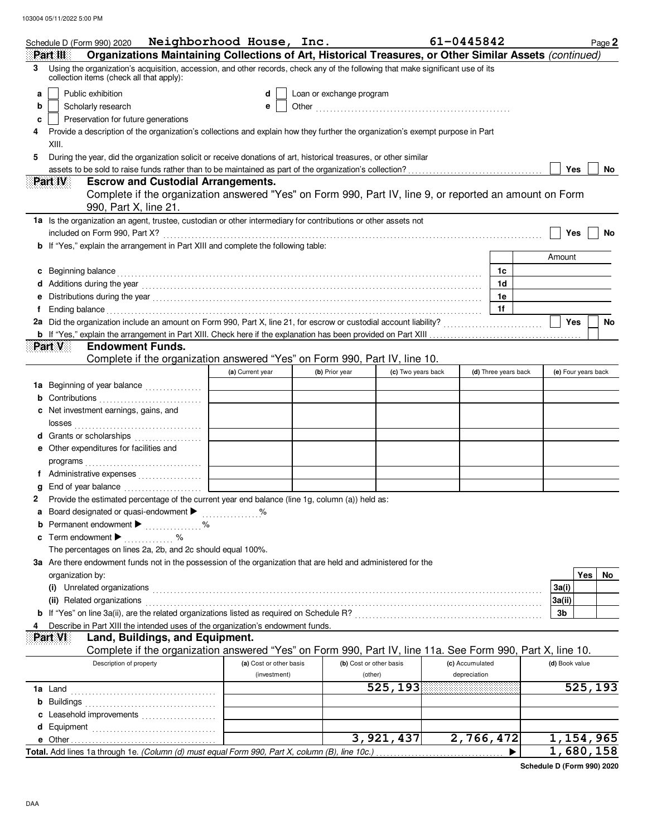| Schedule D (Form 990) 2020                                                                                                                                                                                                                                  | Neighborhood House, Inc. |                          |                                   | 61-0445842      |                      | Page 2                 |
|-------------------------------------------------------------------------------------------------------------------------------------------------------------------------------------------------------------------------------------------------------------|--------------------------|--------------------------|-----------------------------------|-----------------|----------------------|------------------------|
| Organizations Maintaining Collections of Art, Historical Treasures, or Other Similar Assets (continued)<br>Part III<br>Using the organization's acquisition, accession, and other records, check any of the following that make significant use of its<br>3 |                          |                          |                                   |                 |                      |                        |
| collection items (check all that apply):                                                                                                                                                                                                                    |                          |                          |                                   |                 |                      |                        |
| Public exhibition<br>a                                                                                                                                                                                                                                      | d                        | Loan or exchange program |                                   |                 |                      |                        |
| Scholarly research<br>b                                                                                                                                                                                                                                     | е                        |                          |                                   |                 |                      |                        |
| Preservation for future generations<br>c                                                                                                                                                                                                                    |                          |                          |                                   |                 |                      |                        |
| Provide a description of the organization's collections and explain how they further the organization's exempt purpose in Part<br>4<br>XIII.                                                                                                                |                          |                          |                                   |                 |                      |                        |
| During the year, did the organization solicit or receive donations of art, historical treasures, or other similar<br>5                                                                                                                                      |                          |                          |                                   |                 |                      |                        |
|                                                                                                                                                                                                                                                             |                          |                          |                                   |                 |                      | Yes<br>No              |
| Part IV<br><b>Escrow and Custodial Arrangements.</b>                                                                                                                                                                                                        |                          |                          |                                   |                 |                      |                        |
| Complete if the organization answered "Yes" on Form 990, Part IV, line 9, or reported an amount on Form<br>990, Part X, line 21.                                                                                                                            |                          |                          |                                   |                 |                      |                        |
| 1a Is the organization an agent, trustee, custodian or other intermediary for contributions or other assets not                                                                                                                                             |                          |                          |                                   |                 |                      |                        |
| included on Form 990, Part X?                                                                                                                                                                                                                               |                          |                          |                                   |                 |                      | Yes<br>No              |
| <b>b</b> If "Yes," explain the arrangement in Part XIII and complete the following table:                                                                                                                                                                   |                          |                          |                                   |                 |                      |                        |
|                                                                                                                                                                                                                                                             |                          |                          |                                   |                 |                      | Amount                 |
| Beginning balance                                                                                                                                                                                                                                           |                          |                          |                                   |                 | 1c<br>1d             |                        |
|                                                                                                                                                                                                                                                             |                          |                          |                                   |                 | 1e                   |                        |
| Ending balance with the contract of the contract of the contract of the contract of the contract of the contract of the contract of the contract of the contract of the contract of the contract of the contract of the contra<br>f                         |                          |                          |                                   |                 | 1f                   |                        |
| 2a Did the organization include an amount on Form 990, Part X, line 21, for escrow or custodial account liability?<br>2011                                                                                                                                  |                          |                          |                                   |                 |                      | Yes<br>No              |
|                                                                                                                                                                                                                                                             |                          |                          |                                   |                 |                      |                        |
| Part V<br><b>Endowment Funds.</b>                                                                                                                                                                                                                           |                          |                          |                                   |                 |                      |                        |
| Complete if the organization answered "Yes" on Form 990, Part IV, line 10.                                                                                                                                                                                  |                          |                          |                                   |                 |                      |                        |
|                                                                                                                                                                                                                                                             | (a) Current year         | (b) Prior year           | (c) Two years back                |                 | (d) Three years back | (e) Four years back    |
| 1a Beginning of year balance                                                                                                                                                                                                                                |                          |                          |                                   |                 |                      |                        |
|                                                                                                                                                                                                                                                             |                          |                          |                                   |                 |                      |                        |
| c Net investment earnings, gains, and                                                                                                                                                                                                                       |                          |                          |                                   |                 |                      |                        |
| d Grants or scholarships                                                                                                                                                                                                                                    |                          |                          |                                   |                 |                      |                        |
| e Other expenditures for facilities and                                                                                                                                                                                                                     |                          |                          |                                   |                 |                      |                        |
|                                                                                                                                                                                                                                                             |                          |                          |                                   |                 |                      |                        |
| f Administrative expenses                                                                                                                                                                                                                                   |                          |                          |                                   |                 |                      |                        |
|                                                                                                                                                                                                                                                             |                          |                          |                                   |                 |                      |                        |
| Provide the estimated percentage of the current year end balance (line 1g, column (a)) held as:<br>2                                                                                                                                                        |                          |                          |                                   |                 |                      |                        |
| Board designated or quasi-endowment ><br>а                                                                                                                                                                                                                  | ℅                        |                          |                                   |                 |                      |                        |
| Permanent endowment >                                                                                                                                                                                                                                       |                          |                          |                                   |                 |                      |                        |
| Term endowment $\blacktriangleright$<br>c                                                                                                                                                                                                                   |                          |                          |                                   |                 |                      |                        |
| The percentages on lines 2a, 2b, and 2c should equal 100%.                                                                                                                                                                                                  |                          |                          |                                   |                 |                      |                        |
| 3a Are there endowment funds not in the possession of the organization that are held and administered for the<br>organization by:                                                                                                                           |                          |                          |                                   |                 |                      | Yes<br>No              |
| (i) Unrelated organizations <b>contracts</b> and contracts are contracted as the contract of the contract of the contract of the contract of the contract of the contract of the contract of the contract of the contract of the co                         |                          |                          |                                   |                 |                      | 3a(i)                  |
| (ii) Related organizations entertainment and all the contract of the contract of the contract of the contract or contract or the contract of the contract of the contract of the contract of the contract of the contract of t                              |                          |                          |                                   |                 |                      | 3a(ii)                 |
|                                                                                                                                                                                                                                                             |                          |                          |                                   |                 |                      | 3b                     |
| Describe in Part XIII the intended uses of the organization's endowment funds.                                                                                                                                                                              |                          |                          |                                   |                 |                      |                        |
| Part VI<br>Land, Buildings, and Equipment.                                                                                                                                                                                                                  |                          |                          |                                   |                 |                      |                        |
| Complete if the organization answered "Yes" on Form 990, Part IV, line 11a. See Form 990, Part X, line 10.                                                                                                                                                  |                          |                          |                                   |                 |                      |                        |
| Description of property                                                                                                                                                                                                                                     | (a) Cost or other basis  |                          | (b) Cost or other basis           | (c) Accumulated |                      | (d) Book value         |
|                                                                                                                                                                                                                                                             | (investment)             |                          | (other)<br>$\overline{5}$ 25, 193 | depreciation    |                      | $\overline{525}$ , 193 |
|                                                                                                                                                                                                                                                             |                          |                          |                                   |                 |                      |                        |
| Leasehold improvements<br>c                                                                                                                                                                                                                                 |                          |                          |                                   |                 |                      |                        |
| d                                                                                                                                                                                                                                                           |                          |                          |                                   |                 |                      |                        |
|                                                                                                                                                                                                                                                             |                          |                          | $\overline{3,921,437}$            | 2,766,472       |                      | 1, 154, 965            |
| Total. Add lines 1a through 1e. (Column (d) must equal Form 990, Part X, column (B), line 10c.)                                                                                                                                                             |                          |                          |                                   |                 |                      | 1,680,158              |

**Schedule D (Form 990) 2020**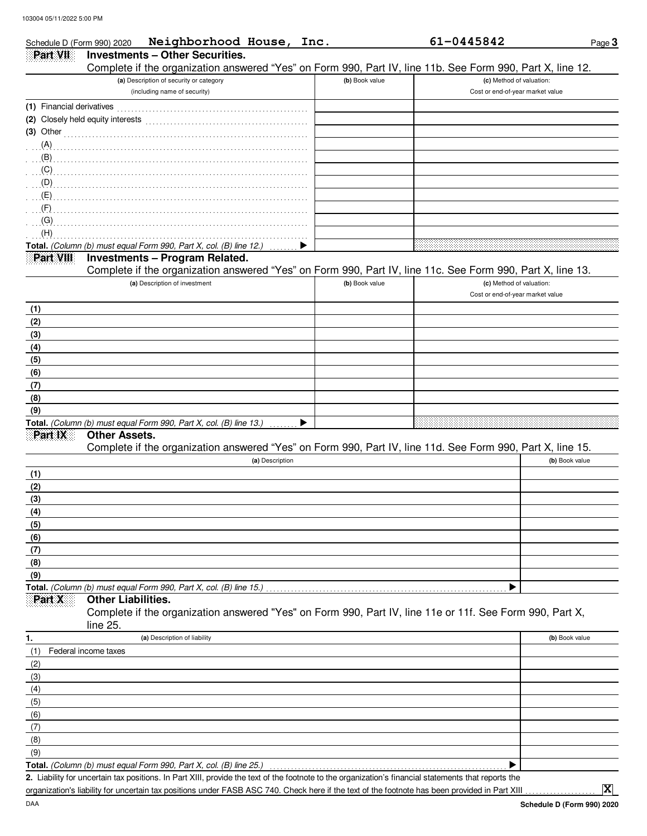| Schedule D (Form 990) 2020 | Neighborhood House, Inc.                                                                                             |                 |                | 61-0445842                                                   | Page 3         |
|----------------------------|----------------------------------------------------------------------------------------------------------------------|-----------------|----------------|--------------------------------------------------------------|----------------|
| Part VII                   | <b>Investments - Other Securities.</b>                                                                               |                 |                |                                                              |                |
|                            | Complete if the organization answered "Yes" on Form 990, Part IV, line 11b. See Form 990, Part X, line 12.           |                 |                |                                                              |                |
|                            | (a) Description of security or category<br>(including name of security)                                              |                 | (b) Book value | (c) Method of valuation:<br>Cost or end-of-year market value |                |
|                            |                                                                                                                      |                 |                |                                                              |                |
|                            | (2) Closely held equity interests                                                                                    |                 |                |                                                              |                |
|                            | (3) Other $\ldots$ $\ldots$ $\ldots$ $\ldots$ $\ldots$ $\ldots$ $\ldots$ $\ldots$ $\ldots$ $\ldots$ $\ldots$         |                 |                |                                                              |                |
|                            |                                                                                                                      |                 |                |                                                              |                |
| (B)                        |                                                                                                                      |                 |                |                                                              |                |
| $\overline{C}$             |                                                                                                                      |                 |                |                                                              |                |
| $\mathcal{L}(\mathsf{D})$  |                                                                                                                      |                 |                |                                                              |                |
| (E)                        |                                                                                                                      |                 |                |                                                              |                |
| (F)                        |                                                                                                                      |                 |                |                                                              |                |
| (G)<br>(H)                 |                                                                                                                      |                 |                |                                                              |                |
|                            | Total. (Column (b) must equal Form 990, Part X, col. (B) line 12.)                                                   |                 |                |                                                              |                |
| Part VIII                  | <b>Investments - Program Related.</b>                                                                                |                 |                |                                                              |                |
|                            | Complete if the organization answered "Yes" on Form 990, Part IV, line 11c. See Form 990, Part X, line 13.           |                 |                |                                                              |                |
|                            | (a) Description of investment                                                                                        |                 | (b) Book value | (c) Method of valuation:<br>Cost or end-of-year market value |                |
| (1)                        |                                                                                                                      |                 |                |                                                              |                |
| (2)                        |                                                                                                                      |                 |                |                                                              |                |
| (3)                        |                                                                                                                      |                 |                |                                                              |                |
| (4)                        |                                                                                                                      |                 |                |                                                              |                |
| (5)                        |                                                                                                                      |                 |                |                                                              |                |
| (6)                        |                                                                                                                      |                 |                |                                                              |                |
| (7)<br>(8)                 |                                                                                                                      |                 |                |                                                              |                |
| (9)                        |                                                                                                                      |                 |                |                                                              |                |
|                            | Total. (Column (b) must equal Form 990, Part X, col. (B) line 13.)                                                   | ▶               |                |                                                              |                |
| Part IX                    | <b>Other Assets.</b>                                                                                                 |                 |                |                                                              |                |
|                            | Complete if the organization answered "Yes" on Form 990, Part IV, line 11d. See Form 990, Part X, line 15.           |                 |                |                                                              |                |
|                            |                                                                                                                      | (a) Description |                |                                                              | (b) Book value |
| (1)                        |                                                                                                                      |                 |                |                                                              |                |
| (2)<br>(3)                 |                                                                                                                      |                 |                |                                                              |                |
| (4)                        |                                                                                                                      |                 |                |                                                              |                |
| (5)                        |                                                                                                                      |                 |                |                                                              |                |
| (6)                        |                                                                                                                      |                 |                |                                                              |                |
| (7)                        |                                                                                                                      |                 |                |                                                              |                |
| (8)                        |                                                                                                                      |                 |                |                                                              |                |
| (9)                        |                                                                                                                      |                 |                |                                                              |                |
| Part X                     | Total. (Column (b) must equal Form 990, Part X, col. (B) line 15.)<br><b>Other Liabilities.</b>                      |                 |                |                                                              |                |
|                            | Complete if the organization answered "Yes" on Form 990, Part IV, line 11e or 11f. See Form 990, Part X,<br>line 25. |                 |                |                                                              |                |
| 1.                         | (a) Description of liability                                                                                         |                 |                |                                                              | (b) Book value |
| (1)                        | Federal income taxes                                                                                                 |                 |                |                                                              |                |
| (2)                        |                                                                                                                      |                 |                |                                                              |                |
| (3)                        |                                                                                                                      |                 |                |                                                              |                |
| (4)                        |                                                                                                                      |                 |                |                                                              |                |
| (5)                        |                                                                                                                      |                 |                |                                                              |                |
| (6)                        |                                                                                                                      |                 |                |                                                              |                |
| (7)                        |                                                                                                                      |                 |                |                                                              |                |
| (8)<br>(9)                 |                                                                                                                      |                 |                |                                                              |                |
|                            | Total. (Column (b) must equal Form 990, Part X, col. (B) line 25.)                                                   |                 |                | ▶                                                            |                |
|                            |                                                                                                                      |                 |                |                                                              |                |

Liability for uncertain tax positions. In Part XIII, provide the text of the footnote to the organization's financial statements that reports the **2.** organization's liability for uncertain tax positions under FASB ASC 740. Check here if the text of the footnote has been provided in Part XIII

**X**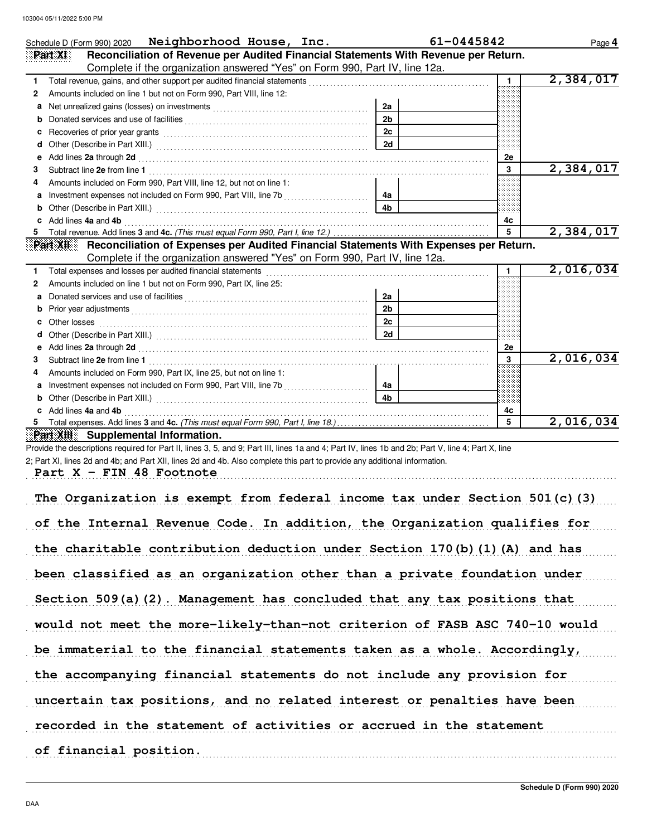|    | Schedule D (Form 990) 2020 Neighborhood House, Inc.                                                                                                                                                                            |                | 61-0445842     | Page 4    |
|----|--------------------------------------------------------------------------------------------------------------------------------------------------------------------------------------------------------------------------------|----------------|----------------|-----------|
|    | Reconciliation of Revenue per Audited Financial Statements With Revenue per Return.<br>Part XI                                                                                                                                 |                |                |           |
|    | Complete if the organization answered "Yes" on Form 990, Part IV, line 12a.                                                                                                                                                    |                |                |           |
| 1. |                                                                                                                                                                                                                                |                | 1.             | 2,384,017 |
| 2  | Amounts included on line 1 but not on Form 990, Part VIII, line 12:                                                                                                                                                            |                |                |           |
| а  |                                                                                                                                                                                                                                | 2a             |                |           |
|    |                                                                                                                                                                                                                                | 2 <sub>b</sub> |                |           |
| c  |                                                                                                                                                                                                                                | 2c             |                |           |
| d  |                                                                                                                                                                                                                                | 2d             |                |           |
| е  | Add lines 2a through 2d [11] March 20 [12] March 20 [12] March 20 [12] March 20 [12] March 20 [12] March 20 [12] March 20 [12] March 20 [12] March 20 [12] March 20 [12] March 20 [12] March 20 [12] March 20 [12] March 20 [1 |                | 2е             |           |
|    |                                                                                                                                                                                                                                |                | 3              | 2,384,017 |
|    | Amounts included on Form 990, Part VIII, line 12, but not on line 1:                                                                                                                                                           |                |                |           |
| а  | Investment expenses not included on Form 990, Part VIII, line 7b<br>[[[CODID]                                                                                                                                                  | 4a             |                |           |
| b  |                                                                                                                                                                                                                                | 4 <sub>b</sub> |                |           |
|    | Add lines 4a and 4b                                                                                                                                                                                                            |                | 4c             |           |
| 5  |                                                                                                                                                                                                                                |                |                | 2,384,017 |
|    | Reconciliation of Expenses per Audited Financial Statements With Expenses per Return.<br>Part XII                                                                                                                              |                |                |           |
|    | Complete if the organization answered "Yes" on Form 990, Part IV, line 12a.                                                                                                                                                    |                |                |           |
|    | Total expenses and losses per audited financial statements                                                                                                                                                                     |                | $\blacksquare$ | 2,016,034 |
| 2  | Amounts included on line 1 but not on Form 990, Part IX, line 25:                                                                                                                                                              |                |                |           |
|    |                                                                                                                                                                                                                                | 2a             |                |           |
|    | Prior year adjustments expressions and contain the state of the state of the state of the state of the state of the state of the state of the state of the state of the state of the state of the state of the state of the st | 2 <sub>b</sub> |                |           |
|    | Other losses                                                                                                                                                                                                                   | 2c             |                |           |
| d  |                                                                                                                                                                                                                                | 2d             |                |           |
| е  | Add lines 2a through 2d [11] Add [12] Add lines 2a through 2d [12] Add lines 2a through 2d [12] Add lines 2a through 2d [12] Add lines 2.                                                                                      |                | 2e             |           |
|    |                                                                                                                                                                                                                                |                | 3              | 2,016,034 |
|    | Amounts included on Form 990, Part IX, line 25, but not on line 1:                                                                                                                                                             |                |                |           |
| а  |                                                                                                                                                                                                                                | 4а             |                |           |
|    |                                                                                                                                                                                                                                | 4 <sub>b</sub> |                |           |
|    | Add lines 4a and 4b                                                                                                                                                                                                            |                | 4c             |           |
|    |                                                                                                                                                                                                                                |                | 5              | 2,016,034 |

**Part XIII Supplemental Information.**

Provide the descriptions required for Part II, lines 3, 5, and 9; Part III, lines 1a and 4; Part IV, lines 1b and 2b; Part V, line 4; Part X, line 2; Part XI, lines 2d and 4b; and Part XII, lines 2d and 4b. Also complete this part to provide any additional information.

Part  $X$  – FIN 48 Footnote

| The Organization is exempt from federal income tax under Section $501(c)$ (3) |
|-------------------------------------------------------------------------------|
| of the Internal Revenue Code. In addition, the Organization qualifies for     |
| the charitable contribution deduction under Section 170(b)(1)(A) and has      |
| been classified as an organization other than a private foundation under      |
| Section 509(a)(2). Management has concluded that any tax positions that       |
| would not meet the more-likely-than-not criterion of FASB ASC 740-10 would    |
| be immaterial to the financial statements taken as a whole. Accordingly,      |
| the accompanying financial statements do not include any provision for        |
| uncertain tax positions, and no related interest or penalties have been       |
| recorded in the statement of activities or accrued in the statement           |
| of financial position.                                                        |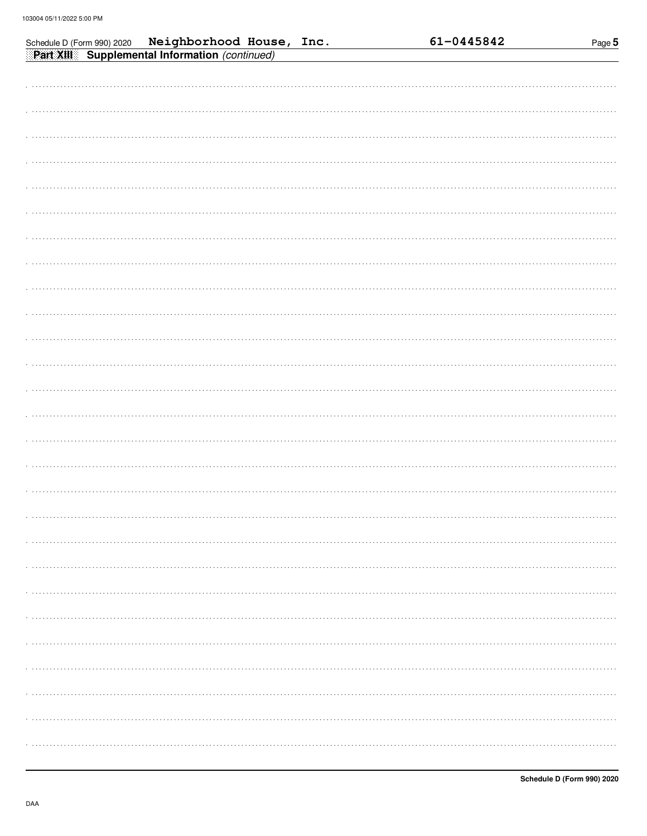| Schedule D (Form 990) 2020 Neighborhood House, Inc. |  | 61-0445842 | Page 5 |
|-----------------------------------------------------|--|------------|--------|
| Part XIII Supplemental Information (continued)      |  |            |        |
|                                                     |  |            |        |
|                                                     |  |            |        |
|                                                     |  |            |        |
|                                                     |  |            |        |
|                                                     |  |            |        |
|                                                     |  |            |        |
|                                                     |  |            |        |
|                                                     |  |            |        |
|                                                     |  |            |        |
|                                                     |  |            |        |
|                                                     |  |            |        |
|                                                     |  |            |        |
|                                                     |  |            |        |
|                                                     |  |            |        |
|                                                     |  |            |        |
|                                                     |  |            |        |
|                                                     |  |            |        |
|                                                     |  |            |        |
|                                                     |  |            |        |
|                                                     |  |            |        |
|                                                     |  |            |        |
|                                                     |  |            |        |
|                                                     |  |            |        |
|                                                     |  |            |        |
|                                                     |  |            |        |
|                                                     |  |            |        |
|                                                     |  |            |        |
|                                                     |  |            |        |
|                                                     |  |            |        |
|                                                     |  |            |        |
|                                                     |  |            |        |
|                                                     |  |            |        |
|                                                     |  |            |        |
|                                                     |  |            |        |
|                                                     |  |            |        |
|                                                     |  |            |        |
|                                                     |  |            |        |
|                                                     |  |            |        |
|                                                     |  |            |        |
|                                                     |  |            |        |

Page 5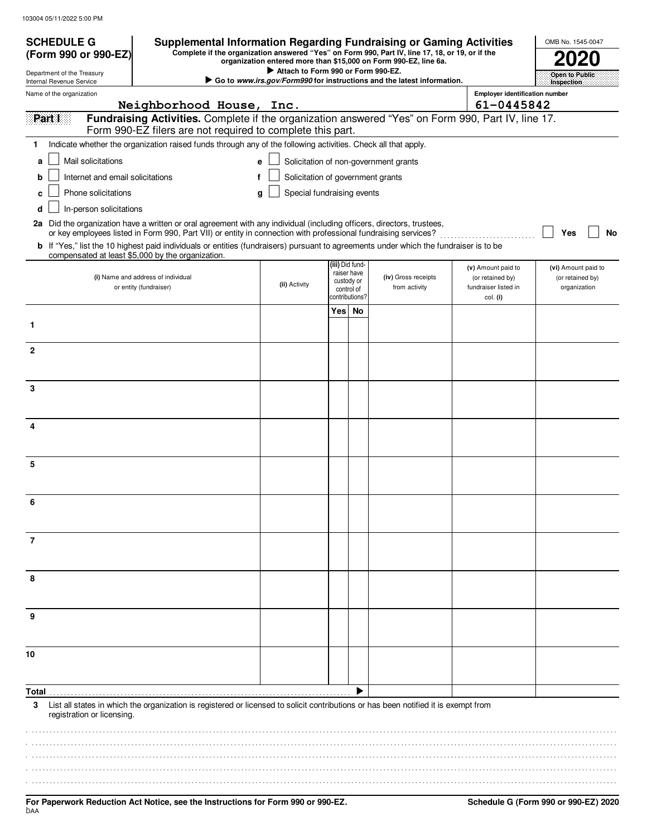| <b>SCHEDULE G</b><br>(Form 990 or 990-EZ)              | <b>Supplemental Information Regarding Fundraising or Gaming Activities</b><br>Complete if the organization answered "Yes" on Form 990, Part IV, line 17, 18, or 19, or if the                                                            | organization entered more than \$15,000 on Form 990-EZ, line 6a. |                                            | OMB No. 1545-0047 |                                                                        |                                        |                                         |
|--------------------------------------------------------|------------------------------------------------------------------------------------------------------------------------------------------------------------------------------------------------------------------------------------------|------------------------------------------------------------------|--------------------------------------------|-------------------|------------------------------------------------------------------------|----------------------------------------|-----------------------------------------|
| Department of the Treasury<br>Internal Revenue Service |                                                                                                                                                                                                                                          | Attach to Form 990 or Form 990-EZ.                               |                                            |                   | Go to www.irs.gov/Form990 for instructions and the latest information. |                                        | Open to Public<br>Inspection:           |
| Name of the organization                               |                                                                                                                                                                                                                                          |                                                                  | <b>Employer identification number</b>      |                   |                                                                        |                                        |                                         |
|                                                        | Neighborhood House, Inc.                                                                                                                                                                                                                 |                                                                  |                                            |                   |                                                                        | 61-0445842                             |                                         |
| Part I                                                 | Fundraising Activities. Complete if the organization answered "Yes" on Form 990, Part IV, line 17.<br>Form 990-EZ filers are not required to complete this part.                                                                         |                                                                  |                                            |                   |                                                                        |                                        |                                         |
| 1.                                                     | Indicate whether the organization raised funds through any of the following activities. Check all that apply.                                                                                                                            |                                                                  |                                            |                   |                                                                        |                                        |                                         |
| Mail solicitations<br>a                                |                                                                                                                                                                                                                                          | e                                                                |                                            |                   | Solicitation of non-government grants                                  |                                        |                                         |
| Internet and email solicitations<br>b                  |                                                                                                                                                                                                                                          | Solicitation of government grants<br>f                           |                                            |                   |                                                                        |                                        |                                         |
| Phone solicitations<br>c                               |                                                                                                                                                                                                                                          | Special fundraising events<br>g                                  |                                            |                   |                                                                        |                                        |                                         |
| In-person solicitations<br>d                           |                                                                                                                                                                                                                                          |                                                                  |                                            |                   |                                                                        |                                        |                                         |
|                                                        | 2a Did the organization have a written or oral agreement with any individual (including officers, directors, trustees,<br>or key employees listed in Form 990, Part VII) or entity in connection with professional fundraising services? |                                                                  |                                            |                   |                                                                        |                                        | Yes                                     |
|                                                        | b If "Yes," list the 10 highest paid individuals or entities (fundraisers) pursuant to agreements under which the fundraiser is to be                                                                                                    |                                                                  |                                            |                   |                                                                        |                                        | No                                      |
|                                                        | compensated at least \$5,000 by the organization.                                                                                                                                                                                        |                                                                  |                                            | (iii) Did fund-   |                                                                        |                                        |                                         |
|                                                        | (i) Name and address of individual                                                                                                                                                                                                       |                                                                  |                                            | raiser have       | (iv) Gross receipts                                                    | (v) Amount paid to<br>(or retained by) | (vi) Amount paid to<br>(or retained by) |
|                                                        | or entity (fundraiser)                                                                                                                                                                                                                   | (ii) Activity                                                    | custody or<br>control of<br>contributions? |                   | from activity                                                          | fundraiser listed in<br>col. (i)       | organization                            |
|                                                        |                                                                                                                                                                                                                                          |                                                                  | Yes                                        | No                |                                                                        |                                        |                                         |
| 1                                                      |                                                                                                                                                                                                                                          |                                                                  |                                            |                   |                                                                        |                                        |                                         |
| $\mathbf{2}$                                           |                                                                                                                                                                                                                                          |                                                                  |                                            |                   |                                                                        |                                        |                                         |
|                                                        |                                                                                                                                                                                                                                          |                                                                  |                                            |                   |                                                                        |                                        |                                         |
|                                                        |                                                                                                                                                                                                                                          |                                                                  |                                            |                   |                                                                        |                                        |                                         |
| 3                                                      |                                                                                                                                                                                                                                          |                                                                  |                                            |                   |                                                                        |                                        |                                         |
|                                                        |                                                                                                                                                                                                                                          |                                                                  |                                            |                   |                                                                        |                                        |                                         |
| 4                                                      |                                                                                                                                                                                                                                          |                                                                  |                                            |                   |                                                                        |                                        |                                         |
|                                                        |                                                                                                                                                                                                                                          |                                                                  |                                            |                   |                                                                        |                                        |                                         |
| 5                                                      |                                                                                                                                                                                                                                          |                                                                  |                                            |                   |                                                                        |                                        |                                         |
|                                                        |                                                                                                                                                                                                                                          |                                                                  |                                            |                   |                                                                        |                                        |                                         |
| 6                                                      |                                                                                                                                                                                                                                          |                                                                  |                                            |                   |                                                                        |                                        |                                         |
|                                                        |                                                                                                                                                                                                                                          |                                                                  |                                            |                   |                                                                        |                                        |                                         |
|                                                        |                                                                                                                                                                                                                                          |                                                                  |                                            |                   |                                                                        |                                        |                                         |
| 7                                                      |                                                                                                                                                                                                                                          |                                                                  |                                            |                   |                                                                        |                                        |                                         |
|                                                        |                                                                                                                                                                                                                                          |                                                                  |                                            |                   |                                                                        |                                        |                                         |
| 8                                                      |                                                                                                                                                                                                                                          |                                                                  |                                            |                   |                                                                        |                                        |                                         |
|                                                        |                                                                                                                                                                                                                                          |                                                                  |                                            |                   |                                                                        |                                        |                                         |
| 9                                                      |                                                                                                                                                                                                                                          |                                                                  |                                            |                   |                                                                        |                                        |                                         |
|                                                        |                                                                                                                                                                                                                                          |                                                                  |                                            |                   |                                                                        |                                        |                                         |
| 10                                                     |                                                                                                                                                                                                                                          |                                                                  |                                            |                   |                                                                        |                                        |                                         |
|                                                        |                                                                                                                                                                                                                                          |                                                                  |                                            |                   |                                                                        |                                        |                                         |
|                                                        |                                                                                                                                                                                                                                          |                                                                  |                                            |                   |                                                                        |                                        |                                         |
| Total.<br>3                                            | List all states in which the organization is registered or licensed to solicit contributions or has been notified it is exempt from                                                                                                      |                                                                  |                                            |                   |                                                                        |                                        |                                         |
| registration or licensing.                             |                                                                                                                                                                                                                                          |                                                                  |                                            |                   |                                                                        |                                        |                                         |
|                                                        |                                                                                                                                                                                                                                          |                                                                  |                                            |                   |                                                                        |                                        |                                         |
|                                                        |                                                                                                                                                                                                                                          |                                                                  |                                            |                   |                                                                        |                                        |                                         |
|                                                        |                                                                                                                                                                                                                                          |                                                                  |                                            |                   |                                                                        |                                        |                                         |
|                                                        |                                                                                                                                                                                                                                          |                                                                  |                                            |                   |                                                                        |                                        |                                         |
|                                                        |                                                                                                                                                                                                                                          |                                                                  |                                            |                   |                                                                        |                                        |                                         |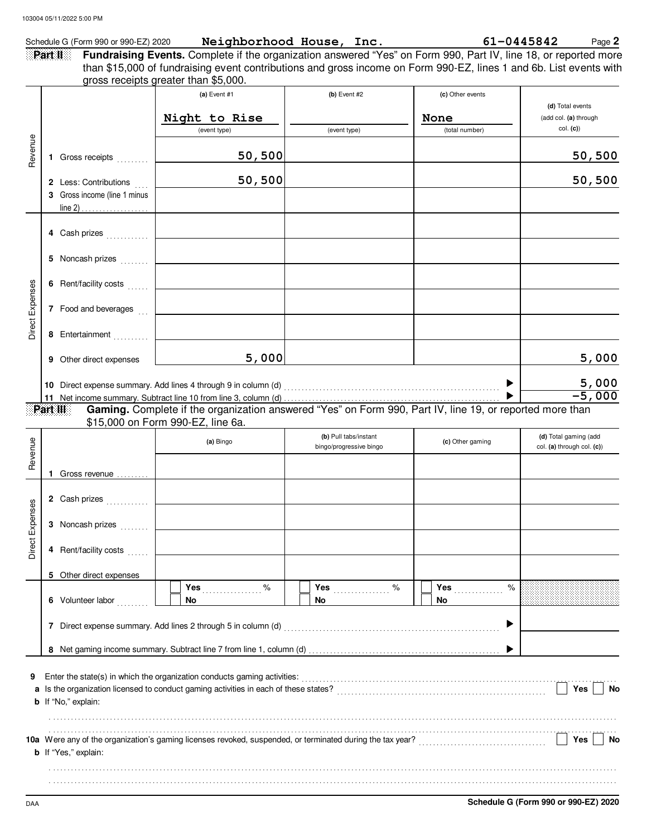|                 |                                                       | Schedule G (Form 990 or 990-EZ) 2020 Neighborhood House, Inc.                                                                                                                                                                                                                 |                         |                          | 61-0445842<br>Page 2                      |
|-----------------|-------------------------------------------------------|-------------------------------------------------------------------------------------------------------------------------------------------------------------------------------------------------------------------------------------------------------------------------------|-------------------------|--------------------------|-------------------------------------------|
|                 | Part II                                               | Fundraising Events. Complete if the organization answered "Yes" on Form 990, Part IV, line 18, or reported more<br>than \$15,000 of fundraising event contributions and gross income on Form 990-EZ, lines 1 and 6b. List events with<br>gross receipts greater than \$5,000. |                         |                          |                                           |
|                 |                                                       | (a) Event #1                                                                                                                                                                                                                                                                  | $(b)$ Event #2          | (c) Other events         |                                           |
|                 |                                                       | Night to Rise                                                                                                                                                                                                                                                                 |                         | None                     | (d) Total events<br>(add col. (a) through |
|                 |                                                       | (event type)                                                                                                                                                                                                                                                                  | (event type)            | (total number)           | col. (c)                                  |
|                 |                                                       |                                                                                                                                                                                                                                                                               |                         |                          |                                           |
| Revenue         | 1 Gross receipts                                      | 50, 500                                                                                                                                                                                                                                                                       |                         |                          | 50,500                                    |
|                 |                                                       | 50, 500                                                                                                                                                                                                                                                                       |                         |                          | 50,500                                    |
|                 | 2 Less: Contributions<br>3 Gross income (line 1 minus |                                                                                                                                                                                                                                                                               |                         |                          |                                           |
|                 |                                                       |                                                                                                                                                                                                                                                                               |                         |                          |                                           |
|                 |                                                       |                                                                                                                                                                                                                                                                               |                         |                          |                                           |
|                 | 4 Cash prizes                                         |                                                                                                                                                                                                                                                                               |                         |                          |                                           |
|                 | 5 Noncash prizes                                      |                                                                                                                                                                                                                                                                               |                         |                          |                                           |
|                 |                                                       |                                                                                                                                                                                                                                                                               |                         |                          |                                           |
|                 | 6 Rent/facility costs                                 |                                                                                                                                                                                                                                                                               |                         |                          |                                           |
| Direct Expenses | 7 Food and beverages                                  |                                                                                                                                                                                                                                                                               |                         |                          |                                           |
|                 |                                                       |                                                                                                                                                                                                                                                                               |                         |                          |                                           |
|                 | 8 Entertainment                                       |                                                                                                                                                                                                                                                                               |                         |                          |                                           |
|                 | 9 Other direct expenses                               | 5,000                                                                                                                                                                                                                                                                         |                         |                          | 5,000                                     |
|                 |                                                       |                                                                                                                                                                                                                                                                               |                         |                          |                                           |
|                 |                                                       |                                                                                                                                                                                                                                                                               |                         |                          | 5,000<br>$-5,000$                         |
|                 | Part III                                              | Gaming. Complete if the organization answered "Yes" on Form 990, Part IV, line 19, or reported more than                                                                                                                                                                      |                         |                          |                                           |
|                 |                                                       | \$15,000 on Form 990-EZ, line 6a.                                                                                                                                                                                                                                             |                         |                          |                                           |
|                 |                                                       | (a) Bingo                                                                                                                                                                                                                                                                     | (b) Pull tabs/instant   | (c) Other gaming         | (d) Total gaming (add                     |
| Revenue         |                                                       |                                                                                                                                                                                                                                                                               | bingo/progressive bingo |                          | col. (a) through col. (c))                |
|                 | 1 Gross revenue                                       |                                                                                                                                                                                                                                                                               |                         |                          |                                           |
|                 |                                                       |                                                                                                                                                                                                                                                                               |                         |                          |                                           |
| 89              |                                                       |                                                                                                                                                                                                                                                                               |                         |                          |                                           |
|                 | 3 Noncash prizes                                      |                                                                                                                                                                                                                                                                               |                         |                          |                                           |
| Direct Expens   |                                                       |                                                                                                                                                                                                                                                                               |                         |                          |                                           |
|                 | 4 Rent/facility costs                                 |                                                                                                                                                                                                                                                                               |                         |                          |                                           |
|                 | 5 Other direct expenses                               |                                                                                                                                                                                                                                                                               |                         |                          |                                           |
|                 |                                                       | Yes $%$                                                                                                                                                                                                                                                                       | Yes $\sim$              | %<br>Yes <b>Marshall</b> |                                           |
|                 | 6 Volunteer labor                                     | <b>No</b>                                                                                                                                                                                                                                                                     | No                      | No                       |                                           |
|                 |                                                       |                                                                                                                                                                                                                                                                               |                         |                          |                                           |
|                 |                                                       |                                                                                                                                                                                                                                                                               |                         |                          |                                           |
|                 |                                                       |                                                                                                                                                                                                                                                                               |                         |                          |                                           |
|                 |                                                       |                                                                                                                                                                                                                                                                               |                         |                          |                                           |
| 9               |                                                       | Enter the state(s) in which the organization conducts gaming activities:<br>[2010]<br>$\frac{1}{2}$                                                                                                                                                                           |                         |                          | Yes<br>No                                 |
|                 | <b>b</b> If "No," explain:                            |                                                                                                                                                                                                                                                                               |                         |                          |                                           |
|                 |                                                       |                                                                                                                                                                                                                                                                               |                         |                          |                                           |
|                 |                                                       | 10a Were any of the organization's gaming licenses revoked, suspended, or terminated during the tax year?<br>10a Were any of the organization's gaming licenses revoked, suspended, or terminated during the tax year?                                                        |                         |                          | Yes<br>No                                 |
|                 | <b>b</b> If "Yes," explain:                           |                                                                                                                                                                                                                                                                               |                         |                          |                                           |
|                 |                                                       |                                                                                                                                                                                                                                                                               |                         |                          |                                           |

. . . . . . . . . . . . . . . . . . . . . . . . . . . . . . . . . . . . . . . . . . . . . . . . . . . . . . . . . . . . . . . . . . . . . . . . . . . . . . . . . . . . . . . . . . . . . . . . . . . . . . . . . . . . . . . . . . . . . . . . . . . . . . . . . . . . . . . . . . . . . . . . . . . . . . . . . . . . . . . .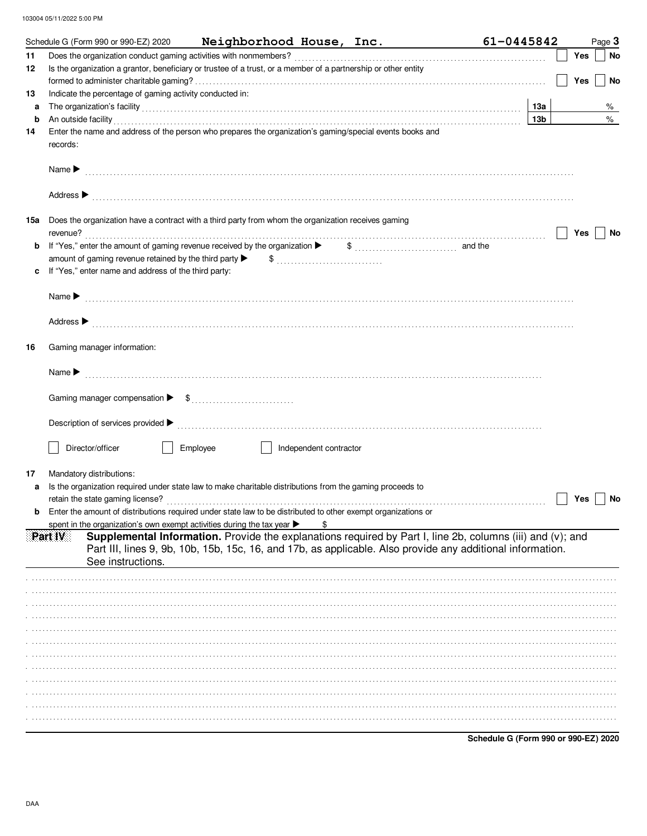|        |                            | Schedule G (Form 990 or 990-EZ) 2020                                       |          |                                                                                                                |                        | Neighborhood House, Inc.                                                                                                                                                                                                       | 61-0445842                                                                                                                                                                                                               |            |     | Page 3    |
|--------|----------------------------|----------------------------------------------------------------------------|----------|----------------------------------------------------------------------------------------------------------------|------------------------|--------------------------------------------------------------------------------------------------------------------------------------------------------------------------------------------------------------------------------|--------------------------------------------------------------------------------------------------------------------------------------------------------------------------------------------------------------------------|------------|-----|-----------|
| 11     |                            |                                                                            |          |                                                                                                                |                        |                                                                                                                                                                                                                                |                                                                                                                                                                                                                          |            | Yes | No        |
| 12     |                            |                                                                            |          | Is the organization a grantor, beneficiary or trustee of a trust, or a member of a partnership or other entity |                        |                                                                                                                                                                                                                                |                                                                                                                                                                                                                          |            |     |           |
|        |                            |                                                                            |          |                                                                                                                |                        |                                                                                                                                                                                                                                |                                                                                                                                                                                                                          |            | Yes | No        |
| 13     |                            | Indicate the percentage of gaming activity conducted in:                   |          |                                                                                                                |                        |                                                                                                                                                                                                                                |                                                                                                                                                                                                                          |            |     |           |
| a<br>b |                            |                                                                            |          |                                                                                                                |                        | The organization's facility encourance and contact the contact of the organization's facility                                                                                                                                  |                                                                                                                                                                                                                          | 13a<br>13b |     | %<br>$\%$ |
| 14     |                            |                                                                            |          | Enter the name and address of the person who prepares the organization's gaming/special events books and       |                        | An outside facility with the contract of the contract of the contract of the contract of the contract of the contract of the contract of the contract of the contract of the contract of the contract of the contract of the c |                                                                                                                                                                                                                          |            |     |           |
|        | records:                   |                                                                            |          |                                                                                                                |                        |                                                                                                                                                                                                                                |                                                                                                                                                                                                                          |            |     |           |
|        |                            |                                                                            |          |                                                                                                                |                        |                                                                                                                                                                                                                                |                                                                                                                                                                                                                          |            |     |           |
|        |                            |                                                                            |          |                                                                                                                |                        |                                                                                                                                                                                                                                |                                                                                                                                                                                                                          |            |     |           |
| 15a    |                            |                                                                            |          | Does the organization have a contract with a third party from whom the organization receives gaming            |                        |                                                                                                                                                                                                                                |                                                                                                                                                                                                                          |            | Yes | No        |
| b      |                            |                                                                            |          | If "Yes," enter the amount of gaming revenue received by the organization $\blacktriangleright$                |                        | $\$\$ and the                                                                                                                                                                                                                  |                                                                                                                                                                                                                          |            |     |           |
|        |                            | amount of gaming revenue retained by the third party $\blacktriangleright$ |          |                                                                                                                |                        |                                                                                                                                                                                                                                |                                                                                                                                                                                                                          |            |     |           |
| c      |                            | If "Yes," enter name and address of the third party:                       |          |                                                                                                                |                        |                                                                                                                                                                                                                                |                                                                                                                                                                                                                          |            |     |           |
|        |                            |                                                                            |          |                                                                                                                |                        |                                                                                                                                                                                                                                |                                                                                                                                                                                                                          |            |     |           |
|        |                            |                                                                            |          |                                                                                                                |                        |                                                                                                                                                                                                                                |                                                                                                                                                                                                                          |            |     |           |
|        |                            |                                                                            |          |                                                                                                                |                        |                                                                                                                                                                                                                                |                                                                                                                                                                                                                          |            |     |           |
| 16     |                            | Gaming manager information:                                                |          |                                                                                                                |                        |                                                                                                                                                                                                                                |                                                                                                                                                                                                                          |            |     |           |
|        | Name $\blacktriangleright$ |                                                                            |          |                                                                                                                |                        |                                                                                                                                                                                                                                |                                                                                                                                                                                                                          |            |     |           |
|        |                            |                                                                            |          |                                                                                                                |                        |                                                                                                                                                                                                                                |                                                                                                                                                                                                                          |            |     |           |
|        |                            |                                                                            |          |                                                                                                                |                        |                                                                                                                                                                                                                                |                                                                                                                                                                                                                          |            |     |           |
|        |                            |                                                                            |          |                                                                                                                |                        |                                                                                                                                                                                                                                |                                                                                                                                                                                                                          |            |     |           |
|        |                            | Director/officer                                                           | Employee |                                                                                                                | Independent contractor |                                                                                                                                                                                                                                |                                                                                                                                                                                                                          |            |     |           |
| 17     |                            | Mandatory distributions:                                                   |          |                                                                                                                |                        |                                                                                                                                                                                                                                |                                                                                                                                                                                                                          |            |     |           |
| a      |                            |                                                                            |          | Is the organization required under state law to make charitable distributions from the gaming proceeds to      |                        |                                                                                                                                                                                                                                |                                                                                                                                                                                                                          |            |     |           |
|        |                            |                                                                            |          |                                                                                                                |                        |                                                                                                                                                                                                                                |                                                                                                                                                                                                                          |            | Yes | No        |
|        |                            |                                                                            |          | Enter the amount of distributions required under state law to be distributed to other exempt organizations or  |                        |                                                                                                                                                                                                                                |                                                                                                                                                                                                                          |            |     |           |
|        |                            |                                                                            |          | spent in the organization's own exempt activities during the tax year >                                        |                        |                                                                                                                                                                                                                                |                                                                                                                                                                                                                          |            |     |           |
|        | Part IV                    | See instructions.                                                          |          |                                                                                                                |                        |                                                                                                                                                                                                                                | Supplemental Information. Provide the explanations required by Part I, line 2b, columns (iii) and (v); and<br>Part III, lines 9, 9b, 10b, 15b, 15c, 16, and 17b, as applicable. Also provide any additional information. |            |     |           |
|        |                            |                                                                            |          |                                                                                                                |                        |                                                                                                                                                                                                                                |                                                                                                                                                                                                                          |            |     |           |
|        |                            |                                                                            |          |                                                                                                                |                        |                                                                                                                                                                                                                                |                                                                                                                                                                                                                          |            |     |           |
|        |                            |                                                                            |          |                                                                                                                |                        |                                                                                                                                                                                                                                |                                                                                                                                                                                                                          |            |     |           |
|        |                            |                                                                            |          |                                                                                                                |                        |                                                                                                                                                                                                                                |                                                                                                                                                                                                                          |            |     |           |
|        |                            |                                                                            |          |                                                                                                                |                        |                                                                                                                                                                                                                                |                                                                                                                                                                                                                          |            |     |           |
|        |                            |                                                                            |          |                                                                                                                |                        |                                                                                                                                                                                                                                |                                                                                                                                                                                                                          |            |     |           |
|        |                            |                                                                            |          |                                                                                                                |                        |                                                                                                                                                                                                                                |                                                                                                                                                                                                                          |            |     |           |
|        |                            |                                                                            |          |                                                                                                                |                        |                                                                                                                                                                                                                                |                                                                                                                                                                                                                          |            |     |           |
|        |                            |                                                                            |          |                                                                                                                |                        |                                                                                                                                                                                                                                |                                                                                                                                                                                                                          |            |     |           |
|        |                            |                                                                            |          |                                                                                                                |                        |                                                                                                                                                                                                                                |                                                                                                                                                                                                                          |            |     |           |
|        |                            |                                                                            |          |                                                                                                                |                        |                                                                                                                                                                                                                                |                                                                                                                                                                                                                          |            |     |           |
|        |                            |                                                                            |          |                                                                                                                |                        |                                                                                                                                                                                                                                |                                                                                                                                                                                                                          |            |     |           |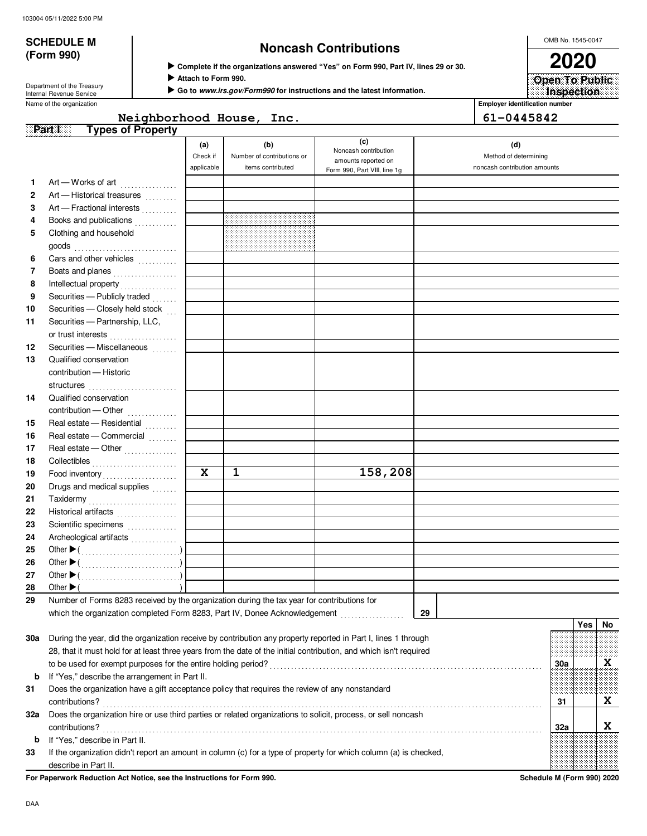# **(Form 990)**

# **SCHEDULE M Noncash Contributions**

 **Complete if the organizations answered "Yes" on Form 990, Part IV, lines 29 or 30.**

 **Attach to Form 990.**

 **Go to www.irs.gov/Form990 for instructions and the latest information.**

Department of the Treasury<br>Internal Revenue Service

Name of the organization **Employer identification number Employer identification number** 

## **Part I** Types of Property Neighborhood House, Inc. 61-0445842

|     |                                                                                                                    | (a)                     | (b)                        | (c)                                         | (d)                          |     |     |    |
|-----|--------------------------------------------------------------------------------------------------------------------|-------------------------|----------------------------|---------------------------------------------|------------------------------|-----|-----|----|
|     |                                                                                                                    | Check if                | Number of contributions or | Noncash contribution<br>amounts reported on | Method of determining        |     |     |    |
|     |                                                                                                                    | applicable              | items contributed          | Form 990, Part VIII, line 1g                | noncash contribution amounts |     |     |    |
| 1   | Art - Works of art                                                                                                 |                         |                            |                                             |                              |     |     |    |
| 2   | Art - Historical treasures                                                                                         |                         |                            |                                             |                              |     |     |    |
| 3   | Art - Fractional interests                                                                                         |                         |                            |                                             |                              |     |     |    |
| 4   | Books and publications                                                                                             |                         |                            |                                             |                              |     |     |    |
| 5   | Clothing and household                                                                                             |                         |                            |                                             |                              |     |     |    |
|     | goods<br><i>goods</i>                                                                                              |                         |                            |                                             |                              |     |     |    |
| 6   | Cars and other vehicles                                                                                            |                         |                            |                                             |                              |     |     |    |
| 7   | Boats and planes                                                                                                   |                         |                            |                                             |                              |     |     |    |
| 8   |                                                                                                                    |                         |                            |                                             |                              |     |     |    |
| 9   | Securities - Publicly traded                                                                                       |                         |                            |                                             |                              |     |     |    |
| 10  | Securities - Closely held stock                                                                                    |                         |                            |                                             |                              |     |     |    |
| 11  | Securities - Partnership, LLC,                                                                                     |                         |                            |                                             |                              |     |     |    |
|     | or trust interests                                                                                                 |                         |                            |                                             |                              |     |     |    |
| 12  | Securities - Miscellaneous [11]                                                                                    |                         |                            |                                             |                              |     |     |    |
| 13  | Qualified conservation                                                                                             |                         |                            |                                             |                              |     |     |    |
|     | contribution - Historic                                                                                            |                         |                            |                                             |                              |     |     |    |
|     |                                                                                                                    |                         |                            |                                             |                              |     |     |    |
| 14  | Qualified conservation                                                                                             |                         |                            |                                             |                              |     |     |    |
|     | contribution - Other                                                                                               |                         |                            |                                             |                              |     |     |    |
| 15  | Real estate - Residential                                                                                          |                         |                            |                                             |                              |     |     |    |
| 16  | Real estate - Commercial                                                                                           |                         |                            |                                             |                              |     |     |    |
| 17  | Real estate - Other                                                                                                |                         |                            |                                             |                              |     |     |    |
| 18  |                                                                                                                    |                         |                            |                                             |                              |     |     |    |
| 19  | Food inventory                                                                                                     | $\overline{\mathbf{x}}$ | $\mathbf{1}$               | 158,208                                     |                              |     |     |    |
| 20  | Drugs and medical supplies                                                                                         |                         |                            |                                             |                              |     |     |    |
| 21  | Taxidermy                                                                                                          |                         |                            |                                             |                              |     |     |    |
| 22  | Historical artifacts                                                                                               |                         |                            |                                             |                              |     |     |    |
| 23  | Scientific specimens                                                                                               |                         |                            |                                             |                              |     |     |    |
| 24  | Archeological artifacts                                                                                            |                         |                            |                                             |                              |     |     |    |
| 25  |                                                                                                                    |                         |                            |                                             |                              |     |     |    |
| 26  |                                                                                                                    |                         |                            |                                             |                              |     |     |    |
| 27  |                                                                                                                    |                         |                            |                                             |                              |     |     |    |
| 28  | Other $\blacktriangleright$                                                                                        |                         |                            |                                             |                              |     |     |    |
| 29  | Number of Forms 8283 received by the organization during the tax year for contributions for                        |                         |                            |                                             |                              |     |     |    |
|     | which the organization completed Form 8283, Part IV, Donee Acknowledgement                                         |                         |                            |                                             | 29                           |     |     |    |
|     |                                                                                                                    |                         |                            |                                             |                              |     | Yes | No |
| 30a | During the year, did the organization receive by contribution any property reported in Part I, lines 1 through     |                         |                            |                                             |                              |     |     |    |
|     | 28, that it must hold for at least three years from the date of the initial contribution, and which isn't required |                         |                            |                                             |                              |     |     |    |
|     | to be used for exempt purposes for the entire holding period?                                                      |                         |                            |                                             |                              | 30a |     | X  |
| b   | If "Yes," describe the arrangement in Part II.                                                                     |                         |                            |                                             |                              |     |     |    |
| 31  | Does the organization have a gift acceptance policy that requires the review of any nonstandard                    |                         |                            |                                             |                              |     |     |    |
|     | contributions?                                                                                                     |                         |                            |                                             |                              | 31  |     | X  |
| 32а | Does the organization hire or use third parties or related organizations to solicit, process, or sell noncash      |                         |                            |                                             |                              |     |     |    |
|     | contributions?                                                                                                     |                         |                            |                                             |                              | 32a |     | X  |
| b   | If "Yes," describe in Part II.                                                                                     |                         |                            |                                             |                              |     |     |    |
| 33  | If the organization didn't report an amount in column (c) for a type of property for which column (a) is checked,  |                         |                            |                                             |                              |     |     |    |
|     | describe in Part II.                                                                                               |                         |                            |                                             |                              |     |     |    |

**For Paperwork Reduction Act Notice, see the Instructions for Form 990. Schedule M (Form 990) 2020**

OMB No. 1545-0047 **2020**

**Inspection Open To Public**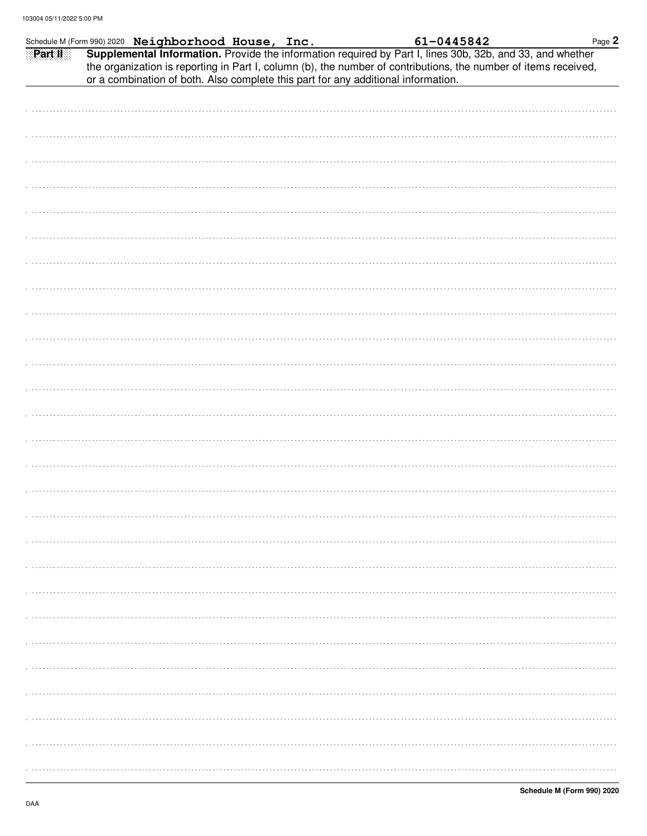|  |  |  |                                                                                   |                                                                                                                                                                                                                                            | Page 2 |
|--|--|--|-----------------------------------------------------------------------------------|--------------------------------------------------------------------------------------------------------------------------------------------------------------------------------------------------------------------------------------------|--------|
|  |  |  | or a combination of both. Also complete this part for any additional information. | Schedule M (Form 990) 2020 Neighborhood House, Inc. 61-0445842 Part 1. 61-0445842 Part 1. 61-0445842 Part 1. 61-0445842<br>the organization is reporting in Part I, column (b), the number of contributions, the number of items received, |        |
|  |  |  |                                                                                   |                                                                                                                                                                                                                                            |        |
|  |  |  |                                                                                   |                                                                                                                                                                                                                                            |        |
|  |  |  |                                                                                   |                                                                                                                                                                                                                                            |        |
|  |  |  |                                                                                   |                                                                                                                                                                                                                                            |        |
|  |  |  |                                                                                   |                                                                                                                                                                                                                                            |        |
|  |  |  |                                                                                   |                                                                                                                                                                                                                                            |        |
|  |  |  |                                                                                   |                                                                                                                                                                                                                                            |        |
|  |  |  |                                                                                   |                                                                                                                                                                                                                                            |        |
|  |  |  |                                                                                   |                                                                                                                                                                                                                                            |        |
|  |  |  |                                                                                   |                                                                                                                                                                                                                                            |        |
|  |  |  |                                                                                   |                                                                                                                                                                                                                                            |        |
|  |  |  |                                                                                   |                                                                                                                                                                                                                                            |        |
|  |  |  |                                                                                   |                                                                                                                                                                                                                                            |        |
|  |  |  |                                                                                   |                                                                                                                                                                                                                                            |        |
|  |  |  |                                                                                   |                                                                                                                                                                                                                                            |        |
|  |  |  |                                                                                   |                                                                                                                                                                                                                                            |        |
|  |  |  |                                                                                   |                                                                                                                                                                                                                                            |        |
|  |  |  |                                                                                   |                                                                                                                                                                                                                                            |        |
|  |  |  |                                                                                   |                                                                                                                                                                                                                                            |        |
|  |  |  |                                                                                   |                                                                                                                                                                                                                                            |        |
|  |  |  |                                                                                   |                                                                                                                                                                                                                                            |        |
|  |  |  |                                                                                   |                                                                                                                                                                                                                                            |        |
|  |  |  |                                                                                   |                                                                                                                                                                                                                                            |        |
|  |  |  |                                                                                   |                                                                                                                                                                                                                                            |        |
|  |  |  |                                                                                   |                                                                                                                                                                                                                                            |        |
|  |  |  |                                                                                   |                                                                                                                                                                                                                                            |        |
|  |  |  |                                                                                   |                                                                                                                                                                                                                                            |        |
|  |  |  |                                                                                   |                                                                                                                                                                                                                                            |        |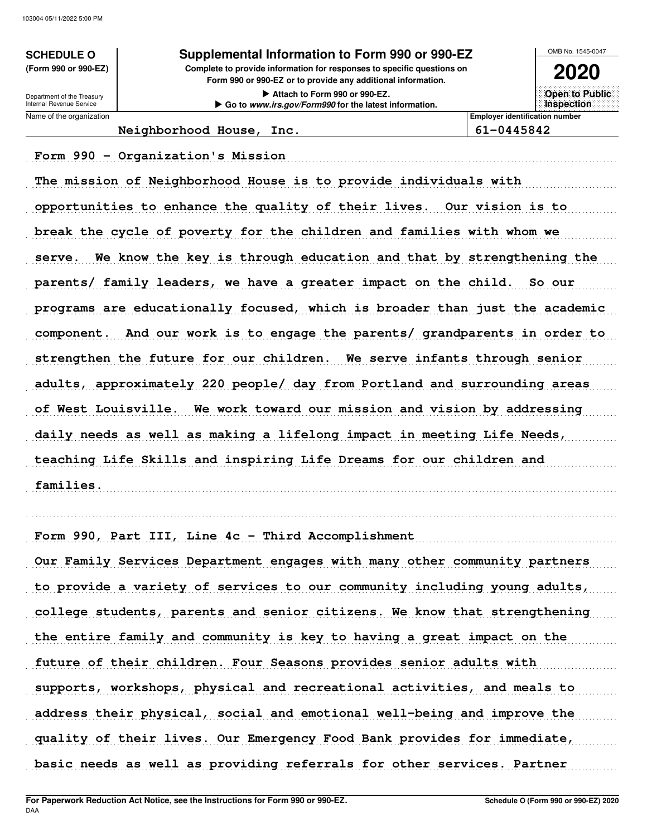Internal Revenue Service Department of the Treasury

## **SCHEDULE O Supplemental Information to Form 990 or 990-EZ**

**Form 990 or 990-EZ or to provide any additional information. (Form 990 or 990-EZ) Complete to provide information for responses to specific questions on**

> **Attach to Form 990 or 990-EZ. Go to www.irs.gov/Form990 for the latest information.**

**2020 Open to Public**

**Inspection**

OMB No. 1545-0047

Name of the organization **Employer identification number Employer identification number Neighborhood House, Inc. 61-0445842**

Form 990 - Organization's Mission

The mission of Neighborhood House is to provide individuals with opportunities to enhance the quality of their lives. Our vision is to break the cycle of poverty for the children and families with whom we serve. We know the key is through education and that by strengthening the parents/ family leaders, we have a greater impact on the child. So our programs are educationally focused, which is broader than just the academic component. And our work is to engage the parents/ grandparents in order to strengthen the future for our children. We serve infants through senior adults, approximately 220 people/ day from Portland and surrounding areas of West Louisville. We work toward our mission and vision by addressing daily needs as well as making a lifelong impact in meeting Life Needs, teaching Life Skills and inspiring Life Dreams for our children and . . . . . . . . . . . . . . . . . . . . . . . . . . . . . . . . . . . . . . . . . . . . . . . . . . . . . . . . . . . . . . . . . . . . . . . . . . . . . . . . . . . . . . . . . . . . . . . . . . . . . . . . . . . . . . . . . . . . . . . . . . . . . . . . . . . . . . . . . . . . . . . . . . . . . . . . . . . . . . . . . . . . . . **families.**

Form 990, Part III, Line 4c - Third Accomplishment

Our Family Services Department engages with many other community partners to provide a variety of services to our community including young adults, college students, parents and senior citizens. We know that strengthening the entire family and community is key to having a great impact on the future of their children. Four Seasons provides senior adults with supports, workshops, physical and recreational activities, and meals to address their physical, social and emotional well-being and improve the quality of their lives. Our Emergency Food Bank provides for immediate, basic needs as well as providing referrals for other services. Partner

. . . . . . . . . . . . . . . . . . . . . . . . . . . . . . . . . . . . . . . . . . . . . . . . . . . . . . . . . . . . . . . . . . . . . . . . . . . . . . . . . . . . . . . . . . . . . . . . . . . . . . . . . . . . . . . . . . . . . . . . . . . . . . . . . . . . . . . . . . . . . . . . . . . . . . . . . . . . . . . . . . . . . .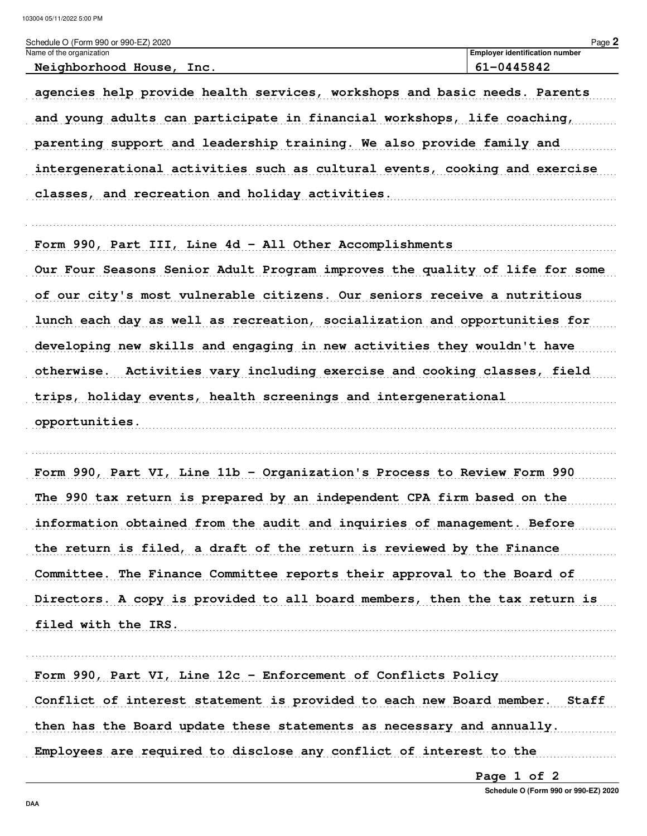| Schedule O (Form 990 or 990-EZ) 2020                                                                                                                 | Page 2                                |
|------------------------------------------------------------------------------------------------------------------------------------------------------|---------------------------------------|
| Name of the organization                                                                                                                             | <b>Employer identification number</b> |
| Neighborhood House, Inc.                                                                                                                             | 61-0445842                            |
| agencies help provide health services, workshops and basic needs. Parents<br>and young adults can participate in financial workshops, life coaching, |                                       |

parenting support and leadership training. We also provide family and intergenerational activities such as cultural events, cooking and exercise 

Form 990, Part III, Line 4d - All Other Accomplishments Our Four Seasons Senior Adult Program improves the quality of life for some of our city's most vulnerable citizens. Our seniors receive a nutritious lunch each day as well as recreation, socialization and opportunities for developing new skills and engaging in new activities they wouldn't have otherwise. Activities vary including exercise and cooking classes, field trips, holiday events, health screenings and intergenerational 

Form 990, Part VI, Line 11b - Organization's Process to Review Form 990 The 990 tax return is prepared by an independent CPA firm based on the information obtained from the audit and inquiries of management. Before the return is filed, a draft of the return is reviewed by the Finance Committee. The Finance Committee reports their approval to the Board of Directors. A copy is provided to all board members, then the tax return is

filed with the IRS.

Form 990, Part VI, Line 12c - Enforcement of Conflicts Policy Conflict of interest statement is provided to each new Board member. Staff then has the Board update these statements as necessary and annually. Employees are required to disclose any conflict of interest to the

Page 1 of 2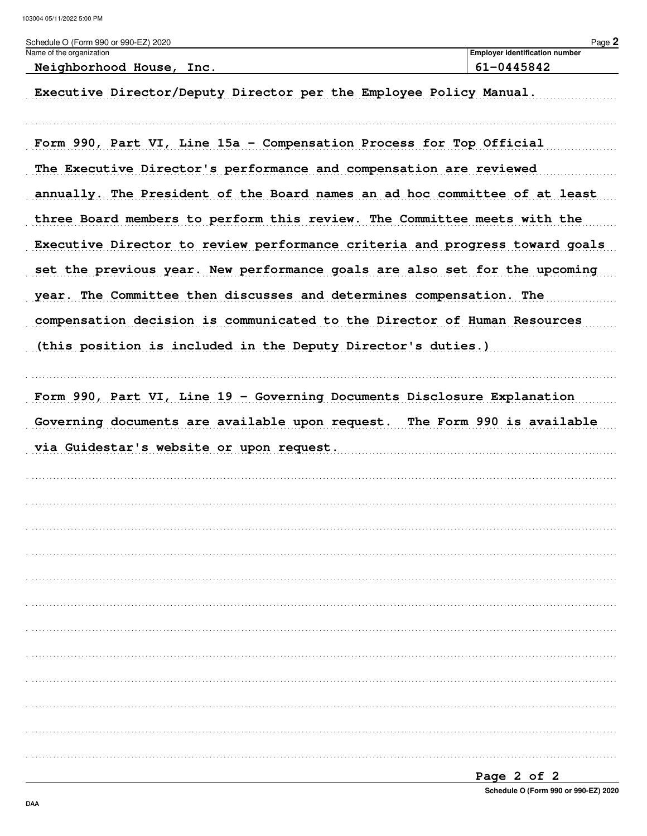| Schedule O (Form 990 or 990-EZ) 2020                                        | Page 2                                              |
|-----------------------------------------------------------------------------|-----------------------------------------------------|
| Name of the organization<br>Neighborhood House, Inc.                        | <b>Employer identification number</b><br>61-0445842 |
| Executive Director/Deputy Director per the Employee Policy Manual.          |                                                     |
| Form 990, Part VI, Line 15a - Compensation Process for Top Official         |                                                     |
| The Executive Director's performance and compensation are reviewed          |                                                     |
| annually. The President of the Board names an ad hoc committee of at least  |                                                     |
| three Board members to perform this review. The Committee meets with the    |                                                     |
| Executive Director to review performance criteria and progress toward goals |                                                     |
| set the previous year. New performance goals are also set for the upcoming  |                                                     |
| year. The Committee then discusses and determines compensation. The         |                                                     |
| compensation decision is communicated to the Director of Human Resources    |                                                     |
| (this position is included in the Deputy Director's duties.)                |                                                     |
| Form 990, Part VI, Line 19 - Governing Documents Disclosure Explanation     |                                                     |
|                                                                             |                                                     |
| Governing documents are available upon request. The Form 990 is available   |                                                     |
| via Guidestar's website or upon request.                                    |                                                     |
|                                                                             |                                                     |
|                                                                             |                                                     |
|                                                                             |                                                     |
|                                                                             |                                                     |
|                                                                             |                                                     |
|                                                                             |                                                     |
|                                                                             |                                                     |
|                                                                             |                                                     |
|                                                                             |                                                     |
|                                                                             |                                                     |
|                                                                             |                                                     |
|                                                                             |                                                     |

| Page 2 of 2 |  |                                      |  |
|-------------|--|--------------------------------------|--|
|             |  | Schedule O (Form 990 or 990-EZ) 2020 |  |